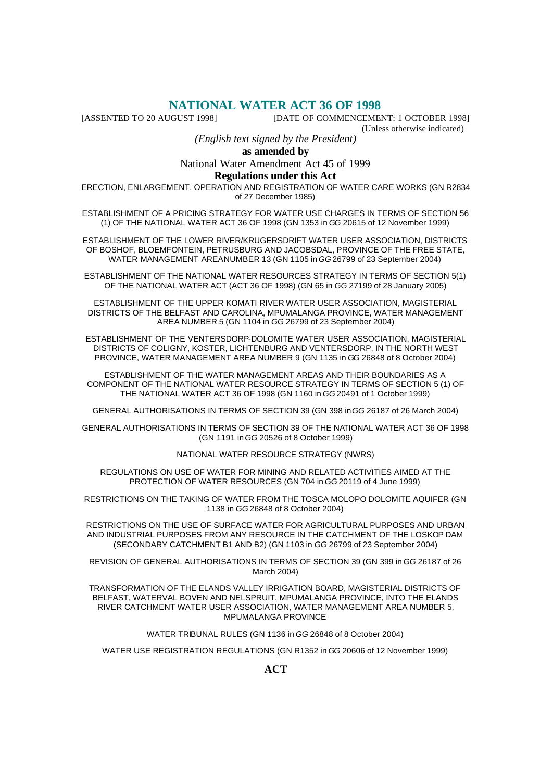# **NATIONAL WATER ACT 36 OF 1998**<br>[DATE OF COMMENCEME

[DATE OF COMMENCEMENT: 1 OCTOBER 1998] (Unless otherwise indicated)

*(English text signed by the President)*

**as amended by**

National Water Amendment Act 45 of 1999

#### **Regulations under this Act**

ERECTION, ENLARGEMENT, OPERATION AND REGISTRATION OF WATER CARE WORKS (GN R2834 of 27 December 1985)

ESTABLISHMENT OF A PRICING STRATEGY FOR WATER USE CHARGES IN TERMS OF SECTION 56 (1) OF THE NATIONAL WATER ACT 36 OF 1998 (GN 1353 in *GG* 20615 of 12 November 1999)

ESTABLISHMENT OF THE LOWER RIVER/KRUGERSDRIFT WATER USER ASSOCIATION, DISTRICTS OF BOSHOF, BLOEMFONTEIN, PETRUSBURG AND JACOBSDAL, PROVINCE OF THE FREE STATE, WATER MANAGEMENT AREA NUMBER 13 (GN 1105 in *GG* 26799 of 23 September 2004)

ESTABLISHMENT OF THE NATIONAL WATER RESOURCES STRATEGY IN TERMS OF SECTION 5(1) OF THE NATIONAL WATER ACT (ACT 36 OF 1998) (GN 65 in *GG* 27199 of 28 January 2005)

ESTABLISHMENT OF THE UPPER KOMATI RIVER WATER USER ASSOCIATION, MAGISTERIAL DISTRICTS OF THE BELFAST AND CAROLINA, MPUMALANGA PROVINCE, WATER MANAGEMENT AREA NUMBER 5 (GN 1104 in *GG* 26799 of 23 September 2004)

ESTABLISHMENT OF THE VENTERSDORP-DOLOMITE WATER USER ASSOCIATION, MAGISTERIAL DISTRICTS OF COLIGNY, KOSTER, LICHTENBURG AND VENTERSDORP, IN THE NORTH WEST PROVINCE, WATER MANAGEMENT AREA NUMBER 9 (GN 1135 in *GG* 26848 of 8 October 2004)

ESTABLISHMENT OF THE WATER MANAGEMENT AREAS AND THEIR BOUNDARIES AS A COMPONENT OF THE NATIONAL WATER RESOURCE STRATEGY IN TERMS OF SECTION 5 (1) OF THE NATIONAL WATER ACT 36 OF 1998 (GN 1160 in *GG* 20491 of 1 October 1999)

GENERAL AUTHORISATIONS IN TERMS OF SECTION 39 (GN 398 in *GG* 26187 of 26 March 2004)

GENERAL AUTHORISATIONS IN TERMS OF SECTION 39 OF THE NATIONAL WATER ACT 36 OF 1998 (GN 1191 in *GG* 20526 of 8 October 1999)

NATIONAL WATER RESOURCE STRATEGY (NWRS)

REGULATIONS ON USE OF WATER FOR MINING AND RELATED ACTIVITIES AIMED AT THE PROTECTION OF WATER RESOURCES (GN 704 in *GG* 20119 of 4 June 1999)

RESTRICTIONS ON THE TAKING OF WATER FROM THE TOSCA MOLOPO DOLOMITE AQUIFER (GN 1138 in *GG* 26848 of 8 October 2004)

RESTRICTIONS ON THE USE OF SURFACE WATER FOR AGRICULTURAL PURPOSES AND URBAN AND INDUSTRIAL PURPOSES FROM ANY RESOURCE IN THE CATCHMENT OF THE LOSKOP DAM (SECONDARY CATCHMENT B1 AND B2) (GN 1103 in *GG* 26799 of 23 September 2004)

REVISION OF GENERAL AUTHORISATIONS IN TERMS OF SECTION 39 (GN 399 in *GG* 26187 of 26 March 2004)

TRANSFORMATION OF THE ELANDS VALLEY IRRIGATION BOARD, MAGISTERIAL DISTRICTS OF BELFAST, WATERVAL BOVEN AND NELSPRUIT, MPUMALANGA PROVINCE, INTO THE ELANDS RIVER CATCHMENT WATER USER ASSOCIATION, WATER MANAGEMENT AREA NUMBER 5, MPUMALANGA PROVINCE

WATER TRIBUNAL RULES (GN 1136 in *GG* 26848 of 8 October 2004)

WATER USE REGISTRATION REGULATIONS (GN R1352 in *GG* 20606 of 12 November 1999)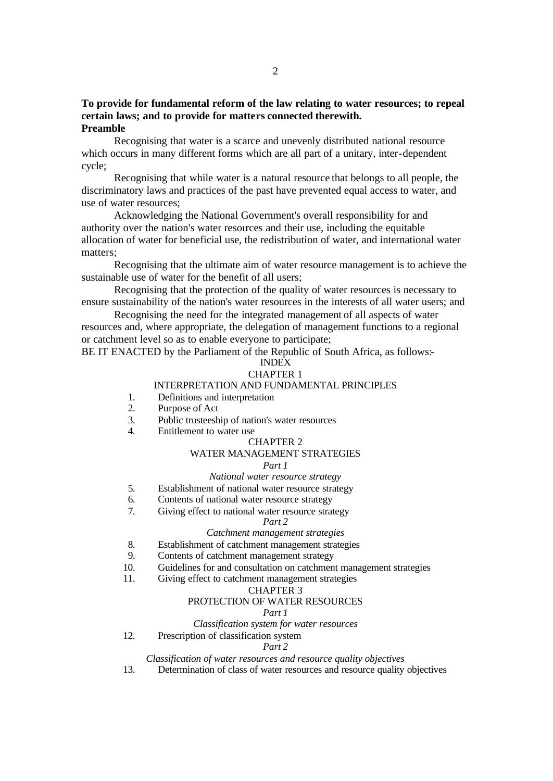Recognising that water is a scarce and unevenly distributed national resource which occurs in many different forms which are all part of a unitary, inter-dependent cycle;

Recognising that while water is a natural resource that belongs to all people, the discriminatory laws and practices of the past have prevented equal access to water, and use of water resources;

Acknowledging the National Government's overall responsibility for and authority over the nation's water resources and their use, including the equitable allocation of water for beneficial use, the redistribution of water, and international water matters;

Recognising that the ultimate aim of water resource management is to achieve the sustainable use of water for the benefit of all users;

Recognising that the protection of the quality of water resources is necessary to ensure sustainability of the nation's water resources in the interests of all water users; and

Recognising the need for the integrated management of all aspects of water resources and, where appropriate, the delegation of management functions to a regional or catchment level so as to enable everyone to participate;

BE IT ENACTED by the Parliament of the Republic of South Africa, as follows:-

#### INDEX CHAPTER 1

### INTERPRETATION AND FUNDAMENTAL PRINCIPLES

- 1. Definitions and interpretation
- 2. Purpose of Act
- 3. Public trusteeship of nation's water resources
- 4. Entitlement to water use

#### CHAPTER 2

### WATER MANAGEMENT STRATEGIES

#### *Part 1*

### *National water resource strategy*

- 5. Establishment of national water resource strategy
- 6. Contents of national water resource strategy
- 7. Giving effect to national water resource strategy

# *Part 2*

### *Catchment management strategies*

- 8. Establishment of catchment management strategies
- 9. Contents of catchment management strategy
- 10. Guidelines for and consultation on catchment management strategies
- 11. Giving effect to catchment management strategies

#### CHAPTER 3

### PROTECTION OF WATER RESOURCES

#### *Part 1*

# *Classification system for water resources*

12. Prescription of classification system

### *Part 2*

#### *Classification of water resources and resource quality objectives*

13. Determination of class of water resources and resource quality objectives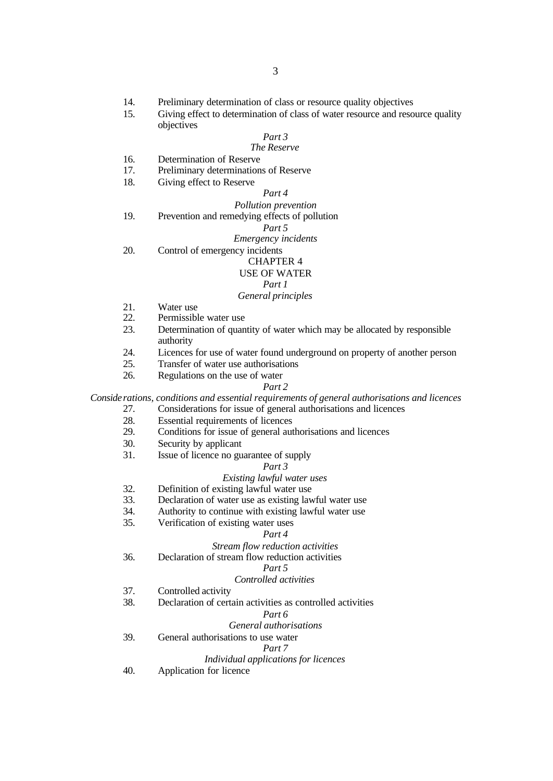- 14. Preliminary determination of class or resource quality objectives
- 15. Giving effect to determination of class of water resource and resource quality objectives

# *The Reserve*

- 16. Determination of Reserve
- 17. Preliminary determinations of Reserve
- 18. Giving effect to Reserve

# *Part 4*

### *Pollution prevention*

19. Prevention and remedying effects of pollution

# *Part 5*

# *Emergency incidents*

20. Control of emergency incidents

# CHAPTER 4

# USE OF WATER

# *Part 1*

### *General principles*

- 21. Water use
- 22. Permissible water use
- 23. Determination of quantity of water which may be allocated by responsible authority
- 24. Licences for use of water found underground on property of another person
- 25. Transfer of water use authorisations
- 26. Regulations on the use of water

### *Part 2*

*Conside rations, conditions and essential requirements of general authorisations and licences*

- 27. Considerations for issue of general authorisations and licences
- 28. Essential requirements of licences<br>29. Conditions for issue of general aut
- Conditions for issue of general authorisations and licences
- 30. Security by applicant
- 31. Issue of licence no guarantee of supply

### *Part 3*

### *Existing lawful water uses*

- 32. Definition of existing lawful water use
- 33. Declaration of water use as existing lawful water use
- 34. Authority to continue with existing lawful water use
- 35. Verification of existing water uses

# *Part 4*

# *Stream flow reduction activities*

36. Declaration of stream flow reduction activities

# *Part 5*

# *Controlled activities*

- 37. Controlled activity
- 38. Declaration of certain activities as controlled activities

### *Part 6*

# *General authorisations*

39. General authorisations to use water

### *Part 7*

# *Individual applications for licences*

40. Application for licence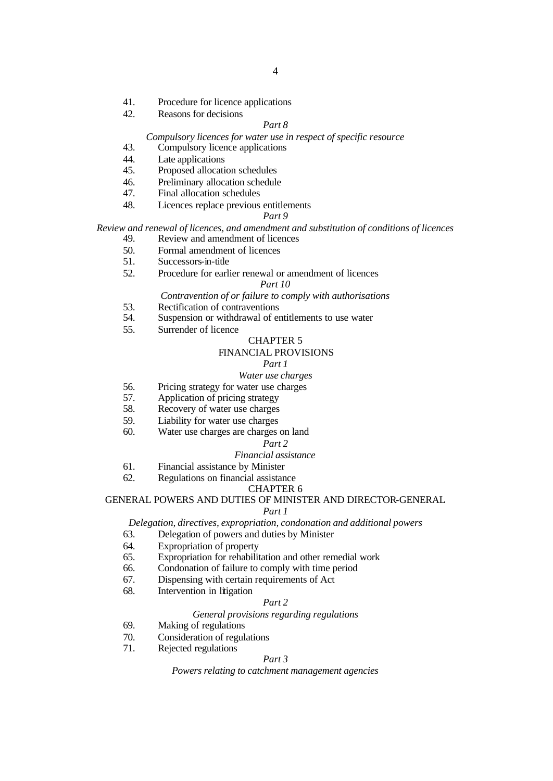- 41. Procedure for licence applications
- 42. Reasons for decisions

# *Compulsory licences for water use in respect of specific resource*

- 43. Compulsory licence applications
- 44. Late applications
- 45. Proposed allocation schedules
- 46. Preliminary allocation schedule
- 47. Final allocation schedules
- 48. Licences replace previous entitlements

#### *Part 9*

# *Review and renewal of licences, and amendment and substitution of conditions of licences*

- 49. Review and amendment of licences
- 50. Formal amendment of licences
- 51. Successors-in-title
- 52. Procedure for earlier renewal or amendment of licences

#### *Part 10*

### *Contravention of or failure to comply with authorisations*

- 53. Rectification of contraventions
- 54. Suspension or withdrawal of entitlements to use water
- 55. Surrender of licence

### CHAPTER 5

### FINANCIAL PROVISIONS

### *Part 1*

### *Water use charges*

- 56. Pricing strategy for water use charges
- 57. Application of pricing strategy
- 58. Recovery of water use charges
- 59. Liability for water use charges
- 60. Water use charges are charges on land

#### *Part 2*

#### *Financial assistance*

- 61. Financial assistance by Minister
- 62. Regulations on financial assistance

#### CHAPTER 6

#### GENERAL POWERS AND DUTIES OF MINISTER AND DIRECTOR-GENERAL

### *Part 1*

### *Delegation, directives, expropriation, condonation and additional powers*

- 63. Delegation of powers and duties by Minister
- 64. Expropriation of property
- 65. Expropriation for rehabilitation and other remedial work
- 66. Condonation of failure to comply with time period
- 67. Dispensing with certain requirements of Act
- 68. Intervention in litigation

# *Part 2*

#### *General provisions regarding regulations*

- 69. Making of regulations
- 70. Consideration of regulations
- 71. Rejected regulations

#### *Part 3*

*Powers relating to catchment management agencies*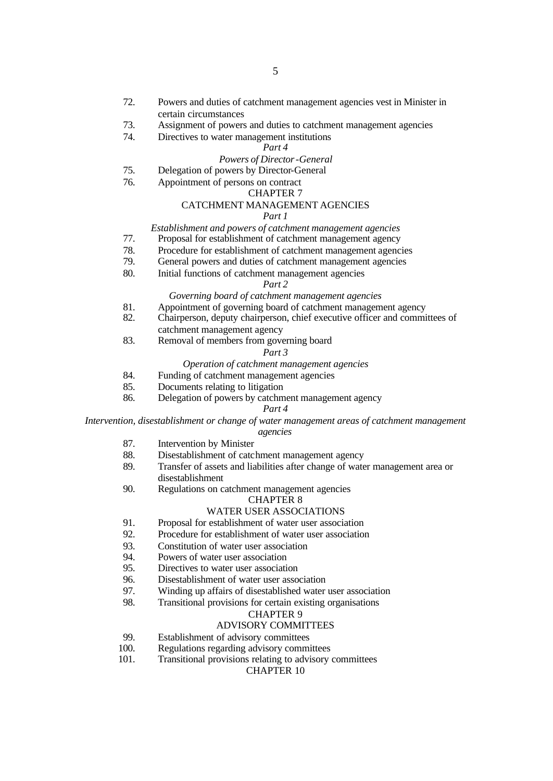- 72. Powers and duties of catchment management agencies vest in Minister in certain circumstances
- 73. Assignment of powers and duties to catchment management agencies
- 74. Directives to water management institutions

### *Powers of Director-General*

- 75. Delegation of powers by Director-General
- 76. Appointment of persons on contract

### CHAPTER 7

# CATCHMENT MANAGEMENT AGENCIES

### *Part 1*

# *Establishment and powers of catchment management agencies*

- 77. Proposal for establishment of catchment management agency
- 78. Procedure for establishment of catchment management agencies
- 79. General powers and duties of catchment management agencies
- 80. Initial functions of catchment management agencies

#### *Part 2*

### *Governing board of catchment management agencies*

- 81. Appointment of governing board of catchment management agency
- 82. Chairperson, deputy chairperson, chief executive officer and committees of catchment management agency
- 83. Removal of members from governing board

### *Part 3*

### *Operation of catchment management agencies*

- 84. Funding of catchment management agencies
- 85. Documents relating to litigation
- 86. Delegation of powers by catchment management agency

#### *Part 4*

*Intervention, disestablishment or change of water management areas of catchment management* 

#### *agencies*

- 87. Intervention by Minister
- 88. Disestablishment of catchment management agency
- 89. Transfer of assets and liabilities after change of water management area or disestablishment
- 90. Regulations on catchment management agencies

CHAPTER 8

#### WATER USER ASSOCIATIONS

- 91. Proposal for establishment of water user association
- 92. Procedure for establishment of water user association
- 93. Constitution of water user association
- 94. Powers of water user association
- 95. Directives to water user association
- 96. Disestablishment of water user association
- 97. Winding up affairs of disestablished water user association
- 98. Transitional provisions for certain existing organisations

#### CHAPTER 9

### ADVISORY COMMITTEES

- 99. Establishment of advisory committees
- 100. Regulations regarding advisory committees
- 101. Transitional provisions relating to advisory committees

CHAPTER 10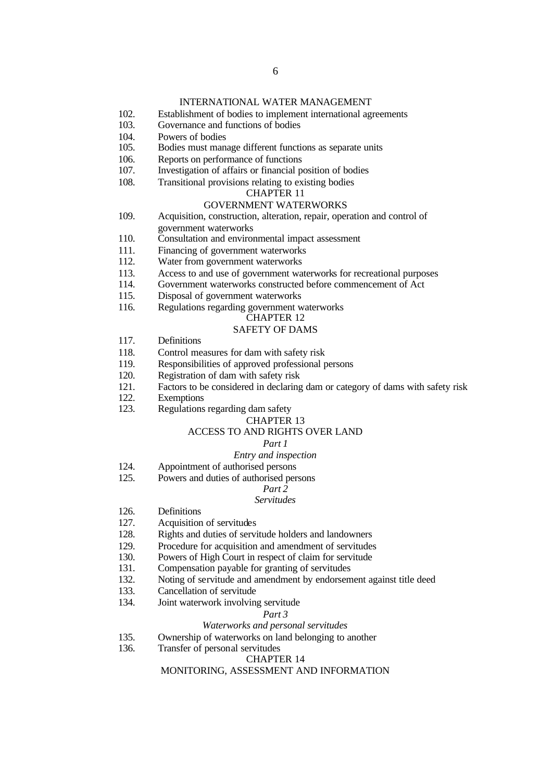#### INTERNATIONAL WATER MANAGEMENT

- 102. Establishment of bodies to implement international agreements
- 103. Governance and functions of bodies
- 104. Powers of bodies<br>105. Bodies must mana
- 105. Bodies must manage different functions as separate units
- 106. Reports on performance of functions
- 107. Investigation of affairs or financial position of bodies
- 108. Transitional provisions relating to existing bodies

#### CHAPTER 11

#### GOVERNMENT WATERWORKS

- 109. Acquisition, construction, alteration, repair, operation and control of government waterworks
- 110. Consultation and environmental impact assessment
- 111. Financing of government waterworks
- 112. Water from government waterworks
- 113. Access to and use of government waterworks for recreational purposes
- 114. Government waterworks constructed before commencement of Act
- 115. Disposal of government waterworks
- 116. Regulations regarding government waterworks
	- CHAPTER 12

### SAFETY OF DAMS

- 117. Definitions
- 118. Control measures for dam with safety risk
- 119. Responsibilities of approved professional persons
- 120. Registration of dam with safety risk
- 121. Factors to be considered in declaring dam or category of dams with safety risk
- 122. Exemptions
- 123. Regulations regarding dam safety

### CHAPTER 13

### ACCESS TO AND RIGHTS OVER LAND

#### *Part 1*

### *Entry and inspection*

- 124. Appointment of authorised persons
- 125. Powers and duties of authorised persons

### *Part 2*

### *Servitudes*

- 126. Definitions
- 127. Acquisition of servitudes
- 128. Rights and duties of servitude holders and landowners
- 129. Procedure for acquisition and amendment of servitudes
- 130. Powers of High Court in respect of claim for servitude
- 131. Compensation payable for granting of servitudes
- 132. Noting of servitude and amendment by endorsement against title deed
- 133. Cancellation of servitude
- 134. Joint waterwork involving servitude
	- *Part 3*

### *Waterworks and personal servitudes*

- 135. Ownership of waterworks on land belonging to another
- 136. Transfer of personal servitudes

#### CHAPTER 14

### MONITORING, ASSESSMENT AND INFORMATION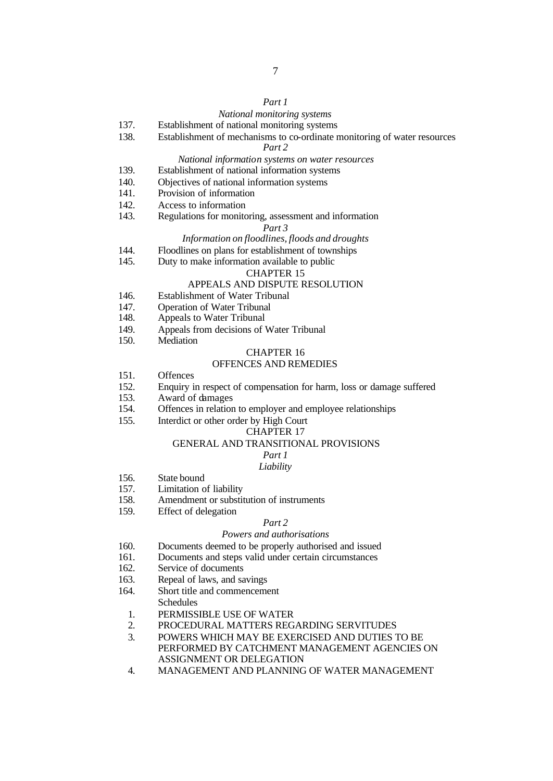### *National monitoring systems*

### 137. Establishment of national monitoring systems

138. Establishment of mechanisms to co-ordinate monitoring of water resources

# *Part 2*

# *National information systems on water resources*

- 139. Establishment of national information systems
- 140. Objectives of national information systems
- 141. Provision of information
- 142. Access to information
- 143. Regulations for monitoring, assessment and information

# *Part 3*

### *Information on floodlines, floods and droughts*

- 144. Floodlines on plans for establishment of townships
- 145. Duty to make information available to public

#### CHAPTER 15

### APPEALS AND DISPUTE RESOLUTION

- 146. Establishment of Water Tribunal
- 147. Operation of Water Tribunal
- 148. Appeals to Water Tribunal
- 149. Appeals from decisions of Water Tribunal
- 150. Mediation

# CHAPTER 16

# OFFENCES AND REMEDIES

- 151. Offences
- 152. Enquiry in respect of compensation for harm, loss or damage suffered
- 153. Award of damages
- 154. Offences in relation to employer and employee relationships
- 155. Interdict or other order by High Court

#### CHAPTER 17

### GENERAL AND TRANSITIONAL PROVISIONS

# *Part 1*

### *Liability*

- 156. State bound
- 157. Limitation of liability
- 158. Amendment or substitution of instruments
- 159. Effect of delegation

### *Part 2*

# *Powers and authorisations*

- 160. Documents deemed to be properly authorised and issued
- 161. Documents and steps valid under certain circumstances
- 162. Service of documents
- 163. Repeal of laws, and savings
- 164. Short title and commencement **Schedules** 
	- 1. PERMISSIBLE USE OF WATER
	- 2. PROCEDURAL MATTERS REGARDING SERVITUDES
	- 3. POWERS WHICH MAY BE EXERCISED AND DUTIES TO BE PERFORMED BY CATCHMENT MANAGEMENT AGENCIES ON ASSIGNMENT OR DELEGATION
	- 4. MANAGEMENT AND PLANNING OF WATER MANAGEMENT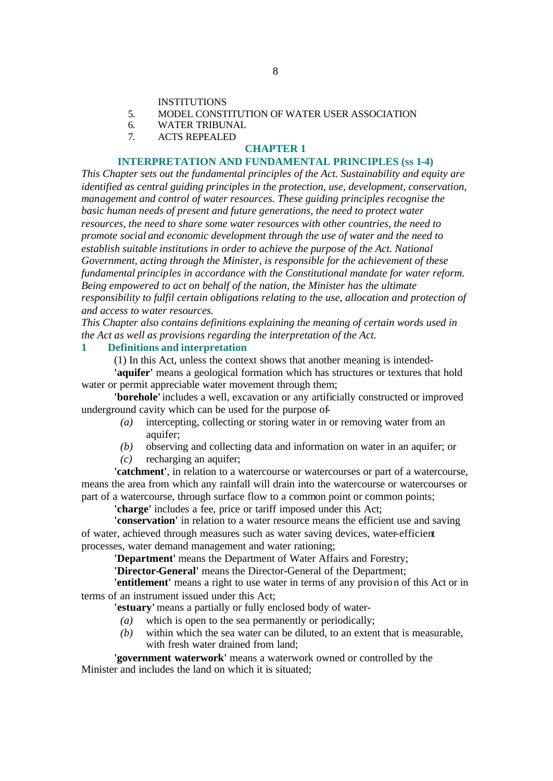#### INSTITUTIONS

- 5. MODEL CONSTITUTION OF WATER USER ASSOCIATION
- 6. WATER TRIBUNAL
- 7. ACTS REPEALED

# **CHAPTER 1**

# **INTERPRETATION AND FUNDAMENTAL PRINCIPLES (ss 1-4)**

*This Chapter sets out the fundamental principles of the Act. Sustainability and equity are identified as central guiding principles in the protection, use, development, conservation, management and control of water resources. These guiding principles recognise the basic human needs of present and future generations, the need to protect water resources, the need to share some water resources with other countries, the need to promote social and economic development through the use of water and the need to establish suitable institutions in order to achieve the purpose of the Act. National Government, acting through the Minister, is responsible for the achievement of these fundamental principles in accordance with the Constitutional mandate for water reform. Being empowered to act on behalf of the nation, the Minister has the ultimate responsibility to fulfil certain obligations relating to the use, allocation and protection of and access to water resources.* 

*This Chapter also contains definitions explaining the meaning of certain words used in the Act as well as provisions regarding the interpretation of the Act.* 

### **1 Definitions and interpretation**

(1) In this Act, unless the context shows that another meaning is intended-

**'aquifer'** means a geological formation which has structures or textures that hold water or permit appreciable water movement through them;

**'borehole'** includes a well, excavation or any artificially constructed or improved underground cavity which can be used for the purpose of-

- *(a)* intercepting, collecting or storing water in or removing water from an aquifer;
- *(b)* observing and collecting data and information on water in an aquifer; or
- *(c)* recharging an aquifer;

**'catchment'**, in relation to a watercourse or watercourses or part of a watercourse, means the area from which any rainfall will drain into the watercourse or watercourses or part of a watercourse, through surface flow to a common point or common points;

**'charge'** includes a fee, price or tariff imposed under this Act;

**'conservation'** in relation to a water resource means the efficient use and saving of water, achieved through measures such as water saving devices, water-efficient processes, water demand management and water rationing;

**'Department'** means the Department of Water Affairs and Forestry;

**'Director-General'** means the Director-General of the Department;

**'entitlement'** means a right to use water in terms of any provision of this Act or in terms of an instrument issued under this Act;

**'estuary'** means a partially or fully enclosed body of water-

- *(a)* which is open to the sea permanently or periodically;
- *(b)* within which the sea water can be diluted, to an extent that is measurable, with fresh water drained from land;

**'government waterwork'** means a waterwork owned or controlled by the Minister and includes the land on which it is situated;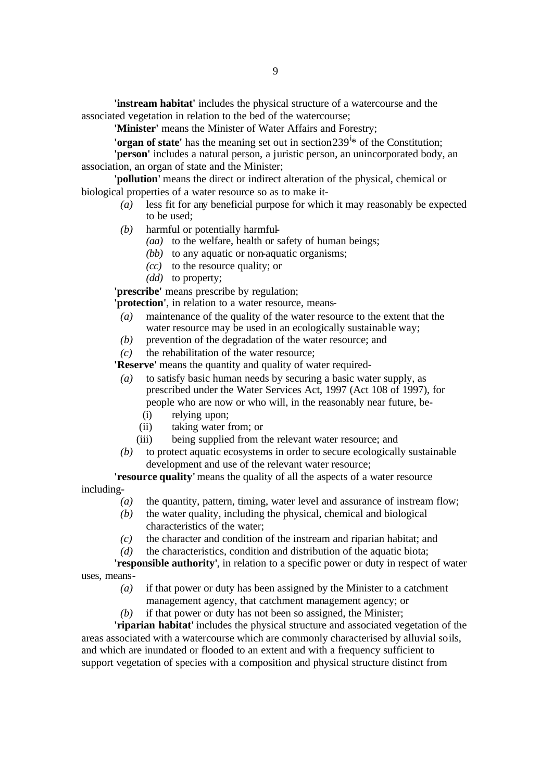**'instream habitat'** includes the physical structure of a watercourse and the associated vegetation in relation to the bed of the watercourse;

**'Minister'** means the Minister of Water Affairs and Forestry;

**'organ of state'** has the meaning set out in section 239<sup>i</sup><sup>\*</sup> of the Constitution;

**'person'** includes a natural person, a juristic person, an unincorporated body, an association, an organ of state and the Minister;

**'pollution'** means the direct or indirect alteration of the physical, chemical or biological properties of a water resource so as to make it-

- *(a)* less fit for any beneficial purpose for which it may reasonably be expected to be used;
- *(b)* harmful or potentially harmful-
	- *(aa)* to the welfare, health or safety of human beings;
	- *(bb)* to any aquatic or non-aquatic organisms;
	- *(cc)* to the resource quality; or
	- *(dd)* to property;

**'prescribe'** means prescribe by regulation;

**'protection'**, in relation to a water resource, means-

- *(a)* maintenance of the quality of the water resource to the extent that the water resource may be used in an ecologically sustainable way;
- *(b)* prevention of the degradation of the water resource; and
- *(c)* the rehabilitation of the water resource;

**'Reserve'** means the quantity and quality of water required-

- *(a)* to satisfy basic human needs by securing a basic water supply, as prescribed under the Water Services Act, 1997 (Act 108 of 1997), for people who are now or who will, in the reasonably near future, be-
	- (i) relying upon;
	- (ii) taking water from; or
	- (iii) being supplied from the relevant water resource; and
- *(b)* to protect aquatic ecosystems in order to secure ecologically sustainable development and use of the relevant water resource;

**'resource quality'** means the quality of all the aspects of a water resource including-

- *(a)* the quantity, pattern, timing, water level and assurance of instream flow;
- *(b)* the water quality, including the physical, chemical and biological characteristics of the water;
- *(c)* the character and condition of the instream and riparian habitat; and
- *(d)* the characteristics, condition and distribution of the aquatic biota;

**'responsible authority'**, in relation to a specific power or duty in respect of water uses, means-

*(a)* if that power or duty has been assigned by the Minister to a catchment management agency, that catchment management agency; or

*(b)* if that power or duty has not been so assigned, the Minister;

**'riparian habitat'** includes the physical structure and associated vegetation of the areas associated with a watercourse which are commonly characterised by alluvial soils, and which are inundated or flooded to an extent and with a frequency sufficient to support vegetation of species with a composition and physical structure distinct from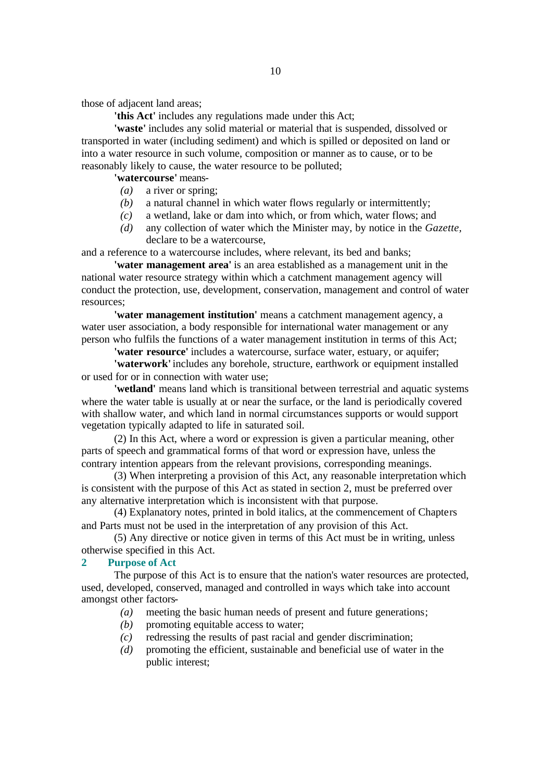those of adjacent land areas;

**'this Act'** includes any regulations made under this Act;

**'waste'** includes any solid material or material that is suspended, dissolved or transported in water (including sediment) and which is spilled or deposited on land or into a water resource in such volume, composition or manner as to cause, or to be reasonably likely to cause, the water resource to be polluted;

**'watercourse'** means-

- *(a)* a river or spring;
- *(b)* a natural channel in which water flows regularly or intermittently;
- *(c)* a wetland, lake or dam into which, or from which, water flows; and
- *(d)* any collection of water which the Minister may, by notice in the *Gazette,* declare to be a watercourse,

and a reference to a watercourse includes, where relevant, its bed and banks;

**'water management area'** is an area established as a management unit in the national water resource strategy within which a catchment management agency will conduct the protection, use, development, conservation, management and control of water resources;

**'water management institution'** means a catchment management agency, a water user association, a body responsible for international water management or any person who fulfils the functions of a water management institution in terms of this Act;

**'water resource'** includes a watercourse, surface water, estuary, or aquifer;

**'waterwork'** includes any borehole, structure, earthwork or equipment installed or used for or in connection with water use;

**'wetland'** means land which is transitional between terrestrial and aquatic systems where the water table is usually at or near the surface, or the land is periodically covered with shallow water, and which land in normal circumstances supports or would support vegetation typically adapted to life in saturated soil.

(2) In this Act, where a word or expression is given a particular meaning, other parts of speech and grammatical forms of that word or expression have, unless the contrary intention appears from the relevant provisions, corresponding meanings.

(3) When interpreting a provision of this Act, any reasonable interpretation which is consistent with the purpose of this Act as stated in section 2, must be preferred over any alternative interpretation which is inconsistent with that purpose.

(4) Explanatory notes, printed in bold italics, at the commencement of Chapters and Parts must not be used in the interpretation of any provision of this Act.

(5) Any directive or notice given in terms of this Act must be in writing, unless otherwise specified in this Act.

### **2 Purpose of Act**

The purpose of this Act is to ensure that the nation's water resources are protected, used, developed, conserved, managed and controlled in ways which take into account amongst other factors-

- *(a)* meeting the basic human needs of present and future generations;
- *(b)* promoting equitable access to water;
- *(c)* redressing the results of past racial and gender discrimination;
- *(d)* promoting the efficient, sustainable and beneficial use of water in the public interest;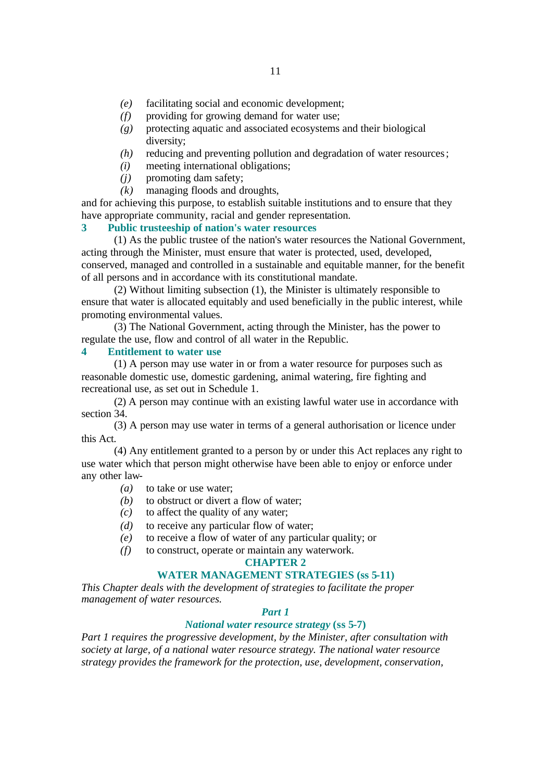- *(e)* facilitating social and economic development;
- *(f)* providing for growing demand for water use;
- *(g)* protecting aquatic and associated ecosystems and their biological diversity;
- *(h)* reducing and preventing pollution and degradation of water resources;
- *(i)* meeting international obligations;
- *(j)* promoting dam safety;
- *(k)* managing floods and droughts,

and for achieving this purpose, to establish suitable institutions and to ensure that they have appropriate community, racial and gender representation.

# **3 Public trusteeship of nation's water resources**

(1) As the public trustee of the nation's water resources the National Government, acting through the Minister, must ensure that water is protected, used, developed, conserved, managed and controlled in a sustainable and equitable manner, for the benefit of all persons and in accordance with its constitutional mandate.

(2) Without limiting subsection (1), the Minister is ultimately responsible to ensure that water is allocated equitably and used beneficially in the public interest, while promoting environmental values.

(3) The National Government, acting through the Minister, has the power to regulate the use, flow and control of all water in the Republic.

### **4 Entitlement to water use**

(1) A person may use water in or from a water resource for purposes such as reasonable domestic use, domestic gardening, animal watering, fire fighting and recreational use, as set out in Schedule 1.

(2) A person may continue with an existing lawful water use in accordance with section 34.

(3) A person may use water in terms of a general authorisation or licence under this Act.

(4) Any entitlement granted to a person by or under this Act replaces any right to use water which that person might otherwise have been able to enjoy or enforce under any other law-

- *(a)* to take or use water;
- *(b)* to obstruct or divert a flow of water;
- *(c)* to affect the quality of any water;
- *(d)* to receive any particular flow of water;
- *(e)* to receive a flow of water of any particular quality; or
- *(f)* to construct, operate or maintain any waterwork.

### **CHAPTER 2**

### **WATER MANAGEMENT STRATEGIES (ss 5-11)**

*This Chapter deals with the development of strategies to facilitate the proper management of water resources.* 

#### *Part 1*

### *National water resource strategy* **(ss 5-7)**

*Part 1 requires the progressive development, by the Minister, after consultation with society at large, of a national water resource strategy. The national water resource strategy provides the framework for the protection, use, development, conservation,*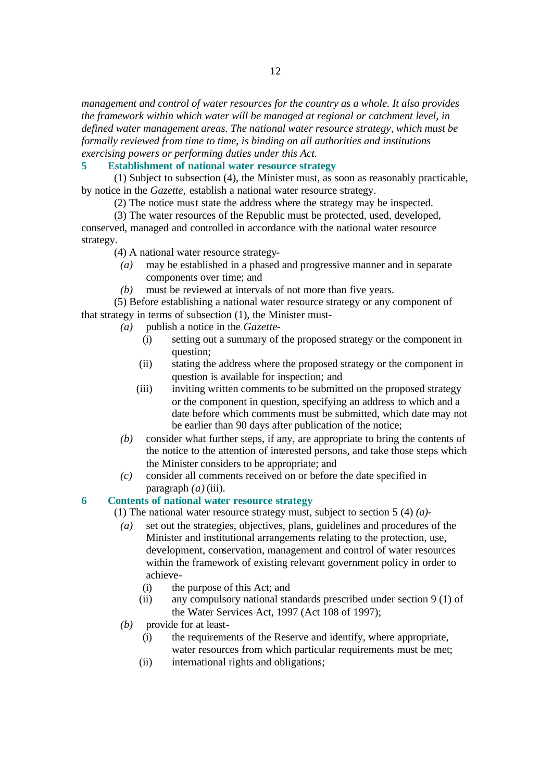*management and control of water resources for the country as a whole. It also provides the framework within which water will be managed at regional or catchment level, in defined water management areas. The national water resource strategy, which must be formally reviewed from time to time, is binding on all authorities and institutions exercising powers or performing duties under this Act.* 

## **5 Establishment of national water resource strategy**

(1) Subject to subsection (4), the Minister must, as soon as reasonably practicable, by notice in the *Gazette,* establish a national water resource strategy.

(2) The notice must state the address where the strategy may be inspected.

(3) The water resources of the Republic must be protected, used, developed, conserved, managed and controlled in accordance with the national water resource strategy.

- (4) A national water resource strategy-
	- *(a)* may be established in a phased and progressive manner and in separate components over time; and
	- *(b)* must be reviewed at intervals of not more than five years.

(5) Before establishing a national water resource strategy or any component of that strategy in terms of subsection (1), the Minister must-

- *(a)* publish a notice in the *Gazette*
	- (i) setting out a summary of the proposed strategy or the component in question;
	- (ii) stating the address where the proposed strategy or the component in question is available for inspection; and
	- (iii) inviting written comments to be submitted on the proposed strategy or the component in question, specifying an address to which and a date before which comments must be submitted, which date may not be earlier than 90 days after publication of the notice;
- *(b)* consider what further steps, if any, are appropriate to bring the contents of the notice to the attention of interested persons, and take those steps which the Minister considers to be appropriate; and
- *(c)* consider all comments received on or before the date specified in paragraph  $(a)$  (iii).

# **6 Contents of national water resource strategy**

(1) The national water resource strategy must, subject to section 5 (4) *(a)*-

- *(a)* set out the strategies, objectives, plans, guidelines and procedures of the Minister and institutional arrangements relating to the protection, use, development, conservation, management and control of water resources within the framework of existing relevant government policy in order to achieve-
	- (i) the purpose of this Act; and
	- (ii) any compulsory national standards prescribed under section 9 (1) of the Water Services Act, 1997 (Act 108 of 1997);
- *(b)* provide for at least-
	- (i) the requirements of the Reserve and identify, where appropriate, water resources from which particular requirements must be met;
	- (ii) international rights and obligations;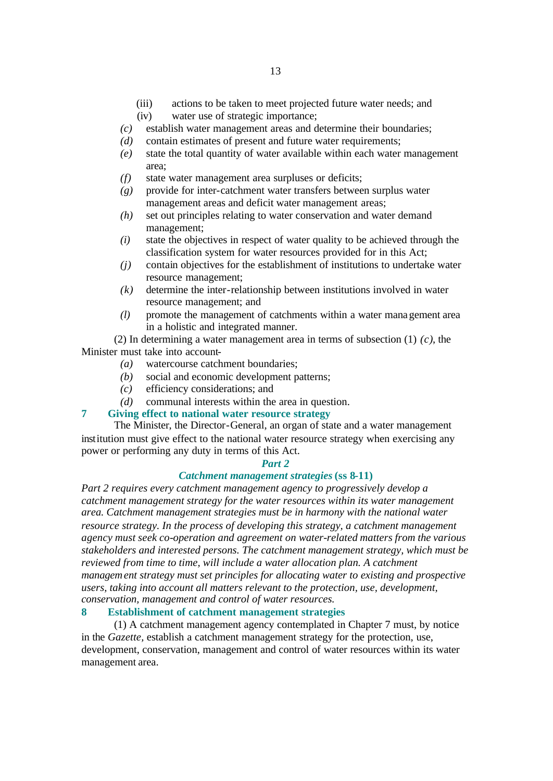- (iii) actions to be taken to meet projected future water needs; and (iv) water use of strategic importance;
- *(c)* establish water management areas and determine their boundaries;
- *(d)* contain estimates of present and future water requirements;
- *(e)* state the total quantity of water available within each water management area;
- *(f)* state water management area surpluses or deficits;
- *(g)* provide for inter-catchment water transfers between surplus water management areas and deficit water management areas;
- *(h)* set out principles relating to water conservation and water demand management;
- *(i)* state the objectives in respect of water quality to be achieved through the classification system for water resources provided for in this Act;
- *(j)* contain objectives for the establishment of institutions to undertake water resource management;
- *(k)* determine the inter-relationship between institutions involved in water resource management; and
- *(l)* promote the management of catchments within a water management area in a holistic and integrated manner.

(2) In determining a water management area in terms of subsection (1) *(c)*, the Minister must take into account-

- *(a)* watercourse catchment boundaries;
- *(b)* social and economic development patterns;
- *(c)* efficiency considerations; and
- *(d)* communal interests within the area in question.

### **7 Giving effect to national water resource strategy**

The Minister, the Director-General, an organ of state and a water management institution must give effect to the national water resource strategy when exercising any power or performing any duty in terms of this Act.

### *Part 2*

### *Catchment management strategies* **(ss 8-11)**

*Part 2 requires every catchment management agency to progressively develop a catchment management strategy for the water resources within its water management area. Catchment management strategies must be in harmony with the national water resource strategy. In the process of developing this strategy, a catchment management agency must seek co-operation and agreement on water-related matters from the various stakeholders and interested persons. The catchment management strategy, which must be reviewed from time to time, will include a water allocation plan. A catchment management strategy must set principles for allocating water to existing and prospective users, taking into account all matters relevant to the protection, use, development, conservation, management and control of water resources.*

### **8 Establishment of catchment management strategies**

(1) A catchment management agency contemplated in Chapter 7 must, by notice in the *Gazette,* establish a catchment management strategy for the protection, use, development, conservation, management and control of water resources within its water management area.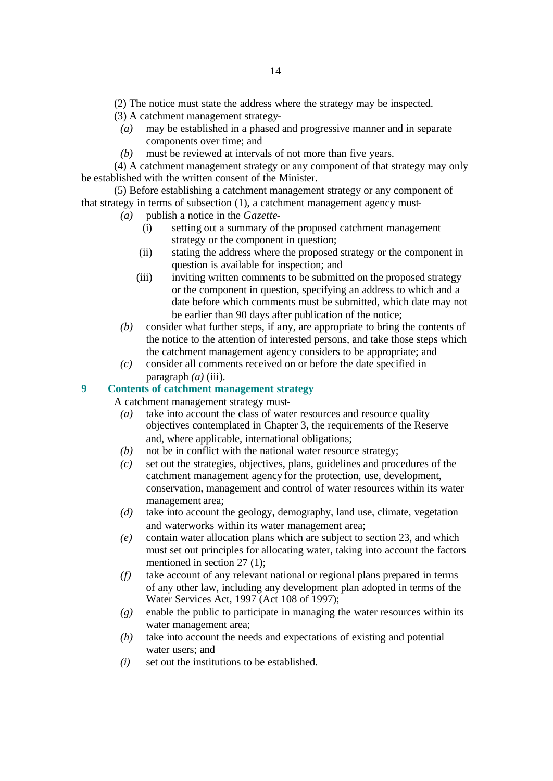(2) The notice must state the address where the strategy may be inspected.

- (3) A catchment management strategy-
- *(a)* may be established in a phased and progressive manner and in separate components over time; and
- *(b)* must be reviewed at intervals of not more than five years.

(4) A catchment management strategy or any component of that strategy may only be established with the written consent of the Minister.

(5) Before establishing a catchment management strategy or any component of that strategy in terms of subsection (1), a catchment management agency must-

- *(a)* publish a notice in the *Gazette-*
	- (i) setting out a summary of the proposed catchment management strategy or the component in question;
	- (ii) stating the address where the proposed strategy or the component in question is available for inspection; and
	- (iii) inviting written comments to be submitted on the proposed strategy or the component in question, specifying an address to which and a date before which comments must be submitted, which date may not be earlier than 90 days after publication of the notice;
- *(b)* consider what further steps, if any, are appropriate to bring the contents of the notice to the attention of interested persons, and take those steps which the catchment management agency considers to be appropriate; and
- *(c)* consider all comments received on or before the date specified in paragraph *(a)* (iii).

### **9 Contents of catchment management strategy**

A catchment management strategy must-

- *(a)* take into account the class of water resources and resource quality objectives contemplated in Chapter 3, the requirements of the Reserve and, where applicable, international obligations;
- *(b)* not be in conflict with the national water resource strategy;
- *(c)* set out the strategies, objectives, plans, guidelines and procedures of the catchment management agency for the protection, use, development, conservation, management and control of water resources within its water management area;
- *(d)* take into account the geology, demography, land use, climate, vegetation and waterworks within its water management area;
- *(e)* contain water allocation plans which are subject to section 23, and which must set out principles for allocating water, taking into account the factors mentioned in section 27 (1);
- *(f)* take account of any relevant national or regional plans prepared in terms of any other law, including any development plan adopted in terms of the Water Services Act, 1997 (Act 108 of 1997);
- *(g)* enable the public to participate in managing the water resources within its water management area;
- *(h)* take into account the needs and expectations of existing and potential water users; and
- *(i)* set out the institutions to be established.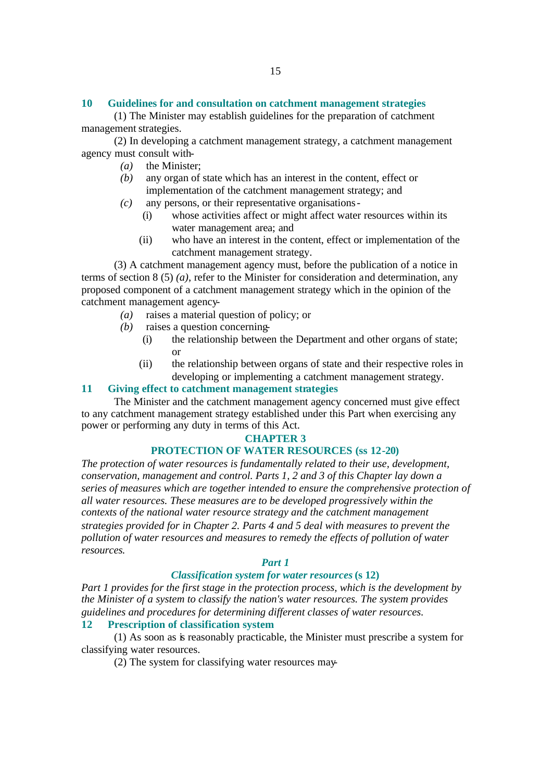### **10 Guidelines for and consultation on catchment management strategies**

(1) The Minister may establish guidelines for the preparation of catchment management strategies.

(2) In developing a catchment management strategy, a catchment management agency must consult with-

- *(a)* the Minister;
- *(b)* any organ of state which has an interest in the content, effect or implementation of the catchment management strategy; and
- *(c)* any persons, or their representative organisations-
	- (i) whose activities affect or might affect water resources within its water management area; and
	- (ii) who have an interest in the content, effect or implementation of the catchment management strategy.

(3) A catchment management agency must, before the publication of a notice in terms of section 8 (5) *(a)*, refer to the Minister for consideration and determination, any proposed component of a catchment management strategy which in the opinion of the catchment management agency-

- *(a)* raises a material question of policy; or
- *(b)* raises a question concerning-
	- (i) the relationship between the Department and other organs of state; or
	- (ii) the relationship between organs of state and their respective roles in developing or implementing a catchment management strategy.

### **11 Giving effect to catchment management strategies**

The Minister and the catchment management agency concerned must give effect to any catchment management strategy established under this Part when exercising any power or performing any duty in terms of this Act.

### **CHAPTER 3**

### **PROTECTION OF WATER RESOURCES (ss 12-20)**

*The protection of water resources is fundamentally related to their use, development, conservation, management and control. Parts 1, 2 and 3 of this Chapter lay down a series of measures which are together intended to ensure the comprehensive protection of all water resources. These measures are to be developed progressively within the contexts of the national water resource strategy and the catchment management strategies provided for in Chapter 2. Parts 4 and 5 deal with measures to prevent the pollution of water resources and measures to remedy the effects of pollution of water resources.* 

### *Part 1*

# *Classification system for water resources* **(s 12)**

*Part 1 provides for the first stage in the protection process, which is the development by the Minister of a system to classify the nation's water resources. The system provides guidelines and procedures for determining different classes of water resources.*

# **12 Prescription of classification system**

(1) As soon as is reasonably practicable, the Minister must prescribe a system for classifying water resources.

(2) The system for classifying water resources may-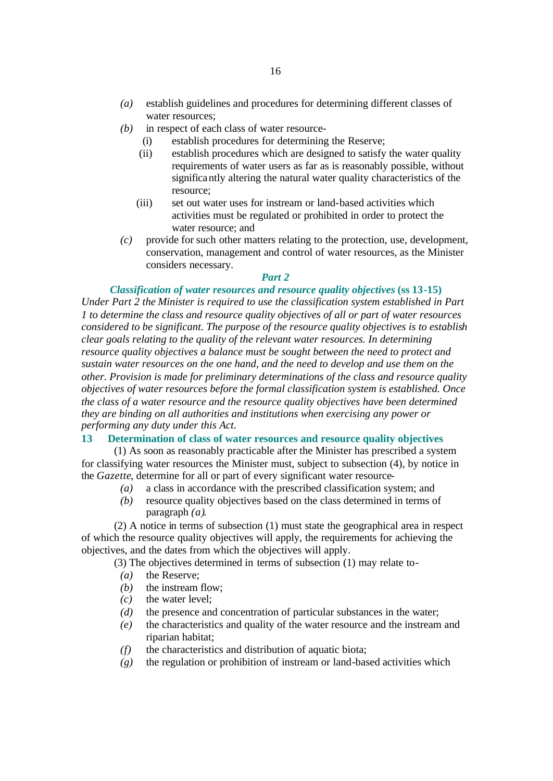16

- *(a)* establish guidelines and procedures for determining different classes of water resources;
- *(b)* in respect of each class of water resource-
	- (i) establish procedures for determining the Reserve;
	- (ii) establish procedures which are designed to satisfy the water quality requirements of water users as far as is reasonably possible, without significantly altering the natural water quality characteristics of the resource;
	- (iii) set out water uses for instream or land-based activities which activities must be regulated or prohibited in order to protect the water resource; and
- *(c)* provide for such other matters relating to the protection, use, development, conservation, management and control of water resources, as the Minister considers necessary.

# *Part 2*

*Classification of water resources and resource quality objectives* **(ss 13-15)** *Under Part 2 the Minister is required to use the classification system established in Part 1 to determine the class and resource quality objectives of all or part of water resources considered to be significant. The purpose of the resource quality objectives is to establish clear goals relating to the quality of the relevant water resources. In determining resource quality objectives a balance must be sought between the need to protect and sustain water resources on the one hand, and the need to develop and use them on the other. Provision is made for preliminary determinations of the class and resource quality objectives of water resources before the formal classification system is established. Once the class of a water resource and the resource quality objectives have been determined they are binding on all authorities and institutions when exercising any power or performing any duty under this Act.*

### **13 Determination of class of water resources and resource quality objectives**

(1) As soon as reasonably practicable after the Minister has prescribed a system for classifying water resources the Minister must, subject to subsection (4), by notice in the *Gazette*, determine for all or part of every significant water resource-

- *(a)* a class in accordance with the prescribed classification system; and
- *(b)* resource quality objectives based on the class determined in terms of paragraph *(a)*.

(2) A notice in terms of subsection (1) must state the geographical area in respect of which the resource quality objectives will apply, the requirements for achieving the objectives, and the dates from which the objectives will apply.

(3) The objectives determined in terms of subsection (1) may relate to-

- *(a)* the Reserve;
- *(b)* the instream flow;
- *(c)* the water level;
- *(d)* the presence and concentration of particular substances in the water;
- *(e)* the characteristics and quality of the water resource and the instream and riparian habitat;
- *(f)* the characteristics and distribution of aquatic biota;
- *(g)* the regulation or prohibition of instream or land-based activities which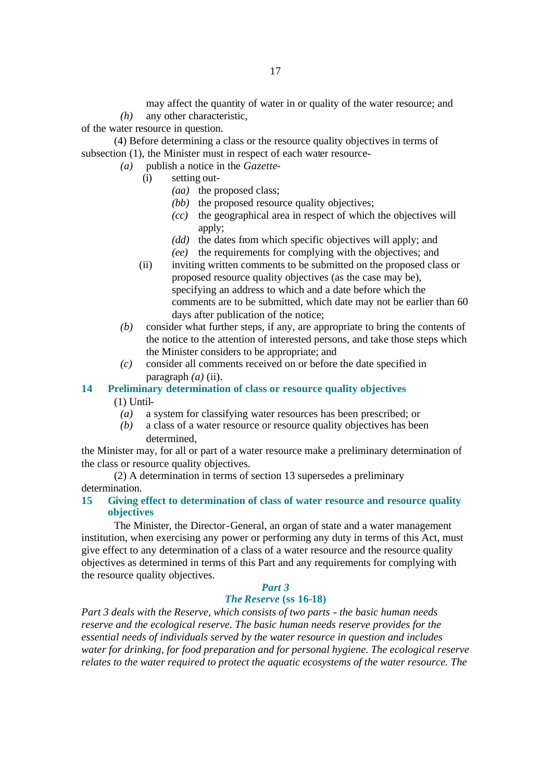may affect the quantity of water in or quality of the water resource; and *(h)* any other characteristic,

of the water resource in question.

(4) Before determining a class or the resource quality objectives in terms of subsection (1), the Minister must in respect of each water resource-

- *(a)* publish a notice in the *Gazette*
	- (i) setting out-
		- *(aa)* the proposed class;
		- *(bb)* the proposed resource quality objectives;
		- *(cc)* the geographical area in respect of which the objectives will apply;
		- *(dd)* the dates from which specific objectives will apply; and
		- *(ee)* the requirements for complying with the objectives; and
	- (ii) inviting written comments to be submitted on the proposed class or proposed resource quality objectives (as the case may be), specifying an address to which and a date before which the comments are to be submitted, which date may not be earlier than 60 days after publication of the notice;
- *(b)* consider what further steps, if any, are appropriate to bring the contents of the notice to the attention of interested persons, and take those steps which the Minister considers to be appropriate; and
- *(c)* consider all comments received on or before the date specified in paragraph *(a)* (ii).

# **14 Preliminary determination of class or resource quality objectives**

(1) Until-

- *(a)* a system for classifying water resources has been prescribed; or
- *(b)* a class of a water resource or resource quality objectives has been determined,

the Minister may, for all or part of a water resource make a preliminary determination of the class or resource quality objectives.

(2) A determination in terms of section 13 supersedes a preliminary determination.

# **15 Giving effect to determination of class of water resource and resource quality objectives**

The Minister, the Director-General, an organ of state and a water management institution, when exercising any power or performing any duty in terms of this Act, must give effect to any determination of a class of a water resource and the resource quality objectives as determined in terms of this Part and any requirements for complying with the resource quality objectives.

# *Part 3*

# *The Reserve* **(ss 16-18)**

*Part 3 deals with the Reserve, which consists of two parts - the basic human needs reserve and the ecological reserve. The basic human needs reserve provides for the essential needs of individuals served by the water resource in question and includes water for drinking, for food preparation and for personal hygiene. The ecological reserve relates to the water required to protect the aquatic ecosystems of the water resource. The*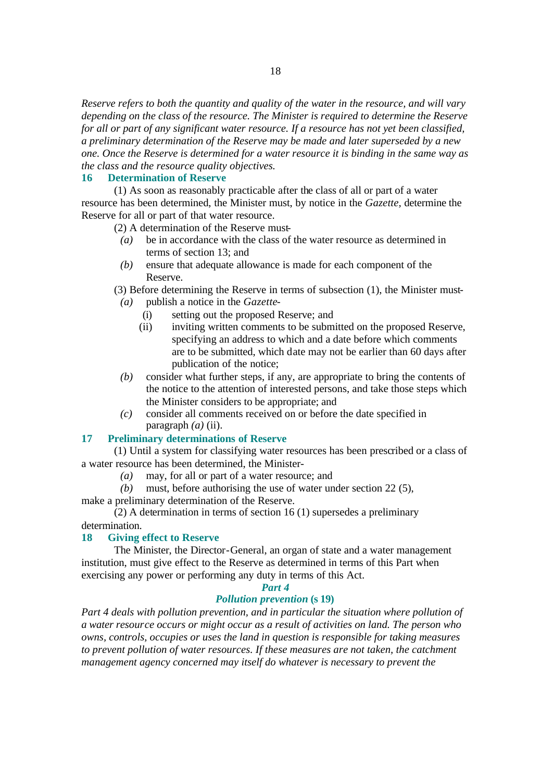*Reserve refers to both the quantity and quality of the water in the resource, and will vary depending on the class of the resource. The Minister is required to determine the Reserve for all or part of any significant water resource. If a resource has not yet been classified, a preliminary determination of the Reserve may be made and later superseded by a new one. Once the Reserve is determined for a water resource it is binding in the same way as the class and the resource quality objectives.* 

# **16 Determination of Reserve**

(1) As soon as reasonably practicable after the class of all or part of a water resource has been determined, the Minister must, by notice in the *Gazette,* determine the Reserve for all or part of that water resource.

(2) A determination of the Reserve must-

- *(a)* be in accordance with the class of the water resource as determined in terms of section 13; and
- *(b)* ensure that adequate allowance is made for each component of the Reserve.

(3) Before determining the Reserve in terms of subsection (1), the Minister must-

- *(a)* publish a notice in the *Gazette*
	- (i) setting out the proposed Reserve; and
	- (ii) inviting written comments to be submitted on the proposed Reserve, specifying an address to which and a date before which comments are to be submitted, which date may not be earlier than 60 days after publication of the notice;
- *(b)* consider what further steps, if any, are appropriate to bring the contents of the notice to the attention of interested persons, and take those steps which the Minister considers to be appropriate; and
- *(c)* consider all comments received on or before the date specified in paragraph *(a)* (ii).

# **17 Preliminary determinations of Reserve**

(1) Until a system for classifying water resources has been prescribed or a class of a water resource has been determined, the Minister-

*(a)* may, for all or part of a water resource; and

*(b)* must, before authorising the use of water under section 22 (5),

make a preliminary determination of the Reserve.

(2) A determination in terms of section 16 (1) supersedes a preliminary determination.

### **18 Giving effect to Reserve**

The Minister, the Director-General, an organ of state and a water management institution, must give effect to the Reserve as determined in terms of this Part when exercising any power or performing any duty in terms of this Act.

### *Part 4*

# *Pollution prevention* **(s 19)**

*Part 4 deals with pollution prevention, and in particular the situation where pollution of a water resource occurs or might occur as a result of activities on land. The person who owns, controls, occupies or uses the land in question is responsible for taking measures to prevent pollution of water resources. If these measures are not taken, the catchment management agency concerned may itself do whatever is necessary to prevent the*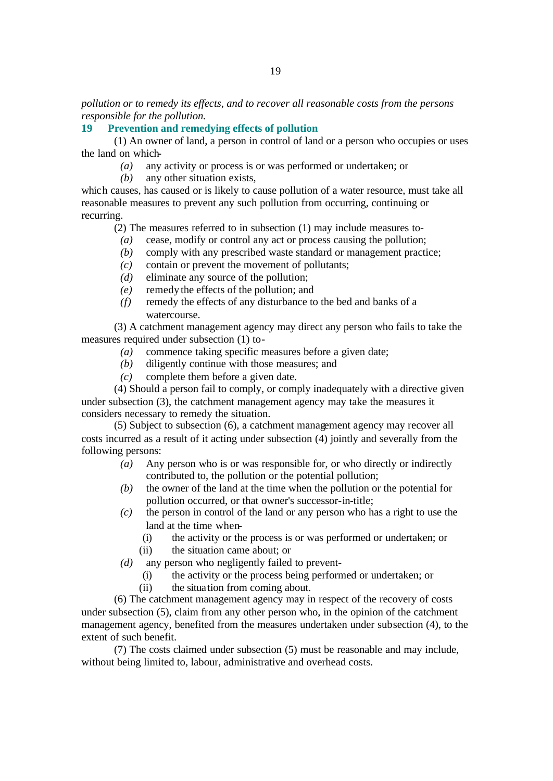*pollution or to remedy its effects, and to recover all reasonable costs from the persons responsible for the pollution.* 

# **19 Prevention and remedying effects of pollution**

(1) An owner of land, a person in control of land or a person who occupies or uses the land on which-

- *(a)* any activity or process is or was performed or undertaken; or
- *(b)* any other situation exists,

which causes, has caused or is likely to cause pollution of a water resource, must take all reasonable measures to prevent any such pollution from occurring, continuing or recurring.

(2) The measures referred to in subsection (1) may include measures to-

- *(a)* cease, modify or control any act or process causing the pollution;
- *(b)* comply with any prescribed waste standard or management practice;
- *(c)* contain or prevent the movement of pollutants;
- *(d)* eliminate any source of the pollution;
- *(e)* remedy the effects of the pollution; and
- *(f)* remedy the effects of any disturbance to the bed and banks of a watercourse.

(3) A catchment management agency may direct any person who fails to take the measures required under subsection (1) to-

- *(a)* commence taking specific measures before a given date;
- *(b)* diligently continue with those measures; and
- *(c)* complete them before a given date.

(4) Should a person fail to comply, or comply inadequately with a directive given under subsection (3), the catchment management agency may take the measures it considers necessary to remedy the situation.

(5) Subject to subsection (6), a catchment management agency may recover all costs incurred as a result of it acting under subsection (4) jointly and severally from the following persons:

- *(a)* Any person who is or was responsible for, or who directly or indirectly contributed to, the pollution or the potential pollution;
- *(b)* the owner of the land at the time when the pollution or the potential for pollution occurred, or that owner's successor-in-title;
- *(c)* the person in control of the land or any person who has a right to use the land at the time when-
	- (i) the activity or the process is or was performed or undertaken; or
	- (ii) the situation came about; or
- *(d)* any person who negligently failed to prevent-
	- (i) the activity or the process being performed or undertaken; or
	- (ii) the situation from coming about.

(6) The catchment management agency may in respect of the recovery of costs under subsection (5), claim from any other person who, in the opinion of the catchment management agency, benefited from the measures undertaken under subsection (4), to the extent of such benefit.

(7) The costs claimed under subsection (5) must be reasonable and may include, without being limited to, labour, administrative and overhead costs.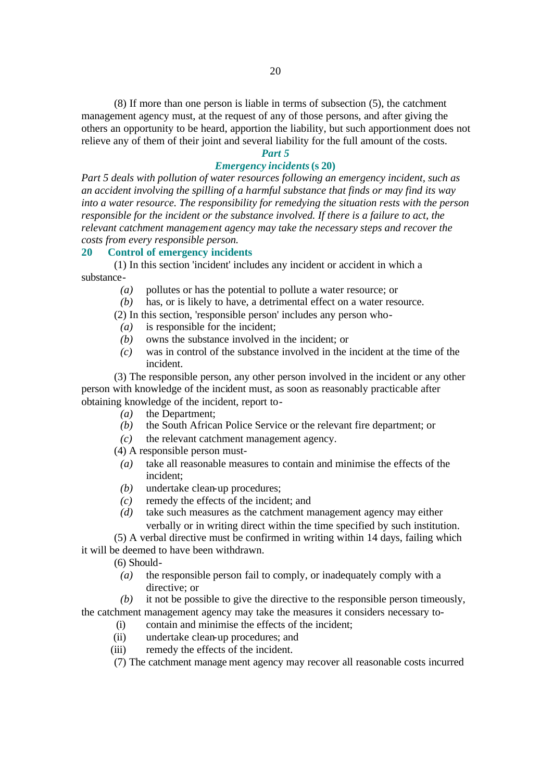(8) If more than one person is liable in terms of subsection (5), the catchment management agency must, at the request of any of those persons, and after giving the others an opportunity to be heard, apportion the liability, but such apportionment does not relieve any of them of their joint and several liability for the full amount of the costs.

### *Part 5*

# *Emergency incidents* **(s 20)**

*Part 5 deals with pollution of water resources following an emergency incident, such as an accident involving the spilling of a harmful substance that finds or may find its way into a water resource. The responsibility for remedying the situation rests with the person responsible for the incident or the substance involved. If there is a failure to act, the relevant catchment management agency may take the necessary steps and recover the costs from every responsible person.* 

### **20 Control of emergency incidents**

(1) In this section 'incident' includes any incident or accident in which a substance-

- *(a)* pollutes or has the potential to pollute a water resource; or
- *(b)* has, or is likely to have, a detrimental effect on a water resource.

(2) In this section, 'responsible person' includes any person who-

- *(a)* is responsible for the incident;
- *(b)* owns the substance involved in the incident; or
- *(c)* was in control of the substance involved in the incident at the time of the incident.

(3) The responsible person, any other person involved in the incident or any other person with knowledge of the incident must, as soon as reasonably practicable after obtaining knowledge of the incident, report to-

- *(a)* the Department;
- *(b)* the South African Police Service or the relevant fire department; or
- *(c)* the relevant catchment management agency.
- (4) A responsible person must-
	- *(a)* take all reasonable measures to contain and minimise the effects of the incident;
- *(b)* undertake clean-up procedures;
- *(c)* remedy the effects of the incident; and
- *(d)* take such measures as the catchment management agency may either verbally or in writing direct within the time specified by such institution.

(5) A verbal directive must be confirmed in writing within 14 days, failing which it will be deemed to have been withdrawn.

(6) Should-

*(a)* the responsible person fail to comply, or inadequately comply with a directive; or

*(b)* it not be possible to give the directive to the responsible person timeously, the catchment management agency may take the measures it considers necessary to-

- (i) contain and minimise the effects of the incident;
- (ii) undertake clean-up procedures; and
- (iii) remedy the effects of the incident.
- (7) The catchment manage ment agency may recover all reasonable costs incurred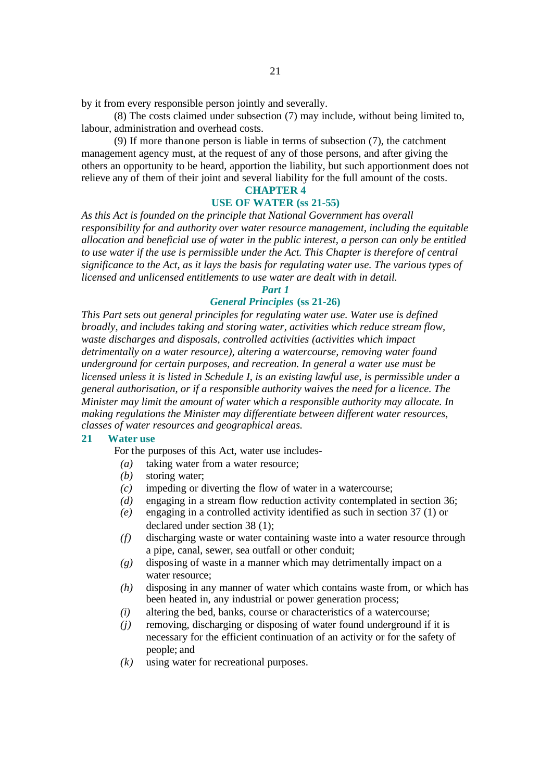by it from every responsible person jointly and severally.

(8) The costs claimed under subsection (7) may include, without being limited to, labour, administration and overhead costs.

(9) If more than one person is liable in terms of subsection (7), the catchment management agency must, at the request of any of those persons, and after giving the others an opportunity to be heard, apportion the liability, but such apportionment does not relieve any of them of their joint and several liability for the full amount of the costs.

### **CHAPTER 4**

### **USE OF WATER (ss 21-55)**

*As this Act is founded on the principle that National Government has overall responsibility for and authority over water resource management, including the equitable allocation and beneficial use of water in the public interest, a person can only be entitled to use water if the use is permissible under the Act. This Chapter is therefore of central significance to the Act, as it lays the basis for regulating water use. The various types of licensed and unlicensed entitlements to use water are dealt with in detail.*

### *Part 1*

# *General Principles* **(ss 21-26)**

*This Part sets out general principles for regulating water use. Water use is defined broadly, and includes taking and storing water, activities which reduce stream flow, waste discharges and disposals, controlled activities (activities which impact detrimentally on a water resource), altering a watercourse, removing water found underground for certain purposes, and recreation. In general a water use must be licensed unless it is listed in Schedule I, is an existing lawful use, is permissible under a general authorisation, or if a responsible authority waives the need for a licence. The Minister may limit the amount of water which a responsible authority may allocate. In making regulations the Minister may differentiate between different water resources, classes of water resources and geographical areas.* 

### **21 Water use**

For the purposes of this Act, water use includes-

- *(a)* taking water from a water resource;
- *(b)* storing water;
- *(c)* impeding or diverting the flow of water in a watercourse;
- *(d)* engaging in a stream flow reduction activity contemplated in section 36;
- *(e)* engaging in a controlled activity identified as such in section 37 (1) or declared under section 38 (1);
- *(f)* discharging waste or water containing waste into a water resource through a pipe, canal, sewer, sea outfall or other conduit;
- *(g)* disposing of waste in a manner which may detrimentally impact on a water resource:
- *(h)* disposing in any manner of water which contains waste from, or which has been heated in, any industrial or power generation process;
- *(i)* altering the bed, banks, course or characteristics of a watercourse;
- *(j)* removing, discharging or disposing of water found underground if it is necessary for the efficient continuation of an activity or for the safety of people; and
- *(k)* using water for recreational purposes.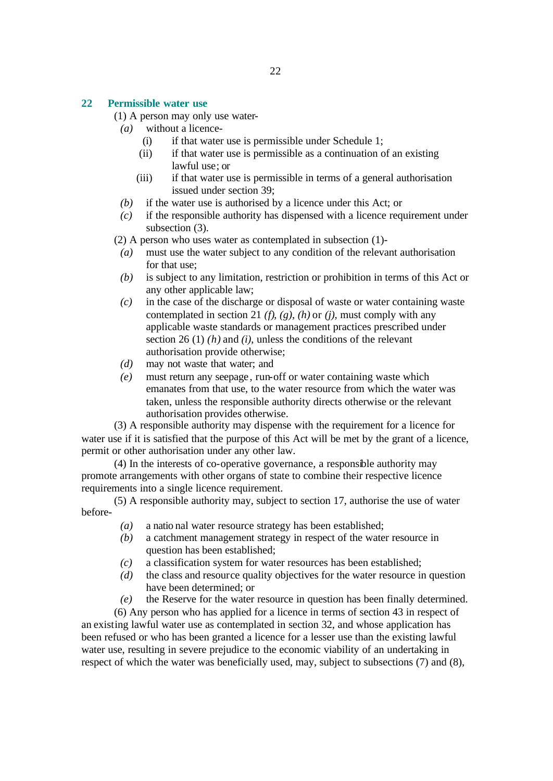### **22 Permissible water use**

- (1) A person may only use water-
	- *(a)* without a licence-
		- (i) if that water use is permissible under Schedule 1;
		- (ii) if that water use is permissible as a continuation of an existing lawful use; or
		- (iii) if that water use is permissible in terms of a general authorisation issued under section 39;
	- *(b)* if the water use is authorised by a licence under this Act; or
	- *(c)* if the responsible authority has dispensed with a licence requirement under subsection (3).
- (2) A person who uses water as contemplated in subsection (1)-
- *(a)* must use the water subject to any condition of the relevant authorisation for that use;
- *(b)* is subject to any limitation, restriction or prohibition in terms of this Act or any other applicable law;
- *(c)* in the case of the discharge or disposal of waste or water containing waste contemplated in section 21 *(f)*,  $(g)$ ,  $(h)$  or *(i)*, must comply with any applicable waste standards or management practices prescribed under section 26 (1) *(h)* and *(i)*, unless the conditions of the relevant authorisation provide otherwise;
- *(d)* may not waste that water; and
- *(e)* must return any seepage , run-off or water containing waste which emanates from that use, to the water resource from which the water was taken, unless the responsible authority directs otherwise or the relevant authorisation provides otherwise.

(3) A responsible authority may dispense with the requirement for a licence for water use if it is satisfied that the purpose of this Act will be met by the grant of a licence, permit or other authorisation under any other law.

(4) In the interests of co-operative governance, a responsible authority may promote arrangements with other organs of state to combine their respective licence requirements into a single licence requirement.

(5) A responsible authority may, subject to section 17, authorise the use of water before-

- *(a)* a natio nal water resource strategy has been established;
- *(b)* a catchment management strategy in respect of the water resource in question has been established;
- *(c)* a classification system for water resources has been established;
- *(d)* the class and resource quality objectives for the water resource in question have been determined; or
- *(e)* the Reserve for the water resource in question has been finally determined.

(6) Any person who has applied for a licence in terms of section 43 in respect of an existing lawful water use as contemplated in section 32, and whose application has been refused or who has been granted a licence for a lesser use than the existing lawful water use, resulting in severe prejudice to the economic viability of an undertaking in respect of which the water was beneficially used, may, subject to subsections (7) and (8),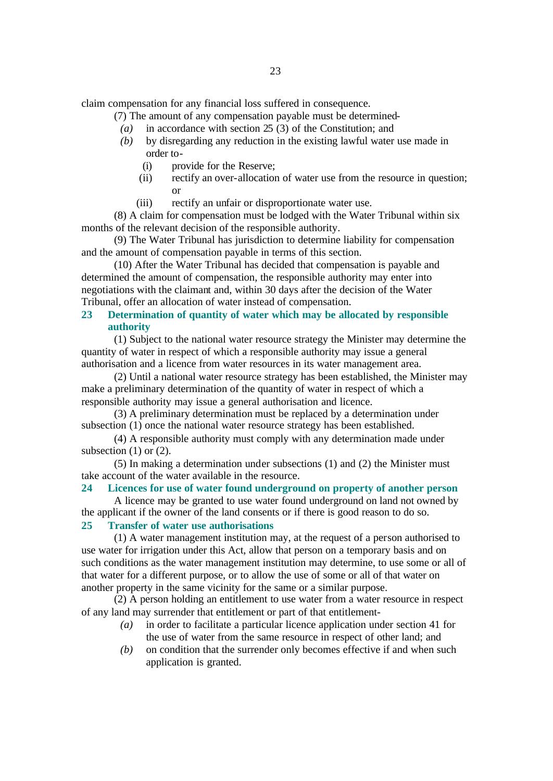claim compensation for any financial loss suffered in consequence.

- (7) The amount of any compensation payable must be determined-
	- *(a)* in accordance with section 25 (3) of the Constitution; and
	- *(b)* by disregarding any reduction in the existing lawful water use made in order to-
		- (i) provide for the Reserve;
		- (ii) rectify an over-allocation of water use from the resource in question; or
		- (iii) rectify an unfair or disproportionate water use.

(8) A claim for compensation must be lodged with the Water Tribunal within six months of the relevant decision of the responsible authority.

(9) The Water Tribunal has jurisdiction to determine liability for compensation and the amount of compensation payable in terms of this section.

(10) After the Water Tribunal has decided that compensation is payable and determined the amount of compensation, the responsible authority may enter into negotiations with the claimant and, within 30 days after the decision of the Water Tribunal, offer an allocation of water instead of compensation.

# **23 Determination of quantity of water which may be allocated by responsible authority**

(1) Subject to the national water resource strategy the Minister may determine the quantity of water in respect of which a responsible authority may issue a general authorisation and a licence from water resources in its water management area.

(2) Until a national water resource strategy has been established, the Minister may make a preliminary determination of the quantity of water in respect of which a responsible authority may issue a general authorisation and licence.

(3) A preliminary determination must be replaced by a determination under subsection (1) once the national water resource strategy has been established.

(4) A responsible authority must comply with any determination made under subsection  $(1)$  or  $(2)$ .

(5) In making a determination under subsections (1) and (2) the Minister must take account of the water available in the resource.

### **24 Licences for use of water found underground on property of another person**

A licence may be granted to use water found underground on land not owned by the applicant if the owner of the land consents or if there is good reason to do so.

# **25 Transfer of water use authorisations**

(1) A water management institution may, at the request of a person authorised to use water for irrigation under this Act, allow that person on a temporary basis and on such conditions as the water management institution may determine, to use some or all of that water for a different purpose, or to allow the use of some or all of that water on another property in the same vicinity for the same or a similar purpose.

(2) A person holding an entitlement to use water from a water resource in respect of any land may surrender that entitlement or part of that entitlement-

- *(a)* in order to facilitate a particular licence application under section 41 for the use of water from the same resource in respect of other land; and
- *(b)* on condition that the surrender only becomes effective if and when such application is granted.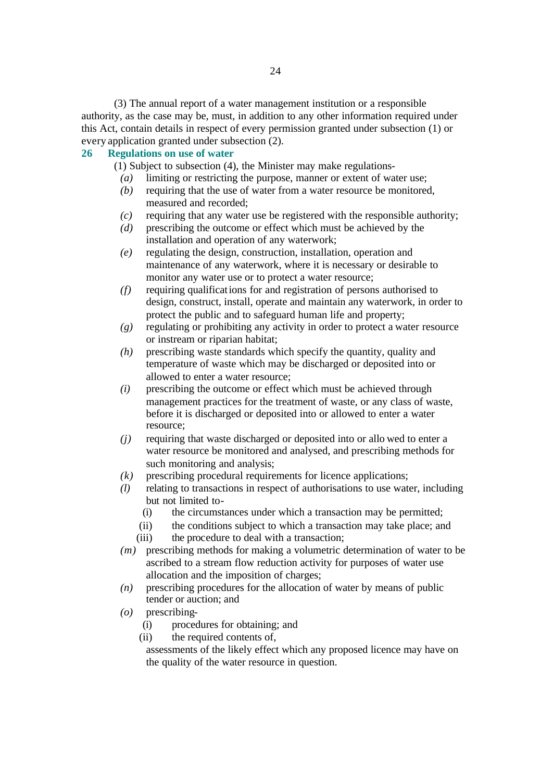(3) The annual report of a water management institution or a responsible authority, as the case may be, must, in addition to any other information required under this Act, contain details in respect of every permission granted under subsection (1) or every application granted under subsection (2).

### **26 Regulations on use of water**

(1) Subject to subsection (4), the Minister may make regulations-

- *(a)* limiting or restricting the purpose, manner or extent of water use;
- *(b)* requiring that the use of water from a water resource be monitored, measured and recorded;
- *(c)* requiring that any water use be registered with the responsible authority;
- *(d)* prescribing the outcome or effect which must be achieved by the installation and operation of any waterwork;
- *(e)* regulating the design, construction, installation, operation and maintenance of any waterwork, where it is necessary or desirable to monitor any water use or to protect a water resource;
- *(f)* requiring qualifications for and registration of persons authorised to design, construct, install, operate and maintain any waterwork, in order to protect the public and to safeguard human life and property;
- *(g)* regulating or prohibiting any activity in order to protect a water resource or instream or riparian habitat;
- *(h)* prescribing waste standards which specify the quantity, quality and temperature of waste which may be discharged or deposited into or allowed to enter a water resource;
- *(i)* prescribing the outcome or effect which must be achieved through management practices for the treatment of waste, or any class of waste, before it is discharged or deposited into or allowed to enter a water resource;
- *(j)* requiring that waste discharged or deposited into or allo wed to enter a water resource be monitored and analysed, and prescribing methods for such monitoring and analysis;
- *(k)* prescribing procedural requirements for licence applications;
- *(l)* relating to transactions in respect of authorisations to use water, including but not limited to-
	- (i) the circumstances under which a transaction may be permitted;
	- (ii) the conditions subject to which a transaction may take place; and
	- (iii) the procedure to deal with a transaction;
- *(m)* prescribing methods for making a volumetric determination of water to be ascribed to a stream flow reduction activity for purposes of water use allocation and the imposition of charges;
- *(n)* prescribing procedures for the allocation of water by means of public tender or auction; and
- *(o)* prescribing-
	- (i) procedures for obtaining; and
	- (ii) the required contents of,

assessments of the likely effect which any proposed licence may have on the quality of the water resource in question.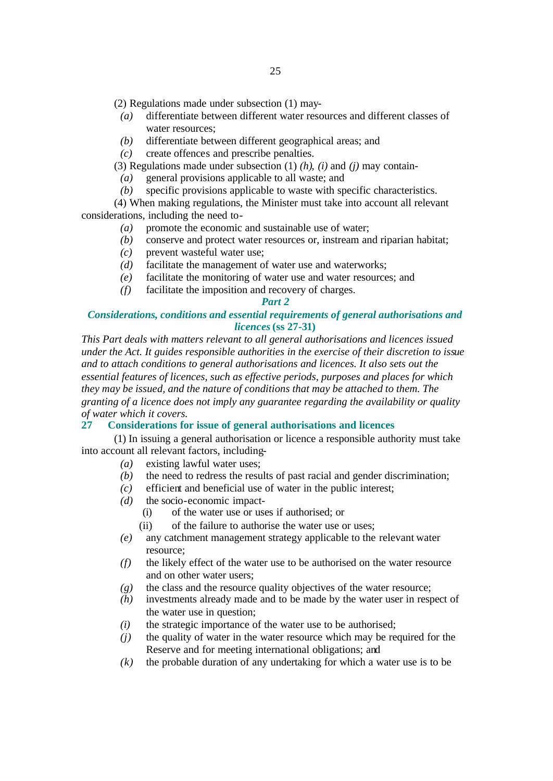(2) Regulations made under subsection (1) may-

- *(a)* differentiate between different water resources and different classes of water resources:
- *(b)* differentiate between different geographical areas; and
- *(c)* create offences and prescribe penalties.

(3) Regulations made under subsection (1) *(h)*, *(i)* and *(j)* may contain-

- *(a)* general provisions applicable to all waste; and
- *(b)* specific provisions applicable to waste with specific characteristics.

(4) When making regulations, the Minister must take into account all relevant considerations, including the need to-

- *(a)* promote the economic and sustainable use of water;
- *(b)* conserve and protect water resources or, instream and riparian habitat;
- *(c)* prevent wasteful water use;
- *(d)* facilitate the management of water use and waterworks;
- *(e)* facilitate the monitoring of water use and water resources; and
- *(f)* facilitate the imposition and recovery of charges.

### *Part 2*

### *Considerations, conditions and essential requirements of general authorisations and licences* **(ss 27-31)**

*This Part deals with matters relevant to all general authorisations and licences issued under the Act. It guides responsible authorities in the exercise of their discretion to issue and to attach conditions to general authorisations and licences. It also sets out the essential features of licences, such as effective periods, purposes and places for which they may be issued, and the nature of conditions that may be attached to them. The granting of a licence does not imply any guarantee regarding the availability or quality of water which it covers.* 

### **27 Considerations for issue of general authorisations and licences**

(1) In issuing a general authorisation or licence a responsible authority must take into account all relevant factors, including-

- *(a)* existing lawful water uses;
- *(b)* the need to redress the results of past racial and gender discrimination;
- *(c)* efficient and beneficial use of water in the public interest;
- *(d)* the socio-economic impact-
	- (i) of the water use or uses if authorised; or
	- (ii) of the failure to authorise the water use or uses;
- *(e)* any catchment management strategy applicable to the relevant water resource;
- *(f)* the likely effect of the water use to be authorised on the water resource and on other water users;
- *(g)* the class and the resource quality objectives of the water resource;
- *(h)* investments already made and to be made by the water user in respect of the water use in question;
- *(i)* the strategic importance of the water use to be authorised;
- *(j)* the quality of water in the water resource which may be required for the Reserve and for meeting international obligations; and
- *(k)* the probable duration of any undertaking for which a water use is to be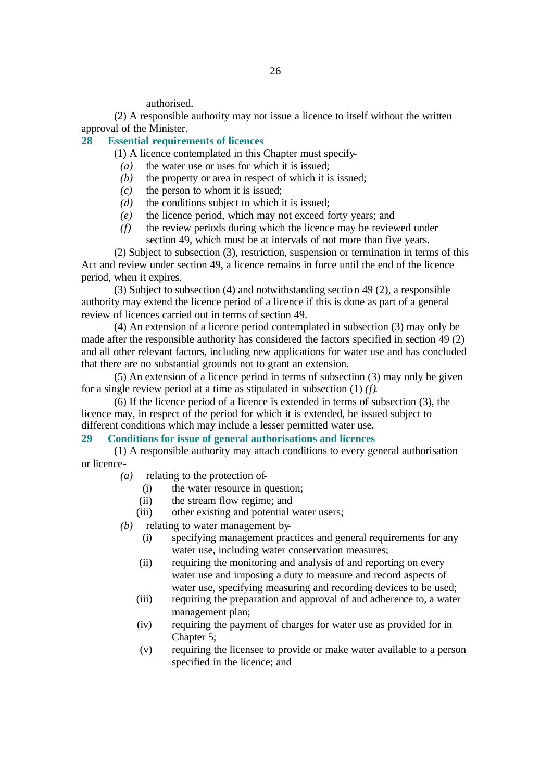authorised.

(2) A responsible authority may not issue a licence to itself without the written approval of the Minister.

### **28 Essential requirements of licences**

(1) A licence contemplated in this Chapter must specify-

- *(a)* the water use or uses for which it is issued;
- *(b)* the property or area in respect of which it is issued;
- *(c)* the person to whom it is issued;
- *(d)* the conditions subject to which it is issued;
- *(e)* the licence period, which may not exceed forty years; and
- *(f)* the review periods during which the licence may be reviewed under section 49, which must be at intervals of not more than five years.

(2) Subject to subsection (3), restriction, suspension or termination in terms of this Act and review under section 49, a licence remains in force until the end of the licence period, when it expires.

(3) Subject to subsection (4) and notwithstanding section 49 (2), a responsible authority may extend the licence period of a licence if this is done as part of a general review of licences carried out in terms of section 49.

(4) An extension of a licence period contemplated in subsection (3) may only be made after the responsible authority has considered the factors specified in section 49 (2) and all other relevant factors, including new applications for water use and has concluded that there are no substantial grounds not to grant an extension.

(5) An extension of a licence period in terms of subsection (3) may only be given for a single review period at a time as stipulated in subsection (1) *(f)*.

(6) If the licence period of a licence is extended in terms of subsection (3), the licence may, in respect of the period for which it is extended, be issued subject to different conditions which may include a lesser permitted water use.

# **29 Conditions for issue of general authorisations and licences**

(1) A responsible authority may attach conditions to every general authorisation or licence-

- *(a)* relating to the protection of-
	- (i) the water resource in question;
	- (ii) the stream flow regime; and
	- (iii) other existing and potential water users;
- *(b)* relating to water management by-
	- (i) specifying management practices and general requirements for any water use, including water conservation measures;
	- (ii) requiring the monitoring and analysis of and reporting on every water use and imposing a duty to measure and record aspects of water use, specifying measuring and recording devices to be used;
	- (iii) requiring the preparation and approval of and adherence to, a water management plan;
	- (iv) requiring the payment of charges for water use as provided for in Chapter 5;
	- (v) requiring the licensee to provide or make water available to a person specified in the licence; and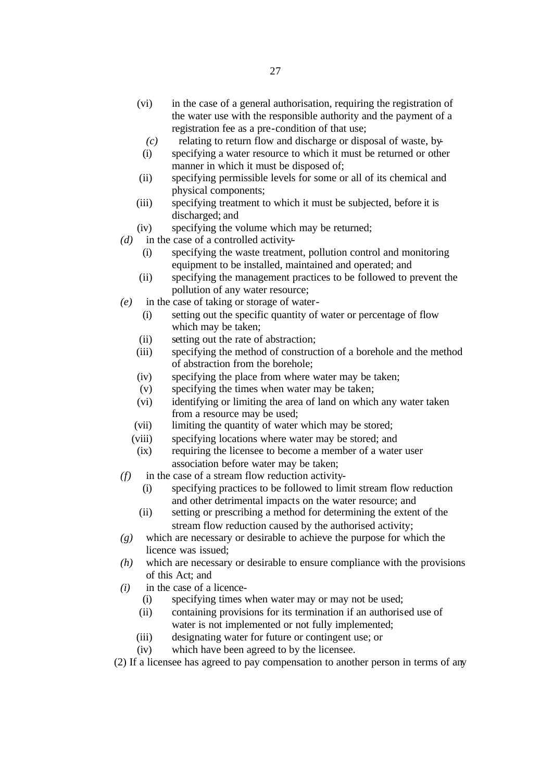- (vi) in the case of a general authorisation, requiring the registration of the water use with the responsible authority and the payment of a registration fee as a pre-condition of that use;
	- *(c)* relating to return flow and discharge or disposal of waste, by-
- (i) specifying a water resource to which it must be returned or other manner in which it must be disposed of;
- (ii) specifying permissible levels for some or all of its chemical and physical components;
- (iii) specifying treatment to which it must be subjected, before it is discharged; and
- (iv) specifying the volume which may be returned;
- *(d)* in the case of a controlled activity-
	- (i) specifying the waste treatment, pollution control and monitoring equipment to be installed, maintained and operated; and
	- (ii) specifying the management practices to be followed to prevent the pollution of any water resource;
- *(e)* in the case of taking or storage of water-
	- (i) setting out the specific quantity of water or percentage of flow which may be taken;
	- (ii) setting out the rate of abstraction;
	- (iii) specifying the method of construction of a borehole and the method of abstraction from the borehole;
	- (iv) specifying the place from where water may be taken;
	- (v) specifying the times when water may be taken;
	- (vi) identifying or limiting the area of land on which any water taken from a resource may be used;
	- (vii) limiting the quantity of water which may be stored;
	- (viii) specifying locations where water may be stored; and
	- (ix) requiring the licensee to become a member of a water user association before water may be taken;
- *(f)* in the case of a stream flow reduction activity-
	- (i) specifying practices to be followed to limit stream flow reduction and other detrimental impacts on the water resource; and
	- (ii) setting or prescribing a method for determining the extent of the stream flow reduction caused by the authorised activity;
- *(g)* which are necessary or desirable to achieve the purpose for which the licence was issued;
- *(h)* which are necessary or desirable to ensure compliance with the provisions of this Act; and
- *(i)* in the case of a licence-
	- (i) specifying times when water may or may not be used;
	- (ii) containing provisions for its termination if an authorised use of water is not implemented or not fully implemented;
	- (iii) designating water for future or contingent use; or
	- (iv) which have been agreed to by the licensee.
- (2) If a licensee has agreed to pay compensation to another person in terms of any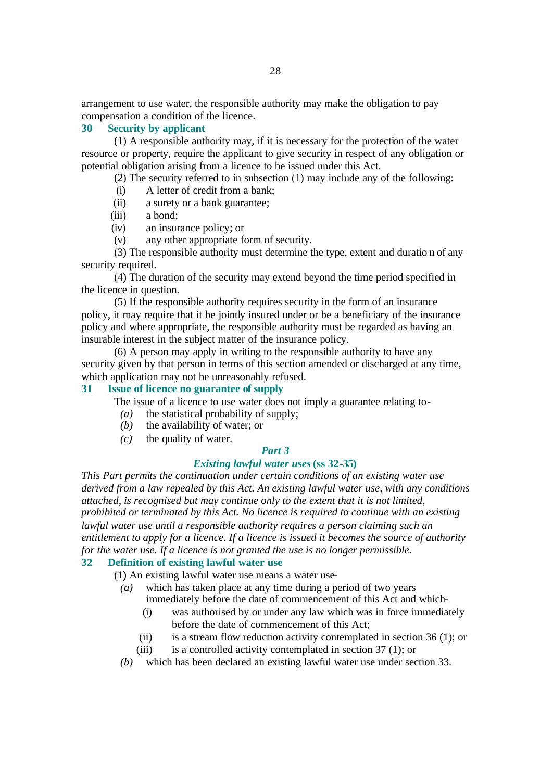arrangement to use water, the responsible authority may make the obligation to pay compensation a condition of the licence.

# **30 Security by applicant**

(1) A responsible authority may, if it is necessary for the protection of the water resource or property, require the applicant to give security in respect of any obligation or potential obligation arising from a licence to be issued under this Act.

(2) The security referred to in subsection (1) may include any of the following:

- (i) A letter of credit from a bank;
- (ii) a surety or a bank guarantee;
- (iii) a bond;
- (iv) an insurance policy; or
- (v) any other appropriate form of security.

(3) The responsible authority must determine the type, extent and duratio n of any security required.

(4) The duration of the security may extend beyond the time period specified in the licence in question.

(5) If the responsible authority requires security in the form of an insurance policy, it may require that it be jointly insured under or be a beneficiary of the insurance policy and where appropriate, the responsible authority must be regarded as having an insurable interest in the subject matter of the insurance policy.

(6) A person may apply in writing to the responsible authority to have any security given by that person in terms of this section amended or discharged at any time, which application may not be unreasonably refused.

# **31 Issue of licence no guarantee of supply**

The issue of a licence to use water does not imply a guarantee relating to-

- *(a)* the statistical probability of supply;
- *(b)* the availability of water; or
- *(c)* the quality of water.

### *Part 3*

# *Existing lawful water uses* **(ss 32-35)**

*This Part permits the continuation under certain conditions of an existing water use derived from a law repealed by this Act. An existing lawful water use, with any conditions attached, is recognised but may continue only to the extent that it is not limited, prohibited or terminated by this Act. No licence is required to continue with an existing lawful water use until a responsible authority requires a person claiming such an entitlement to apply for a licence. If a licence is issued it becomes the source of authority for the water use. If a licence is not granted the use is no longer permissible.* 

### **32 Definition of existing lawful water use**

(1) An existing lawful water use means a water use-

- *(a)* which has taken place at any time during a period of two years
	- immediately before the date of commencement of this Act and which-
	- (i) was authorised by or under any law which was in force immediately before the date of commencement of this Act;
	- (ii) is a stream flow reduction activity contemplated in section 36 (1); or
	- (iii) is a controlled activity contemplated in section  $37$  (1); or
- *(b)* which has been declared an existing lawful water use under section 33.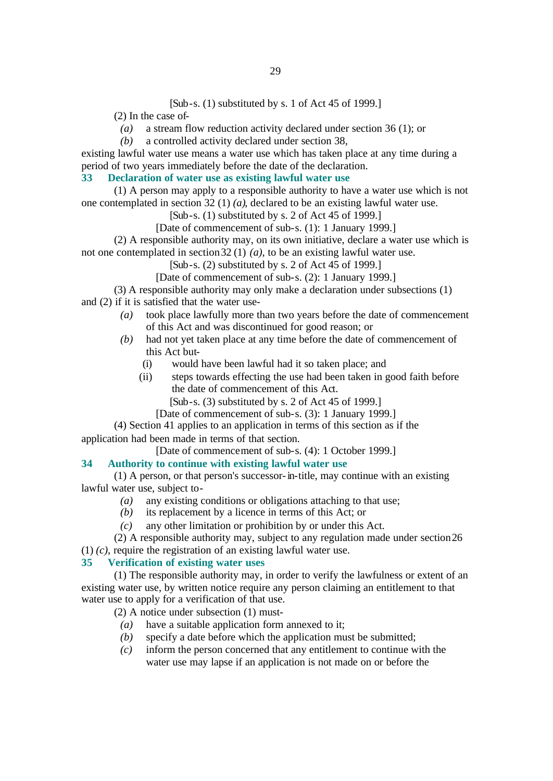### [Sub-s. (1) substituted by s. 1 of Act 45 of 1999.]

(2) In the case of-

- *(a)* a stream flow reduction activity declared under section 36 (1); or
- *(b)* a controlled activity declared under section 38,

existing lawful water use means a water use which has taken place at any time during a period of two years immediately before the date of the declaration.

# **33 Declaration of water use as existing lawful water use**

(1) A person may apply to a responsible authority to have a water use which is not one contemplated in section 32 (1) *(a)*, declared to be an existing lawful water use.

 $[Sub-s. (1)$  substituted by s. 2 of Act 45 of 1999.

[Date of commencement of sub-s. (1): 1 January 1999.]

(2) A responsible authority may, on its own initiative, declare a water use which is not one contemplated in section 32 (1) *(a)*, to be an existing lawful water use.

- [Sub-s. (2) substituted by s. 2 of Act 45 of 1999.]
- [Date of commencement of sub-s. (2): 1 January 1999.]

(3) A responsible authority may only make a declaration under subsections (1) and (2) if it is satisfied that the water use-

- *(a)* took place lawfully more than two years before the date of commencement of this Act and was discontinued for good reason; or
- *(b)* had not yet taken place at any time before the date of commencement of this Act but-
	- (i) would have been lawful had it so taken place; and
	- (ii) steps towards effecting the use had been taken in good faith before the date of commencement of this Act.

 $[Sub-s, (3)$  substituted by s. 2 of Act 45 of 1999.

[Date of commencement of sub-s. (3): 1 January 1999.]

(4) Section 41 applies to an application in terms of this section as if the application had been made in terms of that section.

[Date of commencement of sub-s. (4): 1 October 1999.]

# **34 Authority to continue with existing lawful water use**

(1) A person, or that person's successor-in-title, may continue with an existing lawful water use, subject to-

- *(a)* any existing conditions or obligations attaching to that use;
- *(b)* its replacement by a licence in terms of this Act; or
- *(c)* any other limitation or prohibition by or under this Act.

(2) A responsible authority may, subject to any regulation made under section 26 (1) *(c)*, require the registration of an existing lawful water use.

### **35 Verification of existing water uses**

(1) The responsible authority may, in order to verify the lawfulness or extent of an existing water use, by written notice require any person claiming an entitlement to that water use to apply for a verification of that use.

(2) A notice under subsection (1) must-

- *(a)* have a suitable application form annexed to it;
- *(b)* specify a date before which the application must be submitted;
- *(c)* inform the person concerned that any entitlement to continue with the water use may lapse if an application is not made on or before the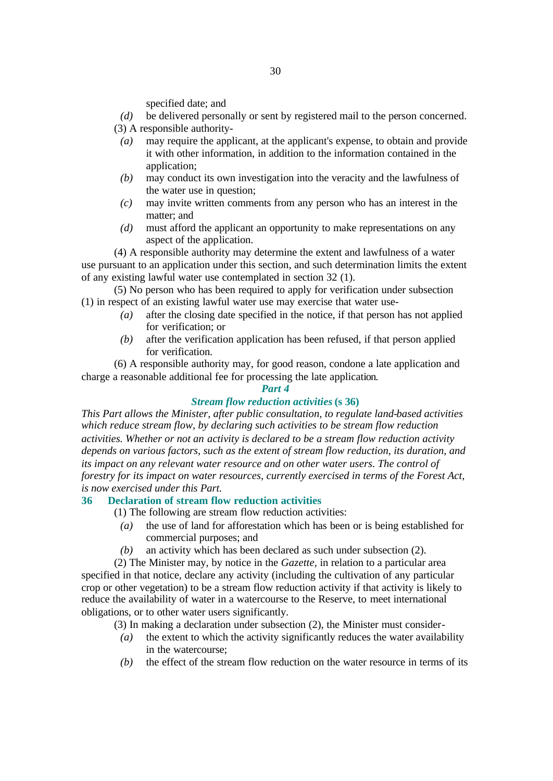specified date; and

*(d)* be delivered personally or sent by registered mail to the person concerned. (3) A responsible authority-

- *(a)* may require the applicant, at the applicant's expense, to obtain and provide it with other information, in addition to the information contained in the application;
- *(b)* may conduct its own investigation into the veracity and the lawfulness of the water use in question;
- *(c)* may invite written comments from any person who has an interest in the matter; and
- *(d)* must afford the applicant an opportunity to make representations on any aspect of the application.

(4) A responsible authority may determine the extent and lawfulness of a water use pursuant to an application under this section, and such determination limits the extent of any existing lawful water use contemplated in section 32 (1).

(5) No person who has been required to apply for verification under subsection (1) in respect of an existing lawful water use may exercise that water use-

- *(a)* after the closing date specified in the notice, if that person has not applied for verification; or
- *(b)* after the verification application has been refused, if that person applied for verification.

(6) A responsible authority may, for good reason, condone a late application and charge a reasonable additional fee for processing the late application.

### *Part 4*

# *Stream flow reduction activities* **(s 36)**

*This Part allows the Minister, after public consultation, to regulate land-based activities which reduce stream flow, by declaring such activities to be stream flow reduction activities. Whether or not an activity is declared to be a stream flow reduction activity depends on various factors, such as the extent of stream flow reduction, its duration, and its impact on any relevant water resource and on other water users. The control of forestry for its impact on water resources, currently exercised in terms of the Forest Act, is now exercised under this Part.* 

### **36 Declaration of stream flow reduction activities**

- (1) The following are stream flow reduction activities:
	- *(a)* the use of land for afforestation which has been or is being established for commercial purposes; and
	- *(b)* an activity which has been declared as such under subsection (2).

(2) The Minister may, by notice in the *Gazette,* in relation to a particular area specified in that notice, declare any activity (including the cultivation of any particular crop or other vegetation) to be a stream flow reduction activity if that activity is likely to reduce the availability of water in a watercourse to the Reserve, to meet international obligations, or to other water users significantly.

(3) In making a declaration under subsection (2), the Minister must consider-

- *(a)* the extent to which the activity significantly reduces the water availability in the watercourse;
- *(b)* the effect of the stream flow reduction on the water resource in terms of its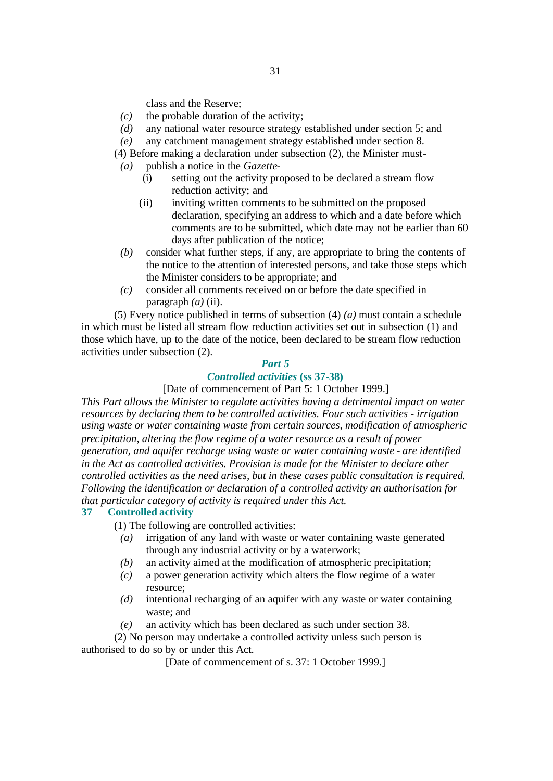class and the Reserve;

- *(c)* the probable duration of the activity;
- *(d)* any national water resource strategy established under section 5; and
- *(e)* any catchment management strategy established under section 8.
- (4) Before making a declaration under subsection (2), the Minister must-
- *(a)* publish a notice in the *Gazette*
	- (i) setting out the activity proposed to be declared a stream flow reduction activity; and
	- (ii) inviting written comments to be submitted on the proposed declaration, specifying an address to which and a date before which comments are to be submitted, which date may not be earlier than 60 days after publication of the notice;
- *(b)* consider what further steps, if any, are appropriate to bring the contents of the notice to the attention of interested persons, and take those steps which the Minister considers to be appropriate; and
- *(c)* consider all comments received on or before the date specified in paragraph *(a)* (ii).

(5) Every notice published in terms of subsection (4) *(a)* must contain a schedule in which must be listed all stream flow reduction activities set out in subsection (1) and those which have, up to the date of the notice, been declared to be stream flow reduction activities under subsection (2).

# *Part 5*

### *Controlled activities* **(ss 37-38)**

### [Date of commencement of Part 5: 1 October 1999.]

*This Part allows the Minister to regulate activities having a detrimental impact on water resources by declaring them to be controlled activities. Four such activities - irrigation using waste or water containing waste from certain sources, modification of atmospheric precipitation, altering the flow regime of a water resource as a result of power generation, and aquifer recharge using waste or water containing waste - are identified in the Act as controlled activities. Provision is made for the Minister to declare other controlled activities as the need arises, but in these cases public consultation is required. Following the identification or declaration of a controlled activity an authorisation for that particular category of activity is required under this Act.* 

### **37 Controlled activity**

(1) The following are controlled activities:

- *(a)* irrigation of any land with waste or water containing waste generated through any industrial activity or by a waterwork;
- *(b)* an activity aimed at the modification of atmospheric precipitation;
- *(c)* a power generation activity which alters the flow regime of a water resource;
- *(d)* intentional recharging of an aquifer with any waste or water containing waste; and
- *(e)* an activity which has been declared as such under section 38.

(2) No person may undertake a controlled activity unless such person is authorised to do so by or under this Act.

[Date of commencement of s. 37: 1 October 1999.]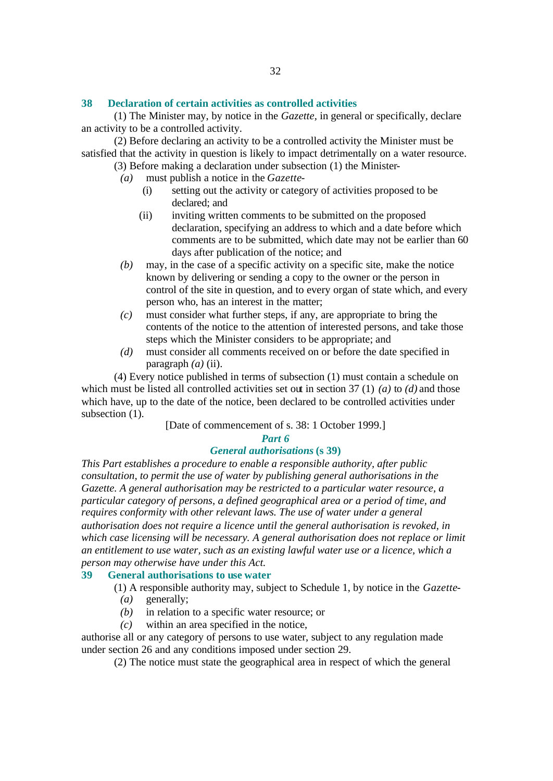### **38 Declaration of certain activities as controlled activities**

(1) The Minister may, by notice in the *Gazette,* in general or specifically, declare an activity to be a controlled activity.

(2) Before declaring an activity to be a controlled activity the Minister must be satisfied that the activity in question is likely to impact detrimentally on a water resource.

- (3) Before making a declaration under subsection (1) the Minister-
	- *(a)* must publish a notice in the *Gazette*
		- (i) setting out the activity or category of activities proposed to be declared; and
		- (ii) inviting written comments to be submitted on the proposed declaration, specifying an address to which and a date before which comments are to be submitted, which date may not be earlier than 60 days after publication of the notice; and
	- *(b)* may, in the case of a specific activity on a specific site, make the notice known by delivering or sending a copy to the owner or the person in control of the site in question, and to every organ of state which, and every person who, has an interest in the matter;
	- *(c)* must consider what further steps, if any, are appropriate to bring the contents of the notice to the attention of interested persons, and take those steps which the Minister considers to be appropriate; and
	- *(d)* must consider all comments received on or before the date specified in paragraph *(a)* (ii).

(4) Every notice published in terms of subsection (1) must contain a schedule on which must be listed all controlled activities set out in section 37 (1) *(a)* to *(d)* and those which have, up to the date of the notice, been declared to be controlled activities under subsection  $(1)$ .

[Date of commencement of s. 38: 1 October 1999.]

# *Part 6*

# *General authorisations* **(s 39)**

*This Part establishes a procedure to enable a responsible authority, after public consultation, to permit the use of water by publishing general authorisations in the Gazette. A general authorisation may be restricted to a particular water resource, a particular category of persons, a defined geographical area or a period of time, and requires conformity with other relevant laws. The use of water under a general authorisation does not require a licence until the general authorisation is revoked, in which case licensing will be necessary. A general authorisation does not replace or limit an entitlement to use water, such as an existing lawful water use or a licence, which a person may otherwise have under this Act.* 

### **39 General authorisations to use water**

(1) A responsible authority may, subject to Schedule 1, by notice in the *Gazette*-

- *(a)* generally;
- *(b)* in relation to a specific water resource; or
- *(c)* within an area specified in the notice,

authorise all or any category of persons to use water, subject to any regulation made under section 26 and any conditions imposed under section 29.

(2) The notice must state the geographical area in respect of which the general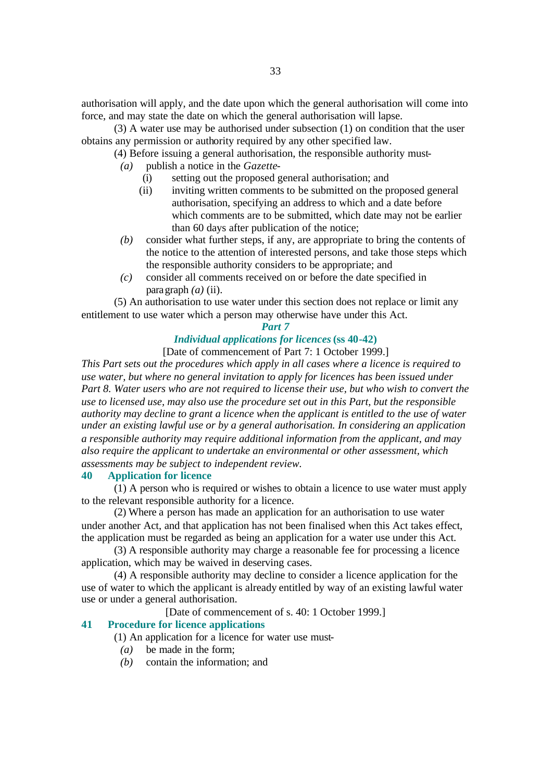authorisation will apply, and the date upon which the general authorisation will come into force, and may state the date on which the general authorisation will lapse.

(3) A water use may be authorised under subsection (1) on condition that the user obtains any permission or authority required by any other specified law.

(4) Before issuing a general authorisation, the responsible authority must-

- *(a)* publish a notice in the *Gazette*
	- (i) setting out the proposed general authorisation; and
	- (ii) inviting written comments to be submitted on the proposed general authorisation, specifying an address to which and a date before which comments are to be submitted, which date may not be earlier than 60 days after publication of the notice;
- *(b)* consider what further steps, if any, are appropriate to bring the contents of the notice to the attention of interested persons, and take those steps which the responsible authority considers to be appropriate; and
- *(c)* consider all comments received on or before the date specified in paragraph *(a)* (ii).

(5) An authorisation to use water under this section does not replace or limit any entitlement to use water which a person may otherwise have under this Act.

# *Part 7*

# *Individual applications for licences* **(ss 40-42)**

[Date of commencement of Part 7: 1 October 1999.] *This Part sets out the procedures which apply in all cases where a licence is required to use water, but where no general invitation to apply for licences has been issued under Part 8. Water users who are not required to license their use, but who wish to convert the use to licensed use, may also use the procedure set out in this Part, but the responsible authority may decline to grant a licence when the applicant is entitled to the use of water under an existing lawful use or by a general authorisation. In considering an application a responsible authority may require additional information from the applicant, and may* 

*also require the applicant to undertake an environmental or other assessment, which* 

### *assessments may be subject to independent review.*  **40 Application for licence**

(1) A person who is required or wishes to obtain a licence to use water must apply to the relevant responsible authority for a licence.

(2) Where a person has made an application for an authorisation to use water under another Act, and that application has not been finalised when this Act takes effect, the application must be regarded as being an application for a water use under this Act.

(3) A responsible authority may charge a reasonable fee for processing a licence application, which may be waived in deserving cases.

(4) A responsible authority may decline to consider a licence application for the use of water to which the applicant is already entitled by way of an existing lawful water use or under a general authorisation.

[Date of commencement of s. 40: 1 October 1999.]

# **41 Procedure for licence applications**

(1) An application for a licence for water use must-

- *(a)* be made in the form;
- *(b)* contain the information; and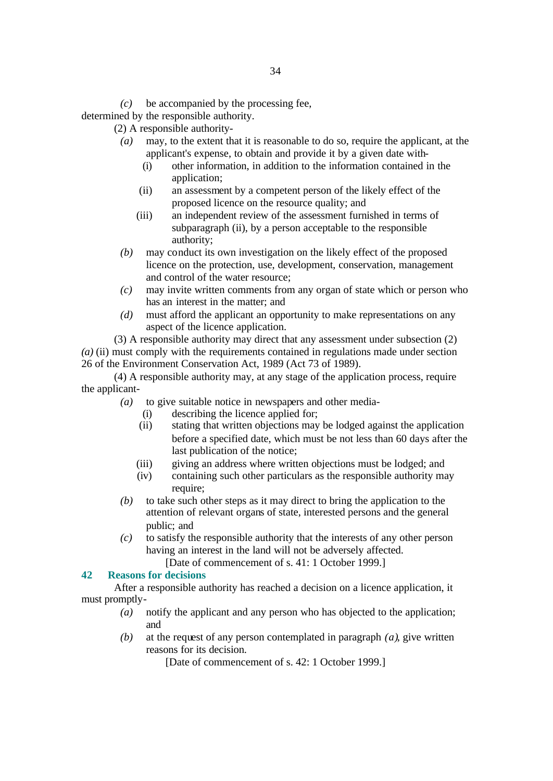*(c)* be accompanied by the processing fee,

determined by the responsible authority.

(2) A responsible authority-

- *(a)* may, to the extent that it is reasonable to do so, require the applicant, at the applicant's expense, to obtain and provide it by a given date with-
	- (i) other information, in addition to the information contained in the application;
	- (ii) an assessment by a competent person of the likely effect of the proposed licence on the resource quality; and
	- (iii) an independent review of the assessment furnished in terms of subparagraph (ii), by a person acceptable to the responsible authority;
- *(b)* may conduct its own investigation on the likely effect of the proposed licence on the protection, use, development, conservation, management and control of the water resource;
- *(c)* may invite written comments from any organ of state which or person who has an interest in the matter; and
- *(d)* must afford the applicant an opportunity to make representations on any aspect of the licence application.

(3) A responsible authority may direct that any assessment under subsection (2) *(a)* (ii) must comply with the requirements contained in regulations made under section 26 of the Environment Conservation Act, 1989 (Act 73 of 1989).

(4) A responsible authority may, at any stage of the application process, require the applicant-

*(a)* to give suitable notice in newspapers and other media-

- (i) describing the licence applied for;
- (ii) stating that written objections may be lodged against the application before a specified date, which must be not less than 60 days after the last publication of the notice;
- (iii) giving an address where written objections must be lodged; and
- (iv) containing such other particulars as the responsible authority may require;
- *(b)* to take such other steps as it may direct to bring the application to the attention of relevant organs of state, interested persons and the general public; and
- *(c)* to satisfy the responsible authority that the interests of any other person having an interest in the land will not be adversely affected.
	- [Date of commencement of s. 41: 1 October 1999.]

# **42 Reasons for decisions**

After a responsible authority has reached a decision on a licence application, it must promptly-

- *(a)* notify the applicant and any person who has objected to the application; and
- *(b)* at the request of any person contemplated in paragraph *(a)*, give written reasons for its decision.

[Date of commencement of s. 42: 1 October 1999.]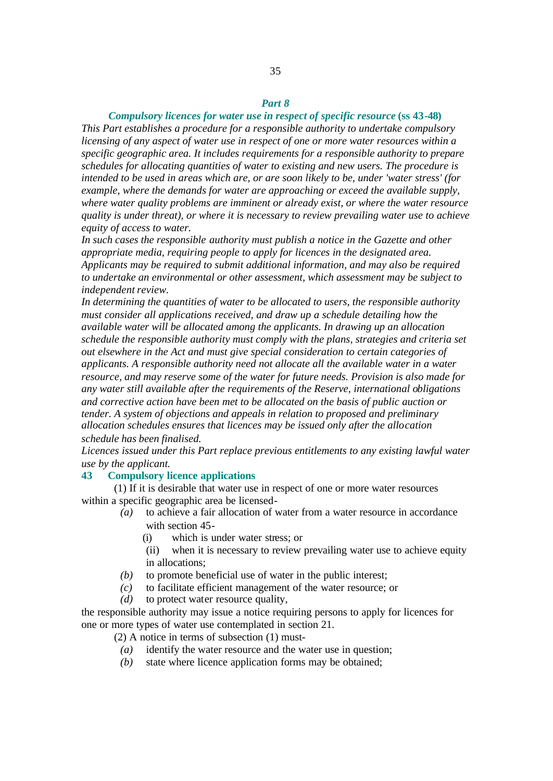### *Compulsory licences for water use in respect of specific resource* **(ss 43-48)**

*This Part establishes a procedure for a responsible authority to undertake compulsory licensing of any aspect of water use in respect of one or more water resources within a specific geographic area. It includes requirements for a responsible authority to prepare schedules for allocating quantities of water to existing and new users. The procedure is intended to be used in areas which are, or are soon likely to be, under 'water stress' (for example, where the demands for water are approaching or exceed the available supply, where water quality problems are imminent or already exist, or where the water resource quality is under threat), or where it is necessary to review prevailing water use to achieve equity of access to water.* 

*In such cases the responsible authority must publish a notice in the Gazette and other appropriate media, requiring people to apply for licences in the designated area. Applicants may be required to submit additional information, and may also be required to undertake an environmental or other assessment, which assessment may be subject to independent review.*

*In determining the quantities of water to be allocated to users, the responsible authority must consider all applications received, and draw up a schedule detailing how the available water will be allocated among the applicants. In drawing up an allocation schedule the responsible authority must comply with the plans, strategies and criteria set out elsewhere in the Act and must give special consideration to certain categories of applicants. A responsible authority need not allocate all the available water in a water resource, and may reserve some of the water for future needs. Provision is also made for any water still available after the requirements of the Reserve, international obligations and corrective action have been met to be allocated on the basis of public auction or tender. A system of objections and appeals in relation to proposed and preliminary allocation schedules ensures that licences may be issued only after the allocation schedule has been finalised.* 

*Licences issued under this Part replace previous entitlements to any existing lawful water use by the applicant.* 

### **43 Compulsory licence applications**

(1) If it is desirable that water use in respect of one or more water resources within a specific geographic area be licensed-

- *(a)* to achieve a fair allocation of water from a water resource in accordance with section 45-
	- (i) which is under water stress; or

(ii) when it is necessary to review prevailing water use to achieve equity in allocations;

- *(b)* to promote beneficial use of water in the public interest;
- *(c)* to facilitate efficient management of the water resource; or
- *(d)* to protect water resource quality,

the responsible authority may issue a notice requiring persons to apply for licences for one or more types of water use contemplated in section 21.

(2) A notice in terms of subsection (1) must-

- *(a)* identify the water resource and the water use in question;
- *(b)* state where licence application forms may be obtained;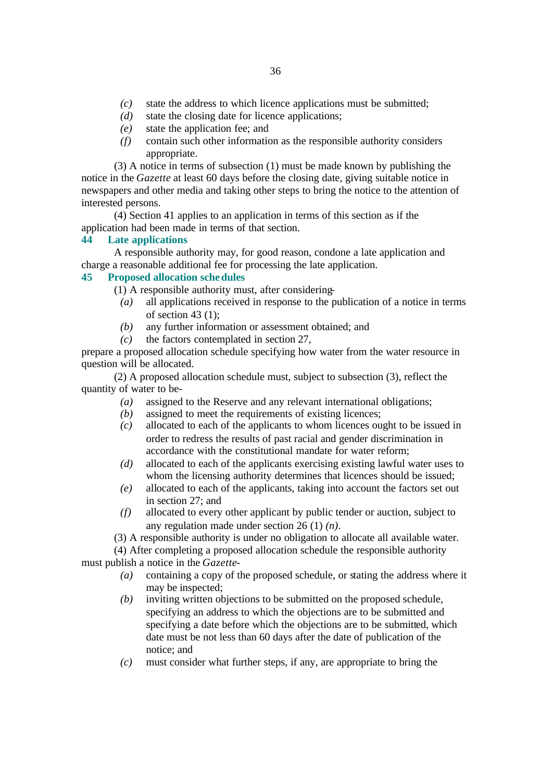- *(c)* state the address to which licence applications must be submitted;
- *(d)* state the closing date for licence applications;
- *(e)* state the application fee; and
- *(f)* contain such other information as the responsible authority considers appropriate.

(3) A notice in terms of subsection (1) must be made known by publishing the notice in the *Gazette* at least 60 days before the closing date, giving suitable notice in newspapers and other media and taking other steps to bring the notice to the attention of interested persons.

(4) Section 41 applies to an application in terms of this section as if the application had been made in terms of that section.

### **44 Late applications**

A responsible authority may, for good reason, condone a late application and charge a reasonable additional fee for processing the late application.

# **45 Proposed allocation schedules**

- (1) A responsible authority must, after considering-
	- *(a)* all applications received in response to the publication of a notice in terms of section  $43(1)$ :
- *(b)* any further information or assessment obtained; and
- *(c)* the factors contemplated in section 27,

prepare a proposed allocation schedule specifying how water from the water resource in question will be allocated.

(2) A proposed allocation schedule must, subject to subsection (3), reflect the quantity of water to be-

- *(a)* assigned to the Reserve and any relevant international obligations;
- *(b)* assigned to meet the requirements of existing licences;
- *(c)* allocated to each of the applicants to whom licences ought to be issued in order to redress the results of past racial and gender discrimination in accordance with the constitutional mandate for water reform;
- *(d)* allocated to each of the applicants exercising existing lawful water uses to whom the licensing authority determines that licences should be issued;
- *(e)* allocated to each of the applicants, taking into account the factors set out in section 27; and
- *(f)* allocated to every other applicant by public tender or auction, subject to any regulation made under section 26 (1) *(n)*.

(3) A responsible authority is under no obligation to allocate all available water.

(4) After completing a proposed allocation schedule the responsible authority must publish a notice in the *Gazette*-

- *(a)* containing a copy of the proposed schedule, or stating the address where it may be inspected;
- *(b)* inviting written objections to be submitted on the proposed schedule, specifying an address to which the objections are to be submitted and specifying a date before which the objections are to be submitted, which date must be not less than 60 days after the date of publication of the notice; and
- *(c)* must consider what further steps, if any, are appropriate to bring the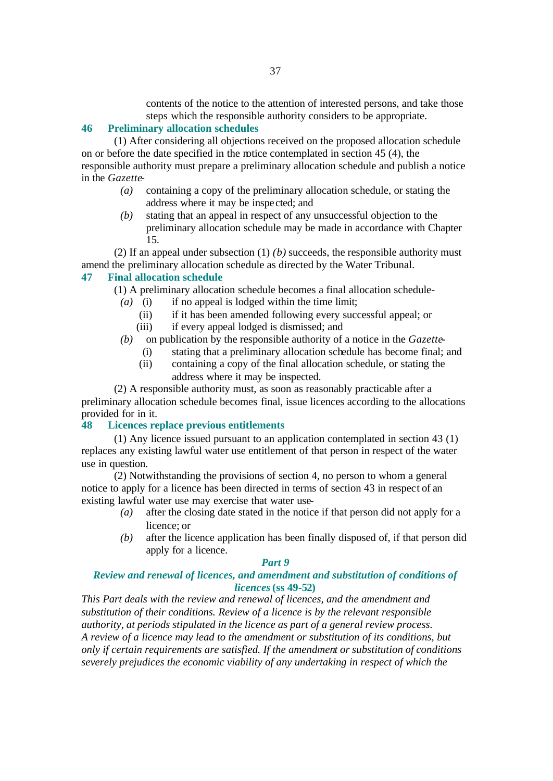contents of the notice to the attention of interested persons, and take those steps which the responsible authority considers to be appropriate.

## **46 Preliminary allocation schedules**

(1) After considering all objections received on the proposed allocation schedule on or before the date specified in the notice contemplated in section 45 (4), the responsible authority must prepare a preliminary allocation schedule and publish a notice in the *Gazette*-

- *(a)* containing a copy of the preliminary allocation schedule, or stating the address where it may be inspe cted; and
- *(b)* stating that an appeal in respect of any unsuccessful objection to the preliminary allocation schedule may be made in accordance with Chapter 15.

(2) If an appeal under subsection (1) *(b)* succeeds, the responsible authority must amend the preliminary allocation schedule as directed by the Water Tribunal.

## **47 Final allocation schedule**

(1) A preliminary allocation schedule becomes a final allocation schedule-

- *(a)* (i) if no appeal is lodged within the time limit;
	- (ii) if it has been amended following every successful appeal; or
	- (iii) if every appeal lodged is dismissed; and
- *(b)* on publication by the responsible authority of a notice in the *Gazette*
	- (i) stating that a preliminary allocation schedule has become final; and
	- (ii) containing a copy of the final allocation schedule, or stating the address where it may be inspected.

(2) A responsible authority must, as soon as reasonably practicable after a preliminary allocation schedule becomes final, issue licences according to the allocations provided for in it.

## **48 Licences replace previous entitlements**

(1) Any licence issued pursuant to an application contemplated in section 43 (1) replaces any existing lawful water use entitlement of that person in respect of the water use in question.

(2) Notwithstanding the provisions of section 4, no person to whom a general notice to apply for a licence has been directed in terms of section 43 in respect of an existing lawful water use may exercise that water use-

- *(a)* after the closing date stated in the notice if that person did not apply for a licence; or
- *(b)* after the licence application has been finally disposed of, if that person did apply for a licence.

#### *Part 9*

## *Review and renewal of licences, and amendment and substitution of conditions of licences* **(ss 49-52)**

*This Part deals with the review and renewal of licences, and the amendment and substitution of their conditions. Review of a licence is by the relevant responsible authority, at periods stipulated in the licence as part of a general review process. A review of a licence may lead to the amendment or substitution of its conditions, but only if certain requirements are satisfied. If the amendment or substitution of conditions severely prejudices the economic viability of any undertaking in respect of which the*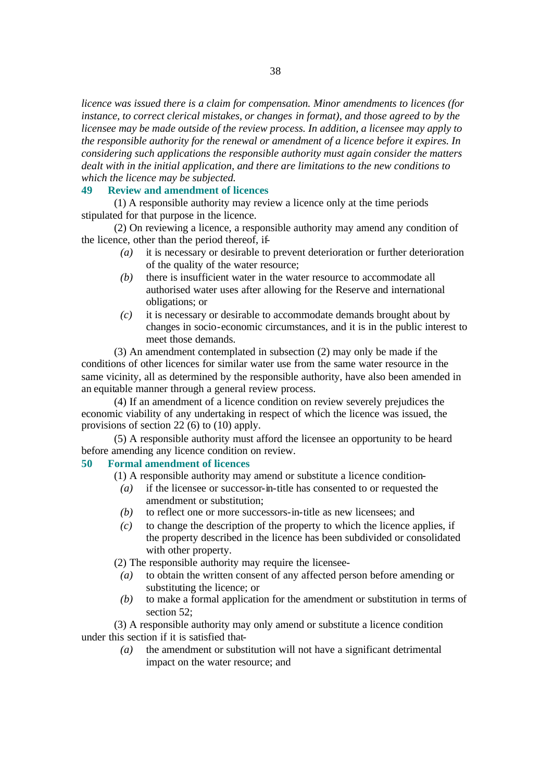*licence was issued there is a claim for compensation. Minor amendments to licences (for instance, to correct clerical mistakes, or changes in format), and those agreed to by the licensee may be made outside of the review process. In addition, a licensee may apply to the responsible authority for the renewal or amendment of a licence before it expires. In considering such applications the responsible authority must again consider the matters dealt with in the initial application, and there are limitations to the new conditions to which the licence may be subjected.* 

### **49 Review and amendment of licences**

(1) A responsible authority may review a licence only at the time periods stipulated for that purpose in the licence.

(2) On reviewing a licence, a responsible authority may amend any condition of the licence, other than the period thereof, if-

- *(a)* it is necessary or desirable to prevent deterioration or further deterioration of the quality of the water resource;
- *(b)* there is insufficient water in the water resource to accommodate all authorised water uses after allowing for the Reserve and international obligations; or
- *(c)* it is necessary or desirable to accommodate demands brought about by changes in socio-economic circumstances, and it is in the public interest to meet those demands.

(3) An amendment contemplated in subsection (2) may only be made if the conditions of other licences for similar water use from the same water resource in the same vicinity, all as determined by the responsible authority, have also been amended in an equitable manner through a general review process.

(4) If an amendment of a licence condition on review severely prejudices the economic viability of any undertaking in respect of which the licence was issued, the provisions of section 22 (6) to (10) apply.

(5) A responsible authority must afford the licensee an opportunity to be heard before amending any licence condition on review.

#### **50 Formal amendment of licences**

(1) A responsible authority may amend or substitute a licence condition-

- *(a)* if the licensee or successor-in-title has consented to or requested the amendment or substitution;
- *(b)* to reflect one or more successors-in-title as new licensees; and
- *(c)* to change the description of the property to which the licence applies, if the property described in the licence has been subdivided or consolidated with other property.

(2) The responsible authority may require the licensee-

- *(a)* to obtain the written consent of any affected person before amending or substituting the licence; or
- *(b)* to make a formal application for the amendment or substitution in terms of section 52:

(3) A responsible authority may only amend or substitute a licence condition under this section if it is satisfied that-

> *(a)* the amendment or substitution will not have a significant detrimental impact on the water resource; and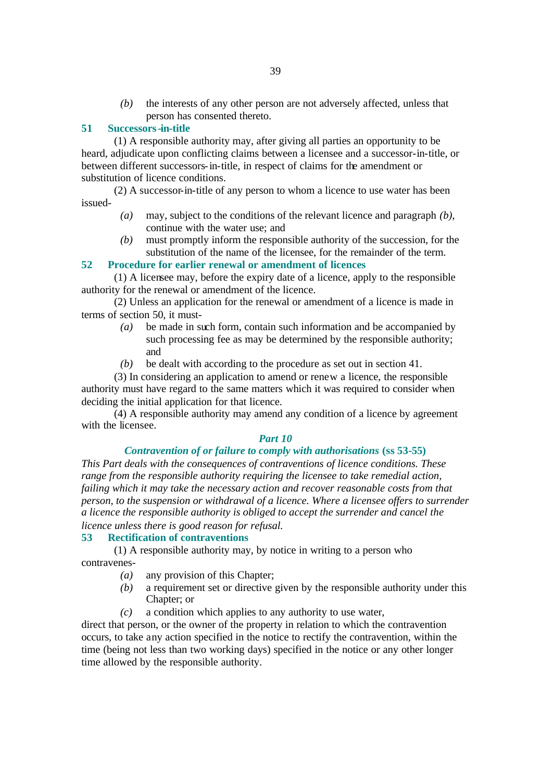*(b)* the interests of any other person are not adversely affected, unless that person has consented thereto.

## **51 Successors-in-title**

(1) A responsible authority may, after giving all parties an opportunity to be heard, adjudicate upon conflicting claims between a licensee and a successor-in-title, or between different successors-in-title, in respect of claims for the amendment or substitution of licence conditions.

(2) A successor-in-title of any person to whom a licence to use water has been issued-

- *(a)* may, subject to the conditions of the relevant licence and paragraph *(b)*, continue with the water use; and
- *(b)* must promptly inform the responsible authority of the succession, for the substitution of the name of the licensee, for the remainder of the term.

## **52 Procedure for earlier renewal or amendment of licences**

(1) A licensee may, before the expiry date of a licence, apply to the responsible authority for the renewal or amendment of the licence.

(2) Unless an application for the renewal or amendment of a licence is made in terms of section 50, it must-

- *(a)* be made in such form, contain such information and be accompanied by such processing fee as may be determined by the responsible authority; and
- *(b)* be dealt with according to the procedure as set out in section 41.

(3) In considering an application to amend or renew a licence, the responsible authority must have regard to the same matters which it was required to consider when deciding the initial application for that licence.

(4) A responsible authority may amend any condition of a licence by agreement with the licensee.

#### *Part 10*

#### *Contravention of or failure to comply with authorisations* **(ss 53-55)**

*This Part deals with the consequences of contraventions of licence conditions. These range from the responsible authority requiring the licensee to take remedial action, failing which it may take the necessary action and recover reasonable costs from that person, to the suspension or withdrawal of a licence. Where a licensee offers to surrender a licence the responsible authority is obliged to accept the surrender and cancel the licence unless there is good reason for refusal.*

## **53 Rectification of contraventions**

(1) A responsible authority may, by notice in writing to a person who contravenes-

- *(a)* any provision of this Chapter;
- *(b)* a requirement set or directive given by the responsible authority under this Chapter; or
- *(c)* a condition which applies to any authority to use water,

direct that person, or the owner of the property in relation to which the contravention occurs, to take any action specified in the notice to rectify the contravention, within the time (being not less than two working days) specified in the notice or any other longer time allowed by the responsible authority.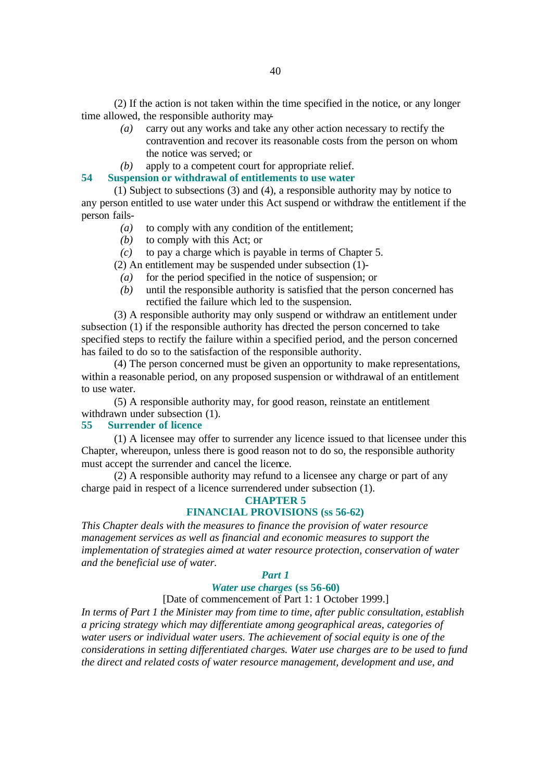(2) If the action is not taken within the time specified in the notice, or any longer time allowed, the responsible authority may-

- *(a)* carry out any works and take any other action necessary to rectify the contravention and recover its reasonable costs from the person on whom the notice was served; or
- *(b)* apply to a competent court for appropriate relief.
- **54 Suspension or withdrawal of entitlements to use water**

(1) Subject to subsections (3) and (4), a responsible authority may by notice to any person entitled to use water under this Act suspend or withdraw the entitlement if the person fails-

- *(a)* to comply with any condition of the entitlement;
- *(b)* to comply with this Act; or
- *(c)* to pay a charge which is payable in terms of Chapter 5.

(2) An entitlement may be suspended under subsection (1)-

- *(a)* for the period specified in the notice of suspension; or
- *(b)* until the responsible authority is satisfied that the person concerned has rectified the failure which led to the suspension.

(3) A responsible authority may only suspend or withdraw an entitlement under subsection (1) if the responsible authority has directed the person concerned to take specified steps to rectify the failure within a specified period, and the person concerned has failed to do so to the satisfaction of the responsible authority.

(4) The person concerned must be given an opportunity to make representations, within a reasonable period, on any proposed suspension or withdrawal of an entitlement to use water.

(5) A responsible authority may, for good reason, reinstate an entitlement withdrawn under subsection (1).

#### **55 Surrender of licence**

(1) A licensee may offer to surrender any licence issued to that licensee under this Chapter, whereupon, unless there is good reason not to do so, the responsible authority must accept the surrender and cancel the licence.

(2) A responsible authority may refund to a licensee any charge or part of any charge paid in respect of a licence surrendered under subsection (1).

#### **CHAPTER 5**

## **FINANCIAL PROVISIONS (ss 56-62)**

*This Chapter deals with the measures to finance the provision of water resource management services as well as financial and economic measures to support the implementation of strategies aimed at water resource protection, conservation of water and the beneficial use of water.*

#### *Part 1*

#### *Water use charges* **(ss 56-60)**

[Date of commencement of Part 1: 1 October 1999.]

*In terms of Part 1 the Minister may from time to time, after public consultation, establish a pricing strategy which may differentiate among geographical areas, categories of water users or individual water users. The achievement of social equity is one of the considerations in setting differentiated charges. Water use charges are to be used to fund the direct and related costs of water resource management, development and use, and*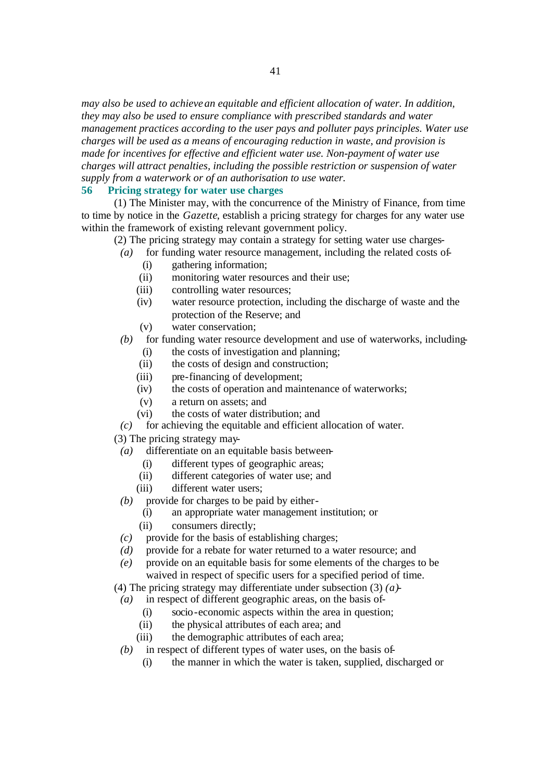*may also be used to achieve an equitable and efficient allocation of water. In addition, they may also be used to ensure compliance with prescribed standards and water management practices according to the user pays and polluter pays principles. Water use charges will be used as a means of encouraging reduction in waste, and provision is made for incentives for effective and efficient water use. Non-payment of water use charges will attract penalties, including the possible restriction or suspension of water supply from a waterwork or of an authorisation to use water.* 

#### **56 Pricing strategy for water use charges**

(1) The Minister may, with the concurrence of the Ministry of Finance, from time to time by notice in the *Gazette*, establish a pricing strategy for charges for any water use within the framework of existing relevant government policy.

- (2) The pricing strategy may contain a strategy for setting water use charges-
	- *(a)* for funding water resource management, including the related costs of- (i) gathering information;
		- (ii) monitoring water resources and their use;
		- (iii) controlling water resources;
		- (iv) water resource protection, including the discharge of waste and the protection of the Reserve; and
		- (v) water conservation;
	- *(b)* for funding water resource development and use of waterworks, including-
		- (i) the costs of investigation and planning;
		- (ii) the costs of design and construction;
		- (iii) pre-financing of development;
		- (iv) the costs of operation and maintenance of waterworks;
		- (v) a return on assets; and
		- (vi) the costs of water distribution; and
	- *(c)* for achieving the equitable and efficient allocation of water.
- (3) The pricing strategy may-
- *(a)* differentiate on an equitable basis between-
	- (i) different types of geographic areas;
	- (ii) different categories of water use; and
	- (iii) different water users;
- *(b)* provide for charges to be paid by either-
	- (i) an appropriate water management institution; or
	- (ii) consumers directly;
- *(c)* provide for the basis of establishing charges;
- *(d)* provide for a rebate for water returned to a water resource; and
- *(e)* provide on an equitable basis for some elements of the charges to be waived in respect of specific users for a specified period of time.
- (4) The pricing strategy may differentiate under subsection (3) *(a)*-
- *(a)* in respect of different geographic areas, on the basis of-
	- (i) socio-economic aspects within the area in question;
	- (ii) the physical attributes of each area; and
	- (iii) the demographic attributes of each area;
- *(b)* in respect of different types of water uses, on the basis of-
	- (i) the manner in which the water is taken, supplied, discharged or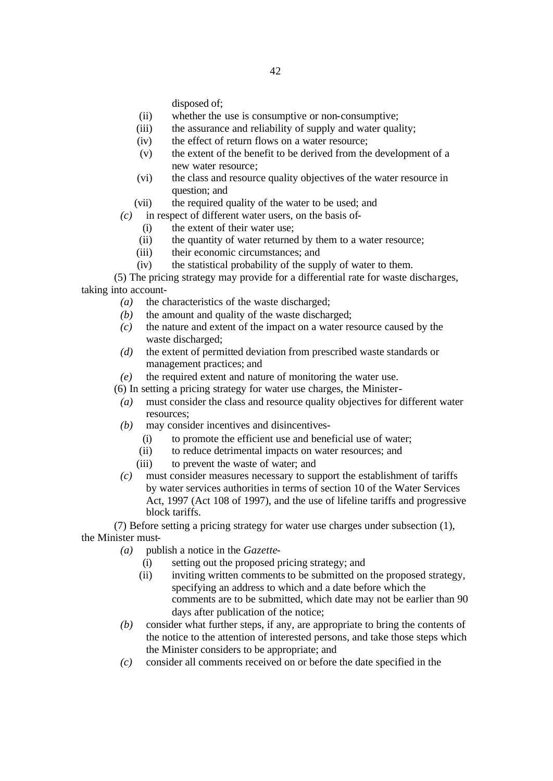disposed of;

- (ii) whether the use is consumptive or non-consumptive;
- (iii) the assurance and reliability of supply and water quality;
- (iv) the effect of return flows on a water resource;
- (v) the extent of the benefit to be derived from the development of a new water resource;
- (vi) the class and resource quality objectives of the water resource in question; and
- (vii) the required quality of the water to be used; and
- *(c)* in respect of different water users, on the basis of-
	- (i) the extent of their water use;
	- (ii) the quantity of water returned by them to a water resource;
	- (iii) their economic circumstances; and
	- (iv) the statistical probability of the supply of water to them.

(5) The pricing strategy may provide for a differential rate for waste discharges, taking into account-

- *(a)* the characteristics of the waste discharged;
- *(b)* the amount and quality of the waste discharged;
- *(c)* the nature and extent of the impact on a water resource caused by the waste discharged;
- *(d)* the extent of permitted deviation from prescribed waste standards or management practices; and
- *(e)* the required extent and nature of monitoring the water use.
- (6) In setting a pricing strategy for water use charges, the Minister-
- *(a)* must consider the class and resource quality objectives for different water resources;
- *(b)* may consider incentives and disincentives-
	- (i) to promote the efficient use and beneficial use of water;
	- (ii) to reduce detrimental impacts on water resources; and
	- (iii) to prevent the waste of water; and
- *(c)* must consider measures necessary to support the establishment of tariffs by water services authorities in terms of section 10 of the Water Services Act, 1997 (Act 108 of 1997), and the use of lifeline tariffs and progressive block tariffs.

(7) Before setting a pricing strategy for water use charges under subsection (1), the Minister must-

- *(a)* publish a notice in the *Gazette-*
	- (i) setting out the proposed pricing strategy; and
	- (ii) inviting written comments to be submitted on the proposed strategy, specifying an address to which and a date before which the comments are to be submitted, which date may not be earlier than 90 days after publication of the notice;
- *(b)* consider what further steps, if any, are appropriate to bring the contents of the notice to the attention of interested persons, and take those steps which the Minister considers to be appropriate; and
- *(c)* consider all comments received on or before the date specified in the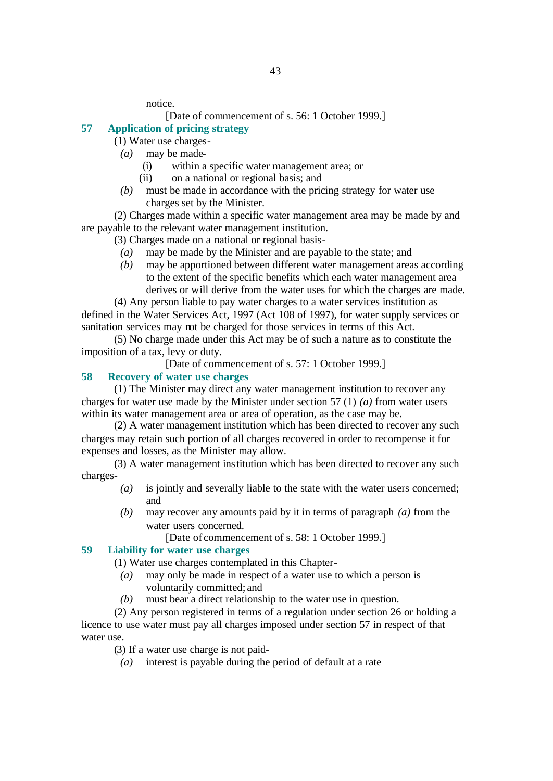notice.

## **57 Application of pricing strategy**

- (1) Water use charges-
	- *(a)* may be made-
		- (i) within a specific water management area; or
		- (ii) on a national or regional basis; and
	- *(b)* must be made in accordance with the pricing strategy for water use charges set by the Minister.

(2) Charges made within a specific water management area may be made by and are payable to the relevant water management institution.

- (3) Charges made on a national or regional basis-
	- *(a)* may be made by the Minister and are payable to the state; and
	- *(b)* may be apportioned between different water management areas according to the extent of the specific benefits which each water management area derives or will derive from the water uses for which the charges are made.

(4) Any person liable to pay water charges to a water services institution as defined in the Water Services Act, 1997 (Act 108 of 1997), for water supply services or sanitation services may not be charged for those services in terms of this Act.

(5) No charge made under this Act may be of such a nature as to constitute the imposition of a tax, levy or duty.

[Date of commencement of s. 57: 1 October 1999.]

#### **58 Recovery of water use charges**

(1) The Minister may direct any water management institution to recover any charges for water use made by the Minister under section 57 (1) *(a)* from water users within its water management area or area of operation, as the case may be.

(2) A water management institution which has been directed to recover any such charges may retain such portion of all charges recovered in order to recompense it for expenses and losses, as the Minister may allow.

(3) A water management institution which has been directed to recover any such charges-

- *(a)* is jointly and severally liable to the state with the water users concerned; and
- *(b)* may recover any amounts paid by it in terms of paragraph *(a)* from the water users concerned.
	- [Date of commencement of s. 58: 1 October 1999.]

## **59 Liability for water use charges**

- (1) Water use charges contemplated in this Chapter-
- *(a)* may only be made in respect of a water use to which a person is voluntarily committed; and
- *(b)* must bear a direct relationship to the water use in question.

(2) Any person registered in terms of a regulation under section 26 or holding a licence to use water must pay all charges imposed under section 57 in respect of that water use.

- (3) If a water use charge is not paid-
	- *(a)* interest is payable during the period of default at a rate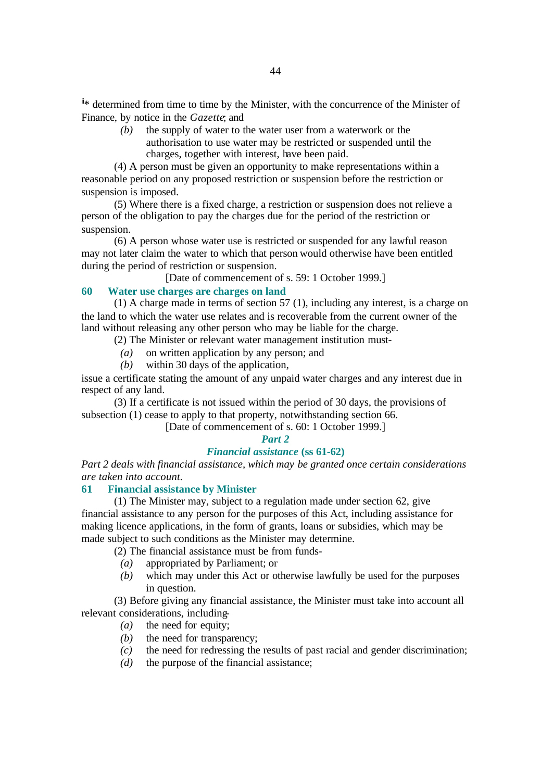$\mathbb{I}^*$  determined from time to time by the Minister, with the concurrence of the Minister of Finance, by notice in the *Gazette*; and

*(b)* the supply of water to the water user from a waterwork or the authorisation to use water may be restricted or suspended until the charges, together with interest, have been paid.

(4) A person must be given an opportunity to make representations within a reasonable period on any proposed restriction or suspension before the restriction or suspension is imposed.

(5) Where there is a fixed charge, a restriction or suspension does not relieve a person of the obligation to pay the charges due for the period of the restriction or suspension.

(6) A person whose water use is restricted or suspended for any lawful reason may not later claim the water to which that person would otherwise have been entitled during the period of restriction or suspension.

[Date of commencement of s. 59: 1 October 1999.]

## **60 Water use charges are charges on land**

(1) A charge made in terms of section 57 (1), including any interest, is a charge on the land to which the water use relates and is recoverable from the current owner of the land without releasing any other person who may be liable for the charge.

(2) The Minister or relevant water management institution must-

- *(a)* on written application by any person; and
- *(b)* within 30 days of the application,

issue a certificate stating the amount of any unpaid water charges and any interest due in respect of any land.

(3) If a certificate is not issued within the period of 30 days, the provisions of subsection (1) cease to apply to that property, notwithstanding section 66.

[Date of commencement of s. 60: 1 October 1999.]

#### *Part 2*

# *Financial assistance* **(ss 61-62)**

*Part 2 deals with financial assistance, which may be granted once certain considerations are taken into account.*

#### **61 Financial assistance by Minister**

(1) The Minister may, subject to a regulation made under section 62, give financial assistance to any person for the purposes of this Act, including assistance for making licence applications, in the form of grants, loans or subsidies, which may be made subject to such conditions as the Minister may determine.

(2) The financial assistance must be from funds-

- *(a)* appropriated by Parliament; or
- *(b)* which may under this Act or otherwise lawfully be used for the purposes in question.

(3) Before giving any financial assistance, the Minister must take into account all relevant considerations, including-

- *(a)* the need for equity;
- *(b)* the need for transparency;
- *(c)* the need for redressing the results of past racial and gender discrimination;
- *(d)* the purpose of the financial assistance;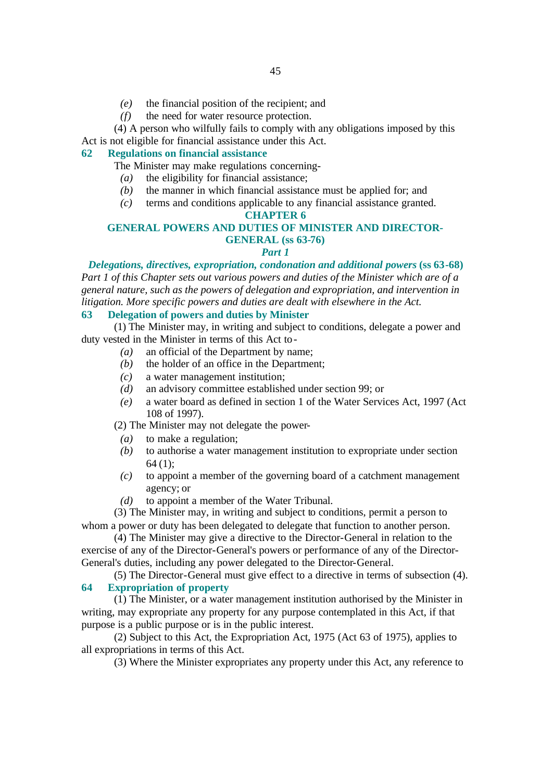- *(e)* the financial position of the recipient; and
- *(f)* the need for water resource protection.

(4) A person who wilfully fails to comply with any obligations imposed by this Act is not eligible for financial assistance under this Act.

#### **62 Regulations on financial assistance**

The Minister may make regulations concerning-

- *(a)* the eligibility for financial assistance;
- *(b)* the manner in which financial assistance must be applied for; and
- *(c)* terms and conditions applicable to any financial assistance granted.

### **CHAPTER 6**

# **GENERAL POWERS AND DUTIES OF MINISTER AND DIRECTOR-GENERAL (ss 63-76)**

*Part 1*

*Delegations, directives, expropriation, condonation and additional powers* **(ss 63-68)** *Part 1 of this Chapter sets out various powers and duties of the Minister which are of a general nature, such as the powers of delegation and expropriation, and intervention in litigation. More specific powers and duties are dealt with elsewhere in the Act.* 

## **63 Delegation of powers and duties by Minister**

(1) The Minister may, in writing and subject to conditions, delegate a power and duty vested in the Minister in terms of this Act to-

- *(a)* an official of the Department by name;
- *(b)* the holder of an office in the Department;
- *(c)* a water management institution;
- *(d)* an advisory committee established under section 99; or
- *(e)* a water board as defined in section 1 of the Water Services Act, 1997 (Act 108 of 1997).

(2) The Minister may not delegate the power-

- *(a)* to make a regulation;
- *(b)* to authorise a water management institution to expropriate under section 64 (1);
- *(c)* to appoint a member of the governing board of a catchment management agency; or
- *(d)* to appoint a member of the Water Tribunal.

(3) The Minister may, in writing and subject to conditions, permit a person to whom a power or duty has been delegated to delegate that function to another person.

(4) The Minister may give a directive to the Director-General in relation to the exercise of any of the Director-General's powers or performance of any of the Director-General's duties, including any power delegated to the Director-General.

(5) The Director-General must give effect to a directive in terms of subsection (4). **64 Expropriation of property**

(1) The Minister, or a water management institution authorised by the Minister in writing, may expropriate any property for any purpose contemplated in this Act, if that purpose is a public purpose or is in the public interest.

(2) Subject to this Act, the Expropriation Act, 1975 (Act 63 of 1975), applies to all expropriations in terms of this Act.

(3) Where the Minister expropriates any property under this Act, any reference to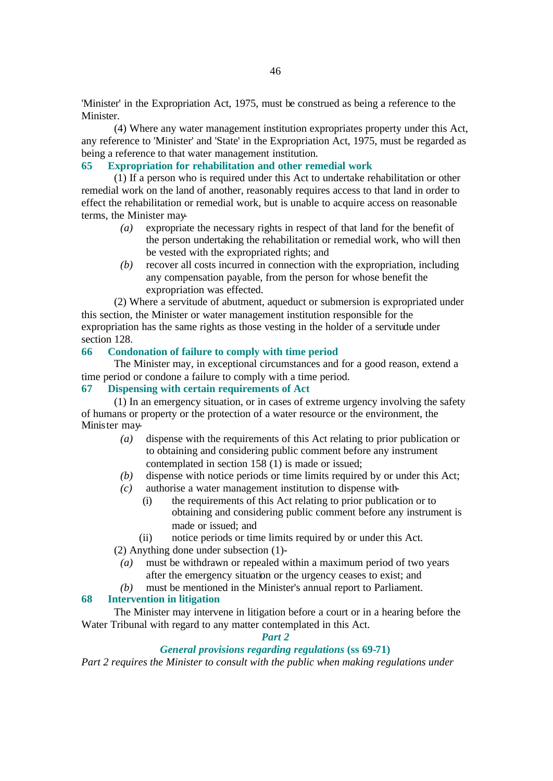'Minister' in the Expropriation Act, 1975, must be construed as being a reference to the Minister.

(4) Where any water management institution expropriates property under this Act, any reference to 'Minister' and 'State' in the Expropriation Act, 1975, must be regarded as being a reference to that water management institution.

## **65 Expropriation for rehabilitation and other remedial work**

(1) If a person who is required under this Act to undertake rehabilitation or other remedial work on the land of another, reasonably requires access to that land in order to effect the rehabilitation or remedial work, but is unable to acquire access on reasonable terms, the Minister may-

- *(a)* expropriate the necessary rights in respect of that land for the benefit of the person undertaking the rehabilitation or remedial work, who will then be vested with the expropriated rights; and
- *(b)* recover all costs incurred in connection with the expropriation, including any compensation payable, from the person for whose benefit the expropriation was effected.

(2) Where a servitude of abutment, aqueduct or submersion is expropriated under this section, the Minister or water management institution responsible for the expropriation has the same rights as those vesting in the holder of a servitude under section 128.

## **66 Condonation of failure to comply with time period**

The Minister may, in exceptional circumstances and for a good reason, extend a time period or condone a failure to comply with a time period.

#### **67 Dispensing with certain requirements of Act**

(1) In an emergency situation, or in cases of extreme urgency involving the safety of humans or property or the protection of a water resource or the environment, the Minister may-

- *(a)* dispense with the requirements of this Act relating to prior publication or to obtaining and considering public comment before any instrument contemplated in section 158 (1) is made or issued;
- *(b)* dispense with notice periods or time limits required by or under this Act;
- *(c)* authorise a water management institution to dispense with-
	- (i) the requirements of this Act relating to prior publication or to obtaining and considering public comment before any instrument is made or issued; and
	- (ii) notice periods or time limits required by or under this Act.
- (2) Anything done under subsection (1)-
	- *(a)* must be withdrawn or repealed within a maximum period of two years after the emergency situation or the urgency ceases to exist; and
	- *(b)* must be mentioned in the Minister's annual report to Parliament.

#### **68 Intervention in litigation**

The Minister may intervene in litigation before a court or in a hearing before the Water Tribunal with regard to any matter contemplated in this Act.

## *Part 2*

#### *General provisions regarding regulations* **(ss 69-71)**

*Part 2 requires the Minister to consult with the public when making regulations under*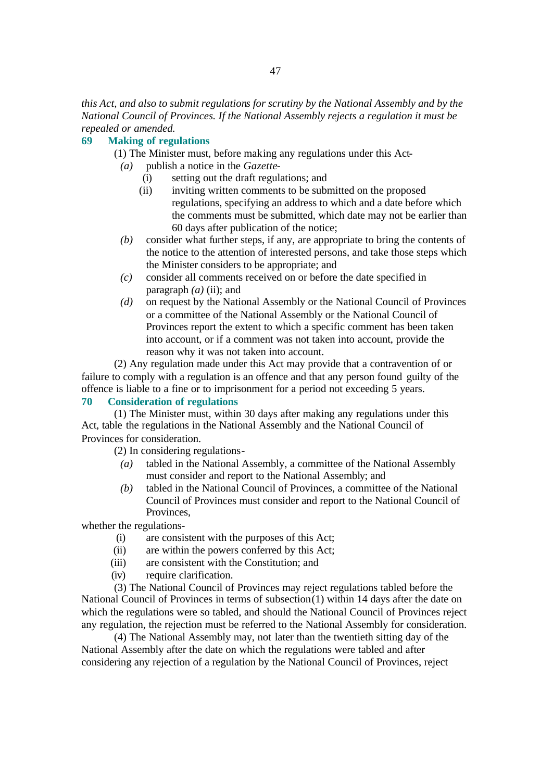## *this Act, and also to submit regulations for scrutiny by the National Assembly and by the National Council of Provinces. If the National Assembly rejects a regulation it must be repealed or amended.*

#### **69 Making of regulations**

- (1) The Minister must, before making any regulations under this Act-
	- *(a)* publish a notice in the *Gazette*
		- (i) setting out the draft regulations; and
		- (ii) inviting written comments to be submitted on the proposed regulations, specifying an address to which and a date before which the comments must be submitted, which date may not be earlier than 60 days after publication of the notice;
	- *(b)* consider what further steps, if any, are appropriate to bring the contents of the notice to the attention of interested persons, and take those steps which the Minister considers to be appropriate; and
	- *(c)* consider all comments received on or before the date specified in paragraph *(a)* (ii); and
	- *(d)* on request by the National Assembly or the National Council of Provinces or a committee of the National Assembly or the National Council of Provinces report the extent to which a specific comment has been taken into account, or if a comment was not taken into account, provide the reason why it was not taken into account.

(2) Any regulation made under this Act may provide that a contravention of or failure to comply with a regulation is an offence and that any person found guilty of the offence is liable to a fine or to imprisonment for a period not exceeding 5 years.

## **70 Consideration of regulations**

(1) The Minister must, within 30 days after making any regulations under this Act, table the regulations in the National Assembly and the National Council of Provinces for consideration.

(2) In considering regulations-

- *(a)* tabled in the National Assembly, a committee of the National Assembly must consider and report to the National Assembly; and
- *(b)* tabled in the National Council of Provinces, a committee of the National Council of Provinces must consider and report to the National Council of Provinces,

whether the regulations-

- (i) are consistent with the purposes of this Act;
- (ii) are within the powers conferred by this Act;
- (iii) are consistent with the Constitution; and
- (iv) require clarification.

(3) The National Council of Provinces may reject regulations tabled before the National Council of Provinces in terms of subsection (1) within 14 days after the date on which the regulations were so tabled, and should the National Council of Provinces reject any regulation, the rejection must be referred to the National Assembly for consideration.

(4) The National Assembly may, not later than the twentieth sitting day of the National Assembly after the date on which the regulations were tabled and after considering any rejection of a regulation by the National Council of Provinces, reject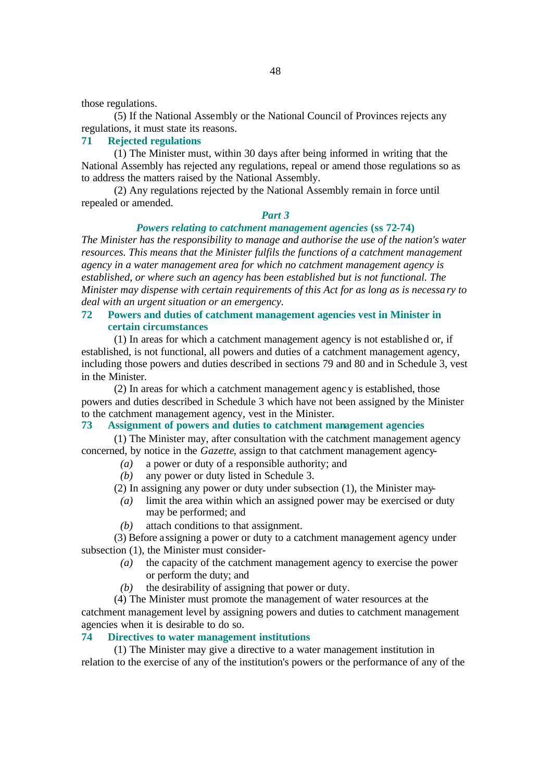#### those regulations.

(5) If the National Assembly or the National Council of Provinces rejects any regulations, it must state its reasons.

## **71 Rejected regulations**

(1) The Minister must, within 30 days after being informed in writing that the National Assembly has rejected any regulations, repeal or amend those regulations so as to address the matters raised by the National Assembly.

(2) Any regulations rejected by the National Assembly remain in force until repealed or amended.

#### *Part 3*

## *Powers relating to catchment management agencies* **(ss 72-74)**

*The Minister has the responsibility to manage and authorise the use of the nation's water resources. This means that the Minister fulfils the functions of a catchment management agency in a water management area for which no catchment management agency is established, or where such an agency has been established but is not functional. The Minister may dispense with certain requirements of this Act for as long as is necessa ry to deal with an urgent situation or an emergency.* 

## **72 Powers and duties of catchment management agencies vest in Minister in certain circumstances**

(1) In areas for which a catchment management agency is not established or, if established, is not functional, all powers and duties of a catchment management agency, including those powers and duties described in sections 79 and 80 and in Schedule 3, vest in the Minister.

(2) In areas for which a catchment management agency is established, those powers and duties described in Schedule 3 which have not been assigned by the Minister to the catchment management agency, vest in the Minister.

## **73 Assignment of powers and duties to catchment management agencies**

(1) The Minister may, after consultation with the catchment management agency concerned, by notice in the *Gazette*, assign to that catchment management agency-

- *(a)* a power or duty of a responsible authority; and
- *(b)* any power or duty listed in Schedule 3.

(2) In assigning any power or duty under subsection (1), the Minister may-

- *(a)* limit the area within which an assigned power may be exercised or duty may be performed; and
- *(b)* attach conditions to that assignment.

(3) Before a ssigning a power or duty to a catchment management agency under subsection (1), the Minister must consider-

- *(a)* the capacity of the catchment management agency to exercise the power or perform the duty; and
- *(b)* the desirability of assigning that power or duty.

(4) The Minister must promote the management of water resources at the catchment management level by assigning powers and duties to catchment management agencies when it is desirable to do so.

#### **74 Directives to water management institutions**

(1) The Minister may give a directive to a water management institution in relation to the exercise of any of the institution's powers or the performance of any of the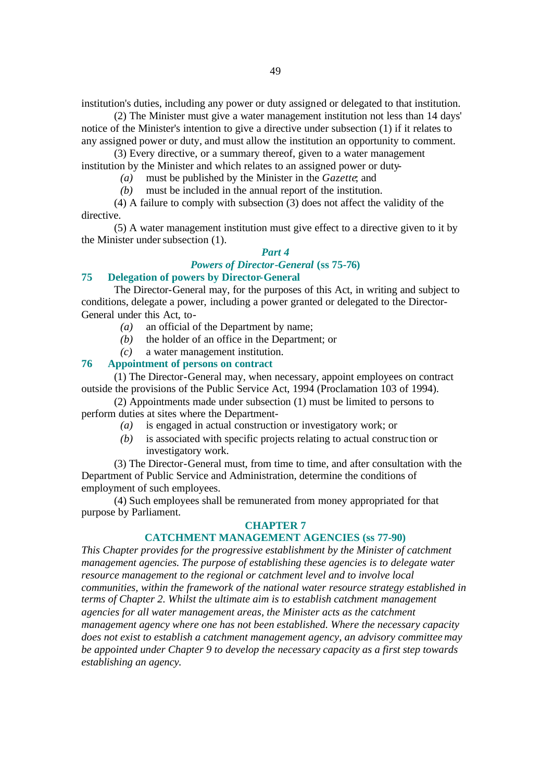institution's duties, including any power or duty assigned or delegated to that institution.

(2) The Minister must give a water management institution not less than 14 days' notice of the Minister's intention to give a directive under subsection (1) if it relates to any assigned power or duty, and must allow the institution an opportunity to comment.

(3) Every directive, or a summary thereof, given to a water management institution by the Minister and which relates to an assigned power or duty-

*(a)* must be published by the Minister in the *Gazette*; and

*(b)* must be included in the annual report of the institution.

(4) A failure to comply with subsection (3) does not affect the validity of the directive.

(5) A water management institution must give effect to a directive given to it by the Minister under subsection (1).

#### *Part 4*

## *Powers of Director-General* **(ss 75-76) 75 Delegation of powers by Director-General**

The Director-General may, for the purposes of this Act, in writing and subject to conditions, delegate a power, including a power granted or delegated to the Director-General under this Act, to-

- *(a)* an official of the Department by name;
- *(b)* the holder of an office in the Department; or
- *(c)* a water management institution.

### **76 Appointment of persons on contract**

(1) The Director-General may, when necessary, appoint employees on contract outside the provisions of the Public Service Act, 1994 (Proclamation 103 of 1994).

(2) Appointments made under subsection (1) must be limited to persons to perform duties at sites where the Department-

- *(a)* is engaged in actual construction or investigatory work; or
- *(b)* is associated with specific projects relating to actual construc tion or investigatory work.

(3) The Director-General must, from time to time, and after consultation with the Department of Public Service and Administration, determine the conditions of employment of such employees.

(4) Such employees shall be remunerated from money appropriated for that purpose by Parliament.

#### **CHAPTER 7**

## **CATCHMENT MANAGEMENT AGENCIES (ss 77-90)**

*This Chapter provides for the progressive establishment by the Minister of catchment management agencies. The purpose of establishing these agencies is to delegate water resource management to the regional or catchment level and to involve local communities, within the framework of the national water resource strategy established in terms of Chapter 2. Whilst the ultimate aim is to establish catchment management agencies for all water management areas, the Minister acts as the catchment management agency where one has not been established. Where the necessary capacity does not exist to establish a catchment management agency, an advisory committee may be appointed under Chapter 9 to develop the necessary capacity as a first step towards establishing an agency.*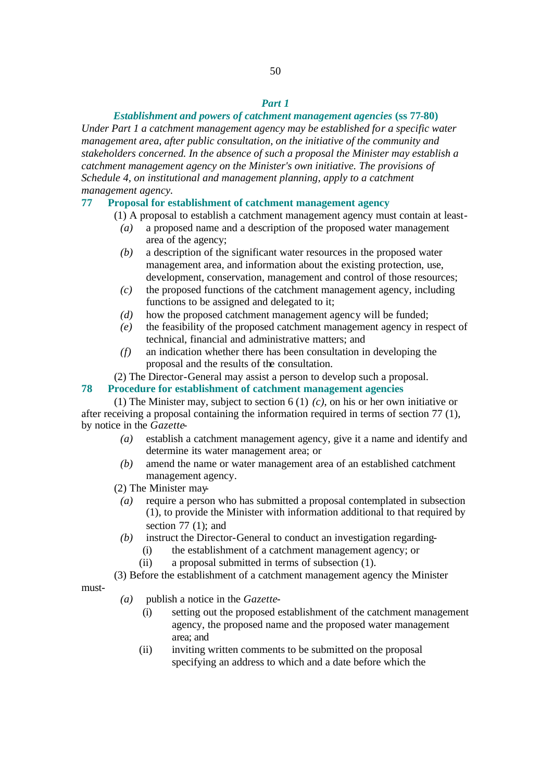#### *Part 1*

#### *Establishment and powers of catchment management agencies* **(ss 77-80)**

*Under Part 1 a catchment management agency may be established for a specific water management area, after public consultation, on the initiative of the community and stakeholders concerned. In the absence of such a proposal the Minister may establish a catchment management agency on the Minister's own initiative. The provisions of Schedule 4, on institutional and management planning, apply to a catchment management agency.* 

#### **77 Proposal for establishment of catchment management agency**

(1) A proposal to establish a catchment management agency must contain at least-

- *(a)* a proposed name and a description of the proposed water management area of the agency;
- *(b)* a description of the significant water resources in the proposed water management area, and information about the existing protection, use, development, conservation, management and control of those resources;
- *(c)* the proposed functions of the catchment management agency, including functions to be assigned and delegated to it;
- *(d)* how the proposed catchment management agency will be funded;
- *(e)* the feasibility of the proposed catchment management agency in respect of technical, financial and administrative matters; and
- *(f)* an indication whether there has been consultation in developing the proposal and the results of the consultation.
- (2) The Director-General may assist a person to develop such a proposal.

#### **78 Procedure for establishment of catchment management agencies**

(1) The Minister may, subject to section 6 (1) *(c)*, on his or her own initiative or after receiving a proposal containing the information required in terms of section 77 (1), by notice in the *Gazette*-

- *(a)* establish a catchment management agency, give it a name and identify and determine its water management area; or
- *(b)* amend the name or water management area of an established catchment management agency.
- (2) The Minister may-
	- *(a)* require a person who has submitted a proposal contemplated in subsection (1), to provide the Minister with information additional to that required by section 77 (1); and
	- *(b)* instruct the Director-General to conduct an investigation regarding-
		- (i) the establishment of a catchment management agency; or
		- (ii) a proposal submitted in terms of subsection (1).

(3) Before the establishment of a catchment management agency the Minister

must-

- *(a)* publish a notice in the *Gazette*
	- (i) setting out the proposed establishment of the catchment management agency, the proposed name and the proposed water management area; and
	- (ii) inviting written comments to be submitted on the proposal specifying an address to which and a date before which the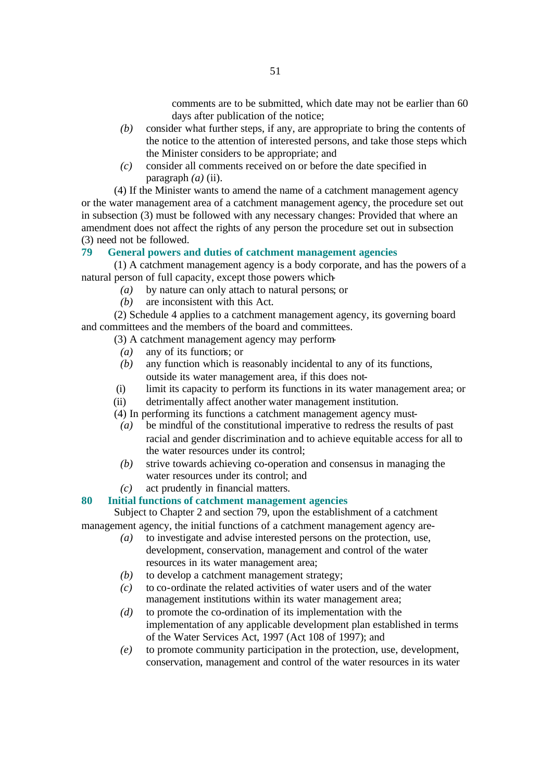comments are to be submitted, which date may not be earlier than 60 days after publication of the notice;

- *(b)* consider what further steps, if any, are appropriate to bring the contents of the notice to the attention of interested persons, and take those steps which the Minister considers to be appropriate; and
- *(c)* consider all comments received on or before the date specified in paragraph *(a)* (ii).

(4) If the Minister wants to amend the name of a catchment management agency or the water management area of a catchment management agency, the procedure set out in subsection (3) must be followed with any necessary changes: Provided that where an amendment does not affect the rights of any person the procedure set out in subsection (3) need not be followed.

## **79 General powers and duties of catchment management agencies**

(1) A catchment management agency is a body corporate, and has the powers of a natural person of full capacity, except those powers which-

- *(a)* by nature can only attach to natural persons; or
- *(b)* are inconsistent with this Act.

(2) Schedule 4 applies to a catchment management agency, its governing board and committees and the members of the board and committees.

- (3) A catchment management agency may perform-
	- *(a)* any of its functions; or
	- *(b)* any function which is reasonably incidental to any of its functions, outside its water management area, if this does not-
- (i) limit its capacity to perform its functions in its water management area; or
- (ii) detrimentally affect another water management institution.
- (4) In performing its functions a catchment management agency must-
- *(a)* be mindful of the constitutional imperative to redress the results of past racial and gender discrimination and to achieve equitable access for all to the water resources under its control;
- *(b)* strive towards achieving co-operation and consensus in managing the water resources under its control; and

*(c)* act prudently in financial matters.

## **80 Initial functions of catchment management agencies**

Subject to Chapter 2 and section 79, upon the establishment of a catchment management agency, the initial functions of a catchment management agency are-

- *(a)* to investigate and advise interested persons on the protection, use, development, conservation, management and control of the water resources in its water management area;
- *(b)* to develop a catchment management strategy;
- *(c)* to co-ordinate the related activities of water users and of the water management institutions within its water management area;
- *(d)* to promote the co-ordination of its implementation with the implementation of any applicable development plan established in terms of the Water Services Act, 1997 (Act 108 of 1997); and
- *(e)* to promote community participation in the protection, use, development, conservation, management and control of the water resources in its water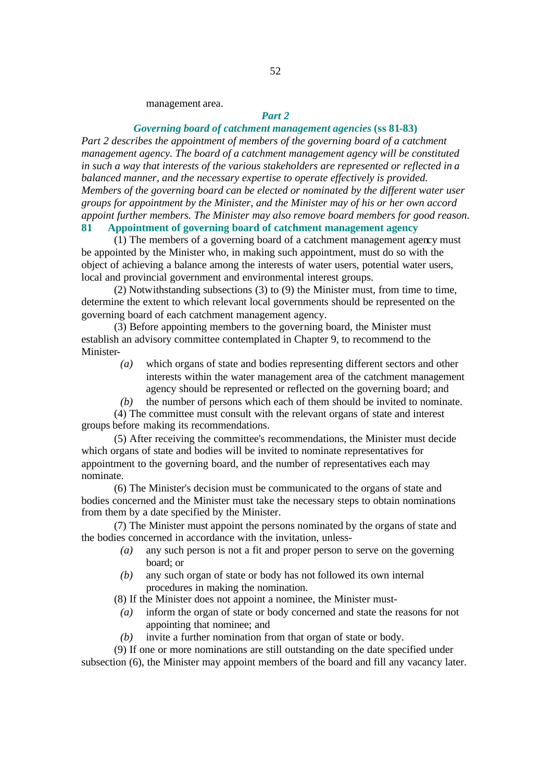#### management area.

## *Part 2*

## *Governing board of catchment management agencies* **(ss 81-83)**

*Part 2 describes the appointment of members of the governing board of a catchment management agency. The board of a catchment management agency will be constituted in such a way that interests of the various stakeholders are represented or reflected in a balanced manner, and the necessary expertise to operate effectively is provided. Members of the governing board can be elected or nominated by the different water user groups for appointment by the Minister, and the Minister may of his or her own accord appoint further members. The Minister may also remove board members for good reason.*  **81 Appointment of governing board of catchment management agency**

(1) The members of a governing board of a catchment management agency must be appointed by the Minister who, in making such appointment, must do so with the object of achieving a balance among the interests of water users, potential water users, local and provincial government and environmental interest groups.

(2) Notwithstanding subsections (3) to (9) the Minister must, from time to time, determine the extent to which relevant local governments should be represented on the governing board of each catchment management agency.

(3) Before appointing members to the governing board, the Minister must establish an advisory committee contemplated in Chapter 9, to recommend to the Minister-

- *(a)* which organs of state and bodies representing different sectors and other interests within the water management area of the catchment management agency should be represented or reflected on the governing board; and
- *(b)* the number of persons which each of them should be invited to nominate. (4) The committee must consult with the relevant organs of state and interest

groups before making its recommendations.

(5) After receiving the committee's recommendations, the Minister must decide which organs of state and bodies will be invited to nominate representatives for appointment to the governing board, and the number of representatives each may nominate.

(6) The Minister's decision must be communicated to the organs of state and bodies concerned and the Minister must take the necessary steps to obtain nominations from them by a date specified by the Minister.

(7) The Minister must appoint the persons nominated by the organs of state and the bodies concerned in accordance with the invitation, unless-

- *(a)* any such person is not a fit and proper person to serve on the governing board; or
- *(b)* any such organ of state or body has not followed its own internal procedures in making the nomination.
- (8) If the Minister does not appoint a nominee, the Minister must-
- *(a)* inform the organ of state or body concerned and state the reasons for not appointing that nominee; and
- *(b)* invite a further nomination from that organ of state or body.

(9) If one or more nominations are still outstanding on the date specified under subsection (6), the Minister may appoint members of the board and fill any vacancy later.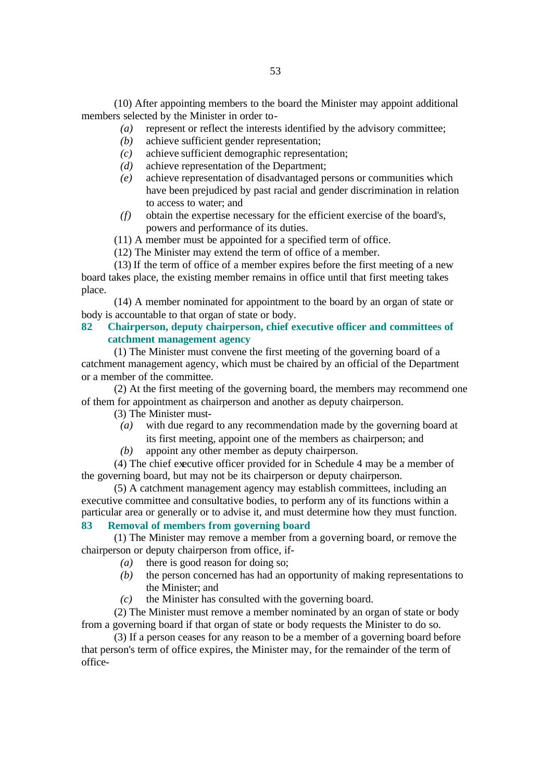(10) After appointing members to the board the Minister may appoint additional members selected by the Minister in order to-

- *(a)* represent or reflect the interests identified by the advisory committee;
- *(b)* achieve sufficient gender representation;
- *(c)* achieve sufficient demographic representation;
- *(d)* achieve representation of the Department;
- *(e)* achieve representation of disadvantaged persons or communities which have been prejudiced by past racial and gender discrimination in relation to access to water; and
- *(f)* obtain the expertise necessary for the efficient exercise of the board's, powers and performance of its duties.
- (11) A member must be appointed for a specified term of office.
- (12) The Minister may extend the term of office of a member.

(13) If the term of office of a member expires before the first meeting of a new board takes place, the existing member remains in office until that first meeting takes place.

(14) A member nominated for appointment to the board by an organ of state or body is accountable to that organ of state or body.

## **82 Chairperson, deputy chairperson, chief executive officer and committees of catchment management agency**

(1) The Minister must convene the first meeting of the governing board of a catchment management agency, which must be chaired by an official of the Department or a member of the committee.

(2) At the first meeting of the governing board, the members may recommend one of them for appointment as chairperson and another as deputy chairperson.

(3) The Minister must-

- *(a)* with due regard to any recommendation made by the governing board at its first meeting, appoint one of the members as chairperson; and
- *(b)* appoint any other member as deputy chairperson.

(4) The chief executive officer provided for in Schedule 4 may be a member of the governing board, but may not be its chairperson or deputy chairperson.

(5) A catchment management agency may establish committees, including an executive committee and consultative bodies, to perform any of its functions within a particular area or generally or to advise it, and must determine how they must function.

## **83 Removal of members from governing board**

(1) The Minister may remove a member from a governing board, or remove the chairperson or deputy chairperson from office, if-

- *(a)* there is good reason for doing so;
- *(b)* the person concerned has had an opportunity of making representations to the Minister; and
- *(c)* the Minister has consulted with the governing board.

(2) The Minister must remove a member nominated by an organ of state or body from a governing board if that organ of state or body requests the Minister to do so.

(3) If a person ceases for any reason to be a member of a governing board before that person's term of office expires, the Minister may, for the remainder of the term of office-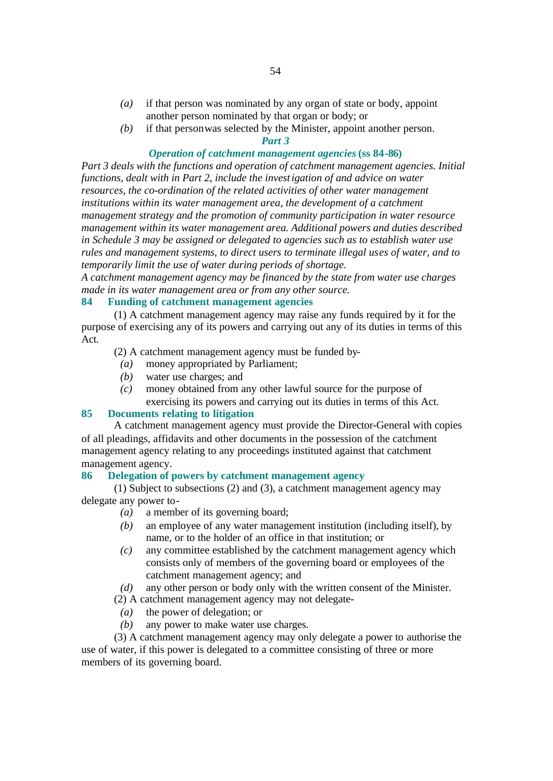- *(a)* if that person was nominated by any organ of state or body, appoint another person nominated by that organ or body; or
- *(b)* if that person was selected by the Minister, appoint another person.

#### *Part 3*

#### *Operation of catchment management agencies* **(ss 84-86)**

*Part 3 deals with the functions and operation of catchment management agencies. Initial functions, dealt with in Part 2, include the investigation of and advice on water resources, the co-ordination of the related activities of other water management institutions within its water management area, the development of a catchment management strategy and the promotion of community participation in water resource management within its water management area. Additional powers and duties described in Schedule 3 may be assigned or delegated to agencies such as to establish water use rules and management systems, to direct users to terminate illegal uses of water, and to temporarily limit the use of water during periods of shortage.*

*A catchment management agency may be financed by the state from water use charges made in its water management area or from any other source.* 

## **84 Funding of catchment management agencies**

(1) A catchment management agency may raise any funds required by it for the purpose of exercising any of its powers and carrying out any of its duties in terms of this Act.

- (2) A catchment management agency must be funded by-
	- *(a)* money appropriated by Parliament;
	- *(b)* water use charges; and
	- *(c)* money obtained from any other lawful source for the purpose of exercising its powers and carrying out its duties in terms of this Act.

#### **85 Documents relating to litigation**

A catchment management agency must provide the Director-General with copies of all pleadings, affidavits and other documents in the possession of the catchment management agency relating to any proceedings instituted against that catchment management agency.

#### **86 Delegation of powers by catchment management agency**

(1) Subject to subsections (2) and (3), a catchment management agency may delegate any power to-

- *(a)* a member of its governing board;
- *(b)* an employee of any water management institution (including itself), by name, or to the holder of an office in that institution; or
- *(c)* any committee established by the catchment management agency which consists only of members of the governing board or employees of the catchment management agency; and
- *(d)* any other person or body only with the written consent of the Minister.
- (2) A catchment management agency may not delegate-
- *(a)* the power of delegation; or
- *(b)* any power to make water use charges.

(3) A catchment management agency may only delegate a power to authorise the use of water, if this power is delegated to a committee consisting of three or more members of its governing board.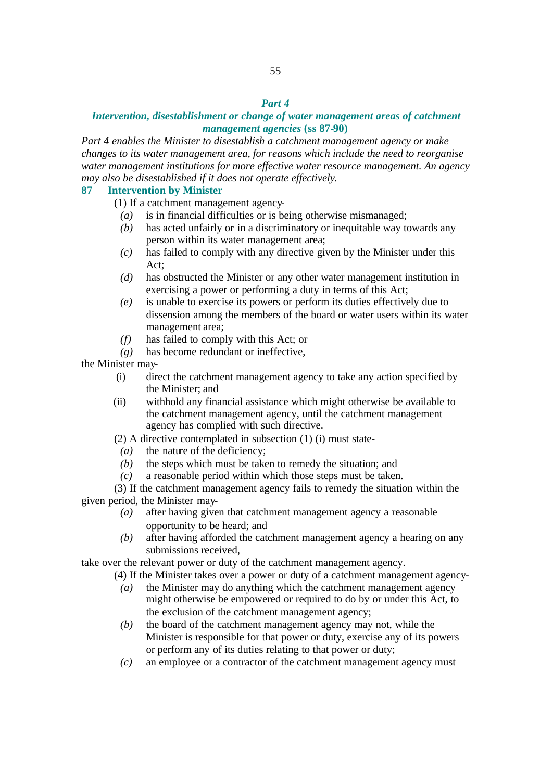## *Part 4*

## *Intervention, disestablishment or change of water management areas of catchment management agencies* **(ss 87-90)**

*Part 4 enables the Minister to disestablish a catchment management agency or make changes to its water management area, for reasons which include the need to reorganise water management institutions for more effective water resource management. An agency may also be disestablished if it does not operate effectively.*

## **87 Intervention by Minister**

(1) If a catchment management agency-

- *(a)* is in financial difficulties or is being otherwise mismanaged;
- *(b)* has acted unfairly or in a discriminatory or inequitable way towards any person within its water management area;
- *(c)* has failed to comply with any directive given by the Minister under this Act;
- *(d)* has obstructed the Minister or any other water management institution in exercising a power or performing a duty in terms of this Act;
- *(e)* is unable to exercise its powers or perform its duties effectively due to dissension among the members of the board or water users within its water management area;
- *(f)* has failed to comply with this Act; or
- *(g)* has become redundant or ineffective,

the Minister may-

- (i) direct the catchment management agency to take any action specified by the Minister; and
- (ii) withhold any financial assistance which might otherwise be available to the catchment management agency, until the catchment management agency has complied with such directive.
- (2) A directive contemplated in subsection (1) (i) must state-
- *(a)* the nature of the deficiency;
- *(b)* the steps which must be taken to remedy the situation; and
- *(c)* a reasonable period within which those steps must be taken.

(3) If the catchment management agency fails to remedy the situation within the given period, the Minister may-

- *(a)* after having given that catchment management agency a reasonable opportunity to be heard; and
- *(b)* after having afforded the catchment management agency a hearing on any submissions received,

take over the relevant power or duty of the catchment management agency.

(4) If the Minister takes over a power or duty of a catchment management agency-

- *(a)* the Minister may do anything which the catchment management agency might otherwise be empowered or required to do by or under this Act, to the exclusion of the catchment management agency;
- *(b)* the board of the catchment management agency may not, while the Minister is responsible for that power or duty, exercise any of its powers or perform any of its duties relating to that power or duty;
- *(c)* an employee or a contractor of the catchment management agency must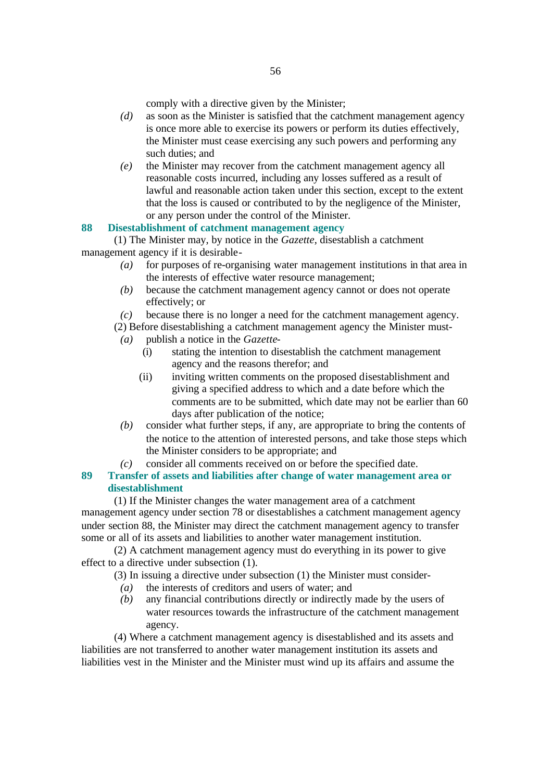comply with a directive given by the Minister;

- *(d)* as soon as the Minister is satisfied that the catchment management agency is once more able to exercise its powers or perform its duties effectively, the Minister must cease exercising any such powers and performing any such duties; and
- *(e)* the Minister may recover from the catchment management agency all reasonable costs incurred, including any losses suffered as a result of lawful and reasonable action taken under this section, except to the extent that the loss is caused or contributed to by the negligence of the Minister, or any person under the control of the Minister.

## **88 Disestablishment of catchment management agency**

(1) The Minister may, by notice in the *Gazette*, disestablish a catchment management agency if it is desirable-

- *(a)* for purposes of re-organising water management institutions in that area in the interests of effective water resource management;
- *(b)* because the catchment management agency cannot or does not operate effectively; or
- *(c)* because there is no longer a need for the catchment management agency.
- (2) Before disestablishing a catchment management agency the Minister must-
	- *(a)* publish a notice in the *Gazette-*
		- (i) stating the intention to disestablish the catchment management agency and the reasons therefor; and
		- (ii) inviting written comments on the proposed disestablishment and giving a specified address to which and a date before which the comments are to be submitted, which date may not be earlier than 60 days after publication of the notice;
	- *(b)* consider what further steps, if any, are appropriate to bring the contents of the notice to the attention of interested persons, and take those steps which the Minister considers to be appropriate; and
- *(c)* consider all comments received on or before the specified date.
- **89 Transfer of assets and liabilities after change of water management area or disestablishment**

(1) If the Minister changes the water management area of a catchment

management agency under section 78 or disestablishes a catchment management agency under section 88, the Minister may direct the catchment management agency to transfer some or all of its assets and liabilities to another water management institution.

(2) A catchment management agency must do everything in its power to give effect to a directive under subsection (1).

(3) In issuing a directive under subsection (1) the Minister must consider-

- *(a)* the interests of creditors and users of water; and
- *(b)* any financial contributions directly or indirectly made by the users of water resources towards the infrastructure of the catchment management agency.

(4) Where a catchment management agency is disestablished and its assets and liabilities are not transferred to another water management institution its assets and liabilities vest in the Minister and the Minister must wind up its affairs and assume the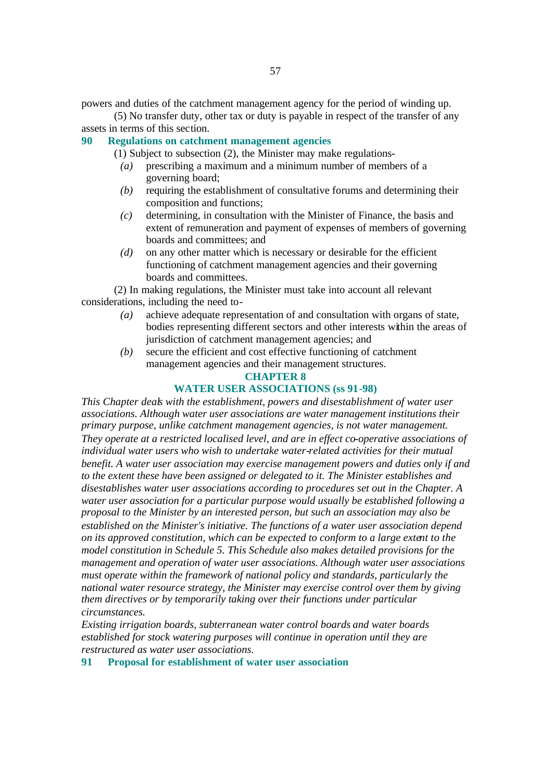powers and duties of the catchment management agency for the period of winding up.

(5) No transfer duty, other tax or duty is payable in respect of the transfer of any assets in terms of this section.

#### **90 Regulations on catchment management agencies**

(1) Subject to subsection (2), the Minister may make regulations-

- *(a)* prescribing a maximum and a minimum number of members of a governing board;
- *(b)* requiring the establishment of consultative forums and determining their composition and functions;
- *(c)* determining, in consultation with the Minister of Finance, the basis and extent of remuneration and payment of expenses of members of governing boards and committees; and
- *(d)* on any other matter which is necessary or desirable for the efficient functioning of catchment management agencies and their governing boards and committees.

(2) In making regulations, the Minister must take into account all relevant considerations, including the need to-

- *(a)* achieve adequate representation of and consultation with organs of state, bodies representing different sectors and other interests within the areas of jurisdiction of catchment management agencies; and
- *(b)* secure the efficient and cost effective functioning of catchment management agencies and their management structures.

#### **CHAPTER 8**

#### **WATER USER ASSOCIATIONS (ss 91-98)**

*This Chapter deals with the establishment, powers and disestablishment of water user associations. Although water user associations are water management institutions their primary purpose, unlike catchment management agencies, is not water management. They operate at a restricted localised level, and are in effect co-operative associations of individual water users who wish to undertake water-related activities for their mutual benefit. A water user association may exercise management powers and duties only if and to the extent these have been assigned or delegated to it. The Minister establishes and disestablishes water user associations according to procedures set out in the Chapter. A water user association for a particular purpose would usually be established following a proposal to the Minister by an interested person, but such an association may also be established on the Minister's initiative. The functions of a water user association depend on its approved constitution, which can be expected to conform to a large extent to the model constitution in Schedule 5. This Schedule also makes detailed provisions for the management and operation of water user associations. Although water user associations must operate within the framework of national policy and standards, particularly the national water resource strategy, the Minister may exercise control over them by giving them directives or by temporarily taking over their functions under particular circumstances.*

*Existing irrigation boards, subterranean water control boards and water boards established for stock watering purposes will continue in operation until they are restructured as water user associations.* 

**91 Proposal for establishment of water user association**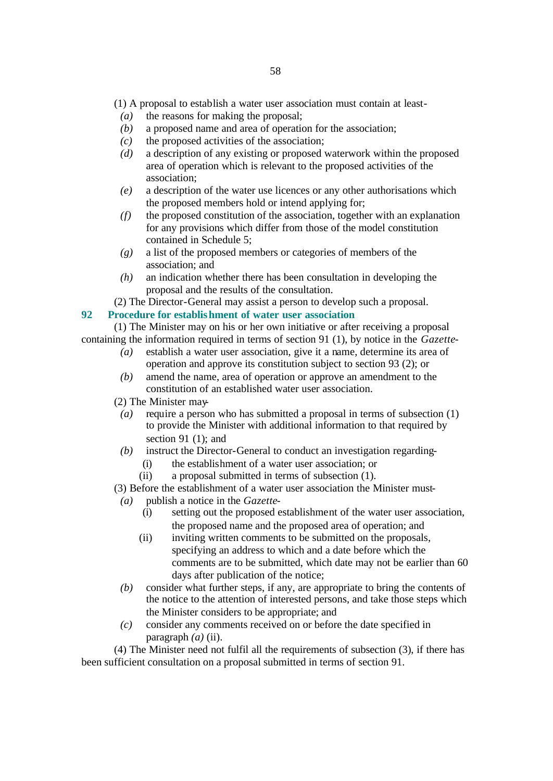(1) A proposal to establish a water user association must contain at least-

- *(a)* the reasons for making the proposal;
- *(b)* a proposed name and area of operation for the association;
- *(c)* the proposed activities of the association;
- *(d)* a description of any existing or proposed waterwork within the proposed area of operation which is relevant to the proposed activities of the association;
- *(e)* a description of the water use licences or any other authorisations which the proposed members hold or intend applying for;
- *(f)* the proposed constitution of the association, together with an explanation for any provisions which differ from those of the model constitution contained in Schedule 5;
- *(g)* a list of the proposed members or categories of members of the association; and
- *(h)* an indication whether there has been consultation in developing the proposal and the results of the consultation.
- (2) The Director-General may assist a person to develop such a proposal.

#### **92 Procedure for establishment of water user association**

(1) The Minister may on his or her own initiative or after receiving a proposal containing the information required in terms of section 91 (1), by notice in the *Gazette*-

- *(a)* establish a water user association, give it a name, determine its area of operation and approve its constitution subject to section 93 (2); or
- *(b)* amend the name, area of operation or approve an amendment to the constitution of an established water user association.
- (2) The Minister may-
	- *(a)* require a person who has submitted a proposal in terms of subsection (1) to provide the Minister with additional information to that required by section 91 (1); and
	- *(b)* instruct the Director-General to conduct an investigation regarding-
		- (i) the establishment of a water user association; or
		- (ii) a proposal submitted in terms of subsection (1).

#### (3) Before the establishment of a water user association the Minister must-

- *(a)* publish a notice in the *Gazette*
	- (i) setting out the proposed establishment of the water user association, the proposed name and the proposed area of operation; and
	- (ii) inviting written comments to be submitted on the proposals, specifying an address to which and a date before which the comments are to be submitted, which date may not be earlier than 60 days after publication of the notice;
- *(b)* consider what further steps, if any, are appropriate to bring the contents of the notice to the attention of interested persons, and take those steps which the Minister considers to be appropriate; and
- *(c)* consider any comments received on or before the date specified in paragraph  $(a)$  (ii).

(4) The Minister need not fulfil all the requirements of subsection (3), if there has been sufficient consultation on a proposal submitted in terms of section 91.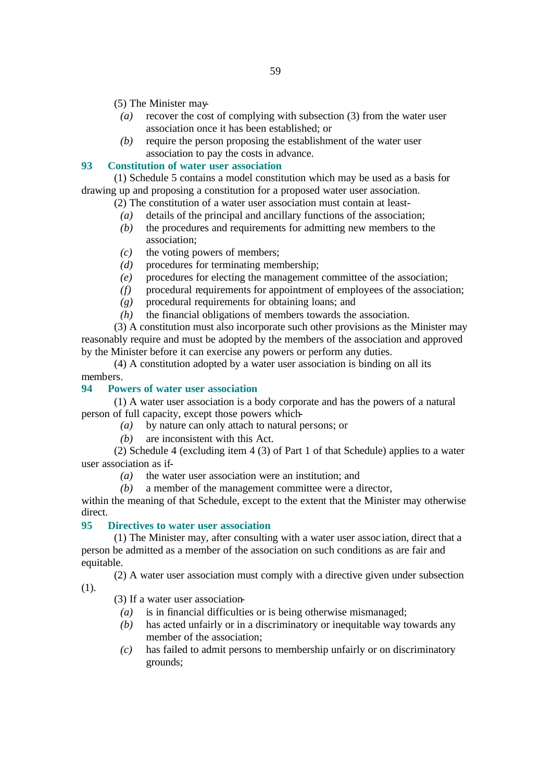- (5) The Minister may-
- *(a)* recover the cost of complying with subsection (3) from the water user association once it has been established; or
- *(b)* require the person proposing the establishment of the water user association to pay the costs in advance.

#### **93 Constitution of water user association**

(1) Schedule 5 contains a model constitution which may be used as a basis for drawing up and proposing a constitution for a proposed water user association.

(2) The constitution of a water user association must contain at least-

- *(a)* details of the principal and ancillary functions of the association;
- *(b)* the procedures and requirements for admitting new members to the association;
- *(c)* the voting powers of members;
- *(d)* procedures for terminating membership;
- *(e)* procedures for electing the management committee of the association;
- *(f)* procedural requirements for appointment of employees of the association;
- *(g)* procedural requirements for obtaining loans; and
- *(h)* the financial obligations of members towards the association.

(3) A constitution must also incorporate such other provisions as the Minister may reasonably require and must be adopted by the members of the association and approved by the Minister before it can exercise any powers or perform any duties.

(4) A constitution adopted by a water user association is binding on all its members.

## **94 Powers of water user association**

(1) A water user association is a body corporate and has the powers of a natural person of full capacity, except those powers which-

- *(a)* by nature can only attach to natural persons; or
- *(b)* are inconsistent with this Act.

(2) Schedule 4 (excluding item 4 (3) of Part 1 of that Schedule) applies to a water user association as if-

*(a)* the water user association were an institution; and

*(b)* a member of the management committee were a director,

within the meaning of that Schedule, except to the extent that the Minister may otherwise direct.

## **95 Directives to water user association**

(1) The Minister may, after consulting with a water user assoc iation, direct that a person be admitted as a member of the association on such conditions as are fair and equitable.

(2) A water user association must comply with a directive given under subsection (1).

(3) If a water user association-

- *(a)* is in financial difficulties or is being otherwise mismanaged;
- *(b)* has acted unfairly or in a discriminatory or inequitable way towards any member of the association;
- *(c)* has failed to admit persons to membership unfairly or on discriminatory grounds;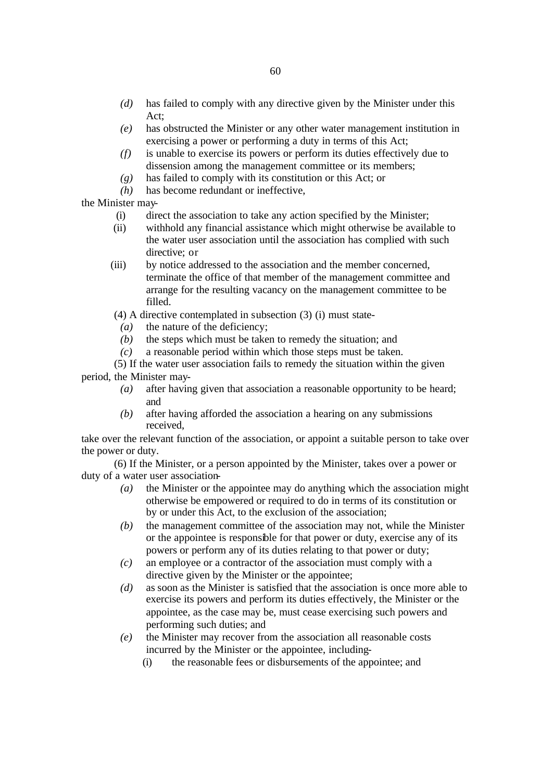- *(d)* has failed to comply with any directive given by the Minister under this Act;
- *(e)* has obstructed the Minister or any other water management institution in exercising a power or performing a duty in terms of this Act;
- *(f)* is unable to exercise its powers or perform its duties effectively due to dissension among the management committee or its members;
- *(g)* has failed to comply with its constitution or this Act; or
- *(h)* has become redundant or ineffective,

the Minister may-

- (i) direct the association to take any action specified by the Minister;
- (ii) withhold any financial assistance which might otherwise be available to the water user association until the association has complied with such directive; or
- (iii) by notice addressed to the association and the member concerned, terminate the office of that member of the management committee and arrange for the resulting vacancy on the management committee to be filled.
- (4) A directive contemplated in subsection (3) (i) must state-
	- *(a)* the nature of the deficiency;
	- *(b)* the steps which must be taken to remedy the situation; and
	- *(c)* a reasonable period within which those steps must be taken.

(5) If the water user association fails to remedy the situation within the given period, the Minister may-

- *(a)* after having given that association a reasonable opportunity to be heard; and
- *(b)* after having afforded the association a hearing on any submissions received,

take over the relevant function of the association, or appoint a suitable person to take over the power or duty.

(6) If the Minister, or a person appointed by the Minister, takes over a power or duty of a water user association-

- *(a)* the Minister or the appointee may do anything which the association might otherwise be empowered or required to do in terms of its constitution or by or under this Act, to the exclusion of the association;
- *(b)* the management committee of the association may not, while the Minister or the appointee is responsible for that power or duty, exercise any of its powers or perform any of its duties relating to that power or duty;
- *(c)* an employee or a contractor of the association must comply with a directive given by the Minister or the appointee;
- *(d)* as soon as the Minister is satisfied that the association is once more able to exercise its powers and perform its duties effectively, the Minister or the appointee, as the case may be, must cease exercising such powers and performing such duties; and
- *(e)* the Minister may recover from the association all reasonable costs incurred by the Minister or the appointee, including-
	- (i) the reasonable fees or disbursements of the appointee; and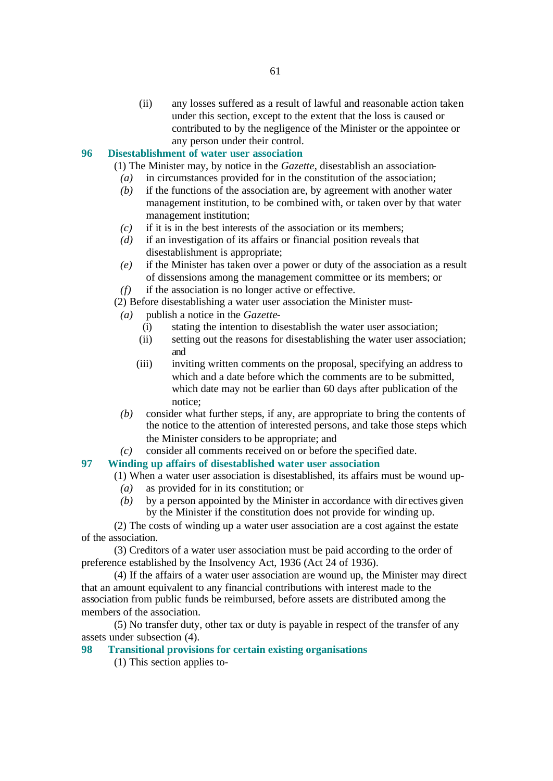(ii) any losses suffered as a result of lawful and reasonable action taken under this section, except to the extent that the loss is caused or contributed to by the negligence of the Minister or the appointee or any person under their control.

## **96 Disestablishment of water user association**

(1) The Minister may, by notice in the *Gazette*, disestablish an association-

- *(a)* in circumstances provided for in the constitution of the association;
- *(b)* if the functions of the association are, by agreement with another water management institution, to be combined with, or taken over by that water management institution;
- *(c)* if it is in the best interests of the association or its members;
- *(d)* if an investigation of its affairs or financial position reveals that disestablishment is appropriate;
- *(e)* if the Minister has taken over a power or duty of the association as a result of dissensions among the management committee or its members; or
- *(f)* if the association is no longer active or effective.

(2) Before disestablishing a water user association the Minister must-

- *(a)* publish a notice in the *Gazette*
	- (i) stating the intention to disestablish the water user association;
	- (ii) setting out the reasons for disestablishing the water user association; and
	- (iii) inviting written comments on the proposal, specifying an address to which and a date before which the comments are to be submitted, which date may not be earlier than 60 days after publication of the notice;
- *(b)* consider what further steps, if any, are appropriate to bring the contents of the notice to the attention of interested persons, and take those steps which the Minister considers to be appropriate; and
- *(c)* consider all comments received on or before the specified date.

## **97 Winding up affairs of disestablished water user association**

(1) When a water user association is disestablished, its affairs must be wound up-

- *(a)* as provided for in its constitution; or
- *(b)* by a person appointed by the Minister in accordance with dir ectives given by the Minister if the constitution does not provide for winding up.

(2) The costs of winding up a water user association are a cost against the estate of the association.

(3) Creditors of a water user association must be paid according to the order of preference established by the Insolvency Act, 1936 (Act 24 of 1936).

(4) If the affairs of a water user association are wound up, the Minister may direct that an amount equivalent to any financial contributions with interest made to the association from public funds be reimbursed, before assets are distributed among the members of the association.

(5) No transfer duty, other tax or duty is payable in respect of the transfer of any assets under subsection (4).

### **98 Transitional provisions for certain existing organisations**

(1) This section applies to-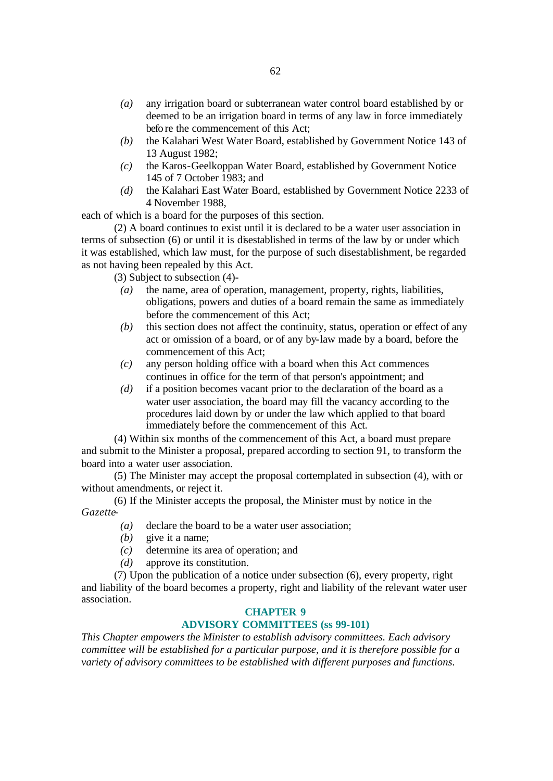- *(a)* any irrigation board or subterranean water control board established by or deemed to be an irrigation board in terms of any law in force immediately befo re the commencement of this Act;
- *(b)* the Kalahari West Water Board, established by Government Notice 143 of 13 August 1982;
- *(c)* the Karos-Geelkoppan Water Board, established by Government Notice 145 of 7 October 1983; and
- *(d)* the Kalahari East Water Board, established by Government Notice 2233 of 4 November 1988,

each of which is a board for the purposes of this section.

(2) A board continues to exist until it is declared to be a water user association in terms of subsection (6) or until it is disestablished in terms of the law by or under which it was established, which law must, for the purpose of such disestablishment, be regarded as not having been repealed by this Act.

(3) Subject to subsection (4)-

- *(a)* the name, area of operation, management, property, rights, liabilities, obligations, powers and duties of a board remain the same as immediately before the commencement of this Act;
- *(b)* this section does not affect the continuity, status, operation or effect of any act or omission of a board, or of any by-law made by a board, before the commencement of this Act;
- *(c)* any person holding office with a board when this Act commences continues in office for the term of that person's appointment; and
- *(d)* if a position becomes vacant prior to the declaration of the board as a water user association, the board may fill the vacancy according to the procedures laid down by or under the law which applied to that board immediately before the commencement of this Act.

(4) Within six months of the commencement of this Act, a board must prepare and submit to the Minister a proposal, prepared according to section 91, to transform the board into a water user association.

(5) The Minister may accept the proposal contemplated in subsection (4), with or without amendments, or reject it.

(6) If the Minister accepts the proposal, the Minister must by notice in the *Gazette*-

- *(a)* declare the board to be a water user association;
- *(b)* give it a name;
- *(c)* determine its area of operation; and
- *(d)* approve its constitution.

(7) Upon the publication of a notice under subsection (6), every property, right and liability of the board becomes a property, right and liability of the relevant water user association.

#### **CHAPTER 9**

## **ADVISORY COMMITTEES (ss 99-101)**

*This Chapter empowers the Minister to establish advisory committees. Each advisory committee will be established for a particular purpose, and it is therefore possible for a variety of advisory committees to be established with different purposes and functions.*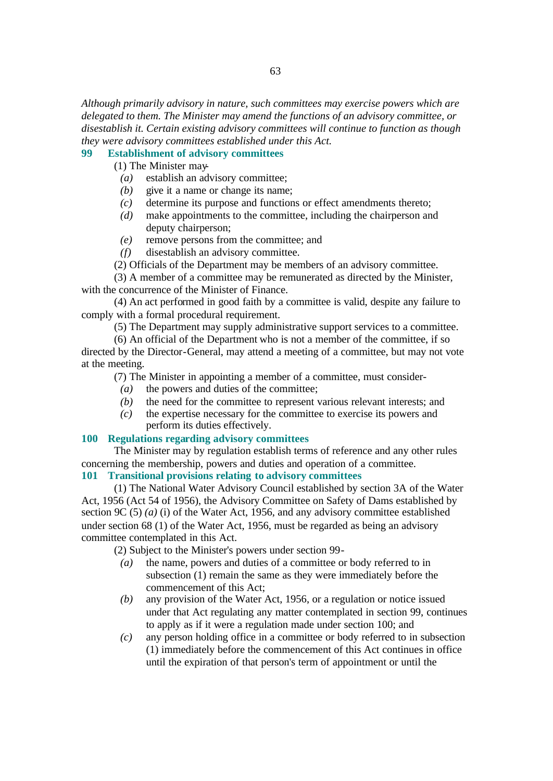*Although primarily advisory in nature, such committees may exercise powers which are delegated to them. The Minister may amend the functions of an advisory committee, or disestablish it. Certain existing advisory committees will continue to function as though they were advisory committees established under this Act.*

#### **99 Establishment of advisory committees**

(1) The Minister may-

- *(a)* establish an advisory committee;
- *(b)* give it a name or change its name;
- *(c)* determine its purpose and functions or effect amendments thereto;
- *(d)* make appointments to the committee, including the chairperson and deputy chairperson;
- *(e)* remove persons from the committee; and
- *(f)* disestablish an advisory committee.
- (2) Officials of the Department may be members of an advisory committee.

(3) A member of a committee may be remunerated as directed by the Minister, with the concurrence of the Minister of Finance.

(4) An act performed in good faith by a committee is valid, despite any failure to comply with a formal procedural requirement.

(5) The Department may supply administrative support services to a committee.

(6) An official of the Department who is not a member of the committee, if so directed by the Director-General, may attend a meeting of a committee, but may not vote at the meeting.

(7) The Minister in appointing a member of a committee, must consider-

- *(a)* the powers and duties of the committee;
- *(b)* the need for the committee to represent various relevant interests; and
- *(c)* the expertise necessary for the committee to exercise its powers and perform its duties effectively.

#### **100 Regulations regarding advisory committees**

The Minister may by regulation establish terms of reference and any other rules concerning the membership, powers and duties and operation of a committee.

## **101 Transitional provisions relating to advisory committees**

(1) The National Water Advisory Council established by section 3A of the Water Act, 1956 (Act 54 of 1956), the Advisory Committee on Safety of Dams established by section 9C (5)  $(a)$  (i) of the Water Act, 1956, and any advisory committee established under section 68 (1) of the Water Act, 1956, must be regarded as being an advisory committee contemplated in this Act.

(2) Subject to the Minister's powers under section 99-

- *(a)* the name, powers and duties of a committee or body referred to in subsection (1) remain the same as they were immediately before the commencement of this Act;
- *(b)* any provision of the Water Act, 1956, or a regulation or notice issued under that Act regulating any matter contemplated in section 99, continues to apply as if it were a regulation made under section 100; and
- *(c)* any person holding office in a committee or body referred to in subsection (1) immediately before the commencement of this Act continues in office until the expiration of that person's term of appointment or until the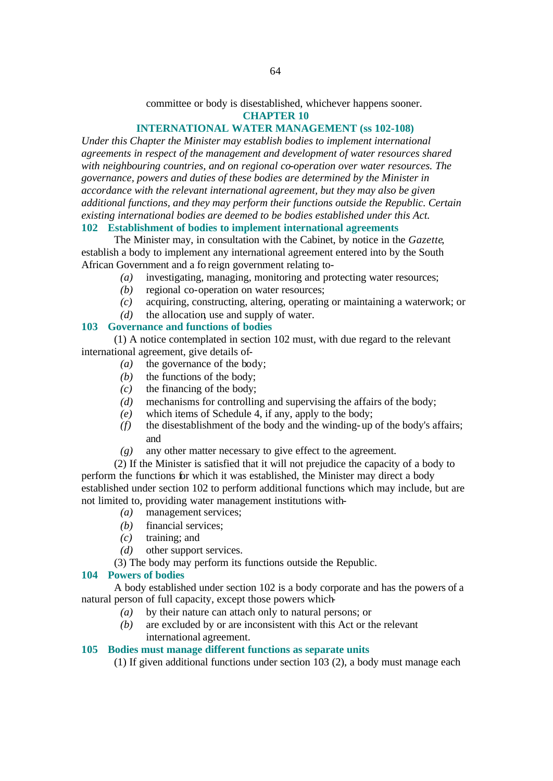committee or body is disestablished, whichever happens sooner.

**CHAPTER 10**

## **INTERNATIONAL WATER MANAGEMENT (ss 102-108)**

*Under this Chapter the Minister may establish bodies to implement international agreements in respect of the management and development of water resources shared with neighbouring countries, and on regional co-operation over water resources. The governance, powers and duties of these bodies are determined by the Minister in accordance with the relevant international agreement, but they may also be given additional functions, and they may perform their functions outside the Republic. Certain existing international bodies are deemed to be bodies established under this Act.*

## **102 Establishment of bodies to implement international agreements**

The Minister may, in consultation with the Cabinet, by notice in the *Gazette*, establish a body to implement any international agreement entered into by the South African Government and a fo reign government relating to-

- *(a)* investigating, managing, monitoring and protecting water resources;
- *(b)* regional co-operation on water resources;
- *(c)* acquiring, constructing, altering, operating or maintaining a waterwork; or
- *(d)* the allocation, use and supply of water.

## **103 Governance and functions of bodies**

(1) A notice contemplated in section 102 must, with due regard to the relevant international agreement, give details of-

- *(a)* the governance of the body;
- *(b)* the functions of the body;
- *(c)* the financing of the body;
- *(d)* mechanisms for controlling and supervising the affairs of the body;
- *(e)* which items of Schedule 4, if any, apply to the body;
- *(f)* the disestablishment of the body and the winding-up of the body's affairs; and
- *(g)* any other matter necessary to give effect to the agreement.

(2) If the Minister is satisfied that it will not prejudice the capacity of a body to perform the functions for which it was established, the Minister may direct a body established under section 102 to perform additional functions which may include, but are not limited to, providing water management institutions with-

- *(a)* management services;
- *(b)* financial services;
- *(c)* training; and
- *(d)* other support services.

(3) The body may perform its functions outside the Republic.

#### **104 Powers of bodies**

A body established under section 102 is a body corporate and has the powers of a natural person of full capacity, except those powers which-

- *(a)* by their nature can attach only to natural persons; or
- *(b)* are excluded by or are inconsistent with this Act or the relevant international agreement.

#### **105 Bodies must manage different functions as separate units**

(1) If given additional functions under section 103 (2), a body must manage each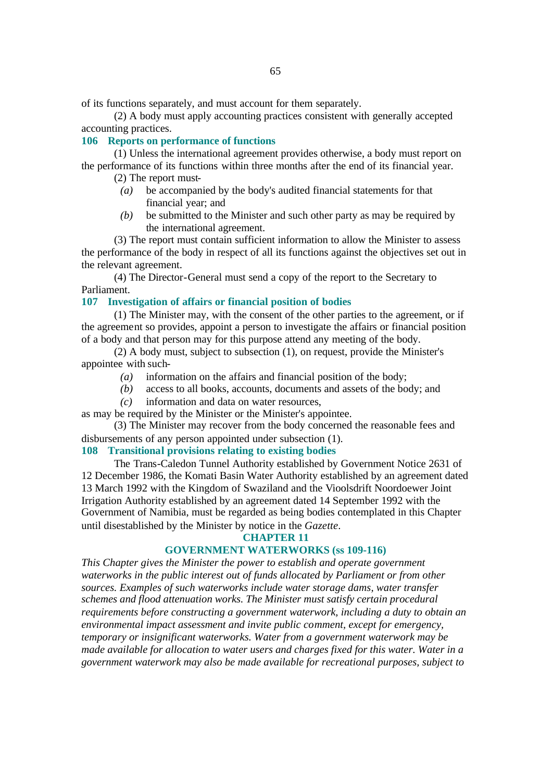of its functions separately, and must account for them separately.

(2) A body must apply accounting practices consistent with generally accepted accounting practices.

#### **106 Reports on performance of functions**

(1) Unless the international agreement provides otherwise, a body must report on the performance of its functions within three months after the end of its financial year.

(2) The report must-

- *(a)* be accompanied by the body's audited financial statements for that financial year; and
- *(b)* be submitted to the Minister and such other party as may be required by the international agreement.

(3) The report must contain sufficient information to allow the Minister to assess the performance of the body in respect of all its functions against the objectives set out in the relevant agreement.

(4) The Director-General must send a copy of the report to the Secretary to Parliament.

#### **107 Investigation of affairs or financial position of bodies**

(1) The Minister may, with the consent of the other parties to the agreement, or if the agreement so provides, appoint a person to investigate the affairs or financial position of a body and that person may for this purpose attend any meeting of the body.

(2) A body must, subject to subsection (1), on request, provide the Minister's appointee with such-

- *(a)* information on the affairs and financial position of the body;
- *(b)* access to all books, accounts, documents and assets of the body; and
- *(c)* information and data on water resources,

as may be required by the Minister or the Minister's appointee.

(3) The Minister may recover from the body concerned the reasonable fees and disbursements of any person appointed under subsection (1).

#### **108 Transitional provisions relating to existing bodies**

The Trans-Caledon Tunnel Authority established by Government Notice 2631 of 12 December 1986, the Komati Basin Water Authority established by an agreement dated 13 March 1992 with the Kingdom of Swaziland and the Vioolsdrift Noordoewer Joint Irrigation Authority established by an agreement dated 14 September 1992 with the Government of Namibia, must be regarded as being bodies contemplated in this Chapter until disestablished by the Minister by notice in the *Gazette*.

#### **CHAPTER 11**

## **GOVERNMENT WATERWORKS (ss 109-116)**

*This Chapter gives the Minister the power to establish and operate government waterworks in the public interest out of funds allocated by Parliament or from other sources. Examples of such waterworks include water storage dams, water transfer schemes and flood attenuation works. The Minister must satisfy certain procedural requirements before constructing a government waterwork, including a duty to obtain an environmental impact assessment and invite public comment, except for emergency, temporary or insignificant waterworks. Water from a government waterwork may be made available for allocation to water users and charges fixed for this water. Water in a government waterwork may also be made available for recreational purposes, subject to*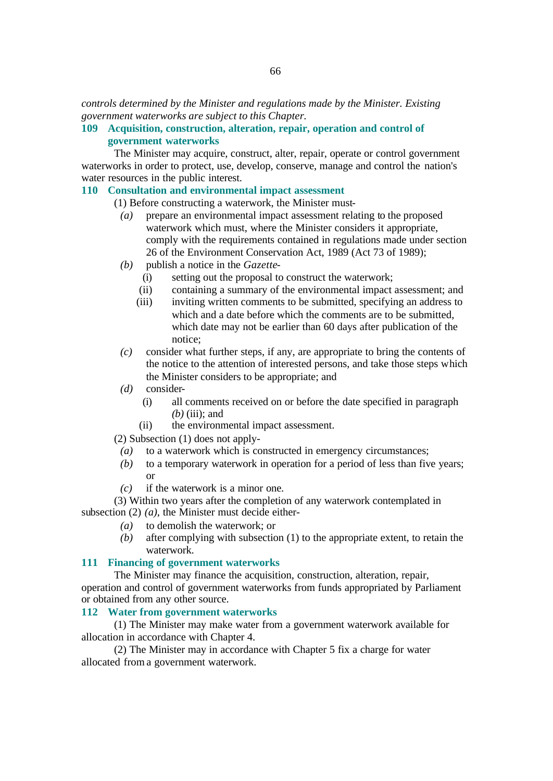*controls determined by the Minister and regulations made by the Minister. Existing government waterworks are subject to this Chapter.*

## **109 Acquisition, construction, alteration, repair, operation and control of government waterworks**

The Minister may acquire, construct, alter, repair, operate or control government waterworks in order to protect, use, develop, conserve, manage and control the nation's water resources in the public interest.

## **110 Consultation and environmental impact assessment**

(1) Before constructing a waterwork, the Minister must-

- *(a)* prepare an environmental impact assessment relating to the proposed waterwork which must, where the Minister considers it appropriate, comply with the requirements contained in regulations made under section 26 of the Environment Conservation Act, 1989 (Act 73 of 1989);
- *(b)* publish a notice in the *Gazette-*
	- (i) setting out the proposal to construct the waterwork;
	- (ii) containing a summary of the environmental impact assessment; and
	- (iii) inviting written comments to be submitted, specifying an address to which and a date before which the comments are to be submitted. which date may not be earlier than 60 days after publication of the notice;
- *(c)* consider what further steps, if any, are appropriate to bring the contents of the notice to the attention of interested persons, and take those steps which the Minister considers to be appropriate; and
- *(d)* consider-
	- (i) all comments received on or before the date specified in paragraph *(b)* (iii); and
	- (ii) the environmental impact assessment.

(2) Subsection (1) does not apply-

- *(a)* to a waterwork which is constructed in emergency circumstances;
- *(b)* to a temporary waterwork in operation for a period of less than five years; or
- *(c)* if the waterwork is a minor one.

(3) Within two years after the completion of any waterwork contemplated in subsection (2) *(a)*, the Minister must decide either-

- *(a)* to demolish the waterwork; or
- *(b)* after complying with subsection (1) to the appropriate extent, to retain the waterwork.

#### **111 Financing of government waterworks**

The Minister may finance the acquisition, construction, alteration, repair, operation and control of government waterworks from funds appropriated by Parliament or obtained from any other source.

#### **112 Water from government waterworks**

(1) The Minister may make water from a government waterwork available for allocation in accordance with Chapter 4.

(2) The Minister may in accordance with Chapter 5 fix a charge for water allocated from a government waterwork.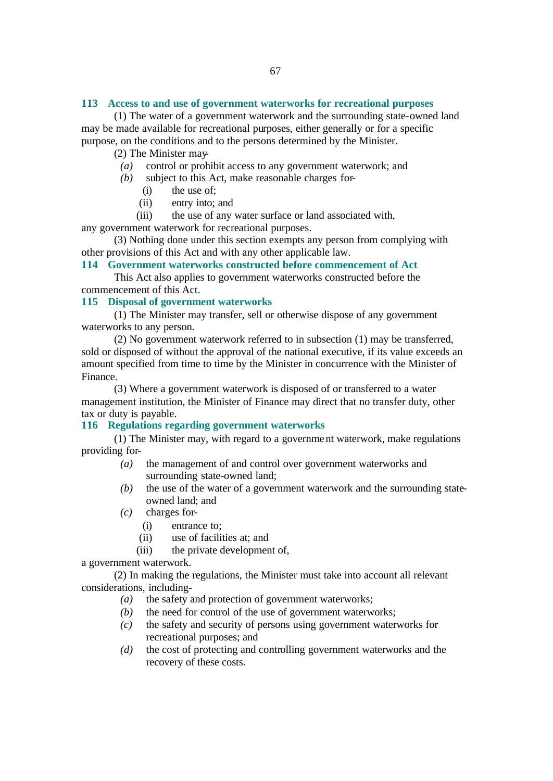#### **113 Access to and use of government waterworks for recreational purposes**

(1) The water of a government waterwork and the surrounding state-owned land may be made available for recreational purposes, either generally or for a specific purpose, on the conditions and to the persons determined by the Minister.

(2) The Minister may-

- *(a)* control or prohibit access to any government waterwork; and
- *(b)* subject to this Act, make reasonable charges for-
	- (i) the use of;
	- (ii) entry into; and
	- (iii) the use of any water surface or land associated with,

any government waterwork for recreational purposes.

(3) Nothing done under this section exempts any person from complying with other provisions of this Act and with any other applicable law.

#### **114 Government waterworks constructed before commencement of Act**

This Act also applies to government waterworks constructed before the commencement of this Act.

#### **115 Disposal of government waterworks**

(1) The Minister may transfer, sell or otherwise dispose of any government waterworks to any person.

(2) No government waterwork referred to in subsection (1) may be transferred, sold or disposed of without the approval of the national executive, if its value exceeds an amount specified from time to time by the Minister in concurrence with the Minister of Finance.

(3) Where a government waterwork is disposed of or transferred to a water management institution, the Minister of Finance may direct that no transfer duty, other tax or duty is payable.

## **116 Regulations regarding government waterworks**

(1) The Minister may, with regard to a government waterwork, make regulations providing for-

- *(a)* the management of and control over government waterworks and surrounding state-owned land;
- *(b)* the use of the water of a government waterwork and the surrounding stateowned land; and
- *(c)* charges for-
	- (i) entrance to;
	- (ii) use of facilities at; and
	- (iii) the private development of,

a government waterwork.

(2) In making the regulations, the Minister must take into account all relevant considerations, including-

- *(a)* the safety and protection of government waterworks;
- *(b)* the need for control of the use of government waterworks;
- *(c)* the safety and security of persons using government waterworks for recreational purposes; and
- *(d)* the cost of protecting and controlling government waterworks and the recovery of these costs.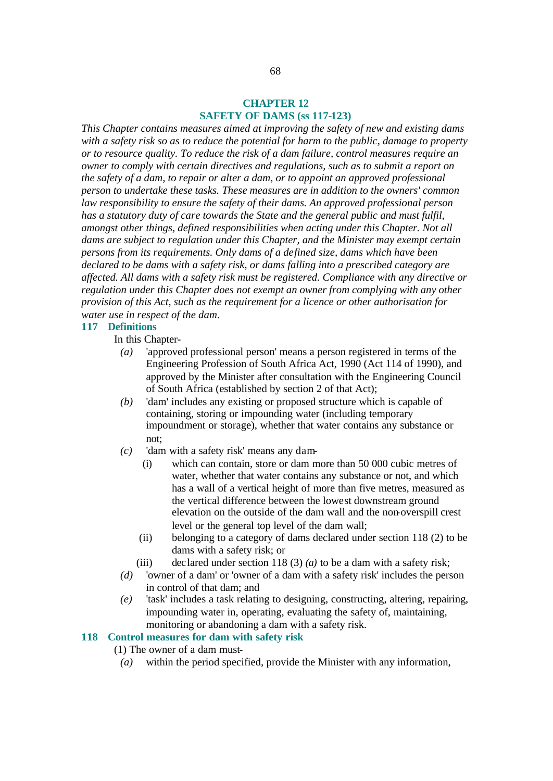## **CHAPTER 12 SAFETY OF DAMS (ss 117-123)**

*This Chapter contains measures aimed at improving the safety of new and existing dams with a safety risk so as to reduce the potential for harm to the public, damage to property or to resource quality. To reduce the risk of a dam failure, control measures require an owner to comply with certain directives and regulations, such as to submit a report on the safety of a dam, to repair or alter a dam, or to appoint an approved professional person to undertake these tasks. These measures are in addition to the owners' common law responsibility to ensure the safety of their dams. An approved professional person has a statutory duty of care towards the State and the general public and must fulfil, amongst other things, defined responsibilities when acting under this Chapter. Not all dams are subject to regulation under this Chapter, and the Minister may exempt certain persons from its requirements. Only dams of a defined size, dams which have been declared to be dams with a safety risk, or dams falling into a prescribed category are affected. All dams with a safety risk must be registered. Compliance with any directive or regulation under this Chapter does not exempt an owner from complying with any other provision of this Act, such as the requirement for a licence or other authorisation for water use in respect of the dam.* 

## **117 Definitions**

In this Chapter-

- *(a)* 'approved professional person' means a person registered in terms of the Engineering Profession of South Africa Act, 1990 (Act 114 of 1990), and approved by the Minister after consultation with the Engineering Council of South Africa (established by section 2 of that Act);
- *(b)* 'dam' includes any existing or proposed structure which is capable of containing, storing or impounding water (including temporary impoundment or storage), whether that water contains any substance or not;
- *(c)* 'dam with a safety risk' means any dam-
	- (i) which can contain, store or dam more than 50 000 cubic metres of water, whether that water contains any substance or not, and which has a wall of a vertical height of more than five metres, measured as the vertical difference between the lowest downstream ground elevation on the outside of the dam wall and the non-overspill crest level or the general top level of the dam wall;
	- (ii) belonging to a category of dams declared under section 118 (2) to be dams with a safety risk; or
	- (iii) declared under section 118 (3) *(a)* to be a dam with a safety risk;
- *(d)* 'owner of a dam' or 'owner of a dam with a safety risk' includes the person in control of that dam; and
- *(e)* 'task' includes a task relating to designing, constructing, altering, repairing, impounding water in, operating, evaluating the safety of, maintaining, monitoring or abandoning a dam with a safety risk.

## **118 Control measures for dam with safety risk**

- (1) The owner of a dam must-
- *(a)* within the period specified, provide the Minister with any information,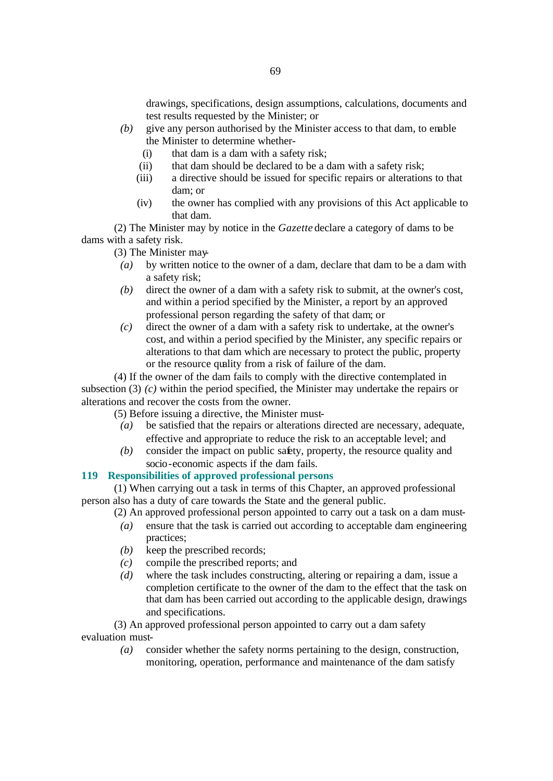drawings, specifications, design assumptions, calculations, documents and test results requested by the Minister; or

- *(b)* give any person authorised by the Minister access to that dam, to enable the Minister to determine whether-
	- (i) that dam is a dam with a safety risk;
	- (ii) that dam should be declared to be a dam with a safety risk;
	- (iii) a directive should be issued for specific repairs or alterations to that dam; or
	- (iv) the owner has complied with any provisions of this Act applicable to that dam.

(2) The Minister may by notice in the *Gazette* declare a category of dams to be dams with a safety risk.

- (3) The Minister may-
- *(a)* by written notice to the owner of a dam, declare that dam to be a dam with a safety risk;
- *(b)* direct the owner of a dam with a safety risk to submit, at the owner's cost, and within a period specified by the Minister, a report by an approved professional person regarding the safety of that dam; or
- *(c)* direct the owner of a dam with a safety risk to undertake, at the owner's cost, and within a period specified by the Minister, any specific repairs or alterations to that dam which are necessary to protect the public, property or the resource quality from a risk of failure of the dam.

(4) If the owner of the dam fails to comply with the directive contemplated in subsection (3) *(c)* within the period specified, the Minister may undertake the repairs or alterations and recover the costs from the owner.

(5) Before issuing a directive, the Minister must-

- *(a)* be satisfied that the repairs or alterations directed are necessary, adequate, effective and appropriate to reduce the risk to an acceptable level; and
- *(b)* consider the impact on public safety, property, the resource quality and socio-economic aspects if the dam fails.

#### **119 Responsibilities of approved professional persons**

(1) When carrying out a task in terms of this Chapter, an approved professional person also has a duty of care towards the State and the general public.

- (2) An approved professional person appointed to carry out a task on a dam must-
	- *(a)* ensure that the task is carried out according to acceptable dam engineering practices;
	- *(b)* keep the prescribed records;
	- *(c)* compile the prescribed reports; and
	- *(d)* where the task includes constructing, altering or repairing a dam, issue a completion certificate to the owner of the dam to the effect that the task on that dam has been carried out according to the applicable design, drawings and specifications.

(3) An approved professional person appointed to carry out a dam safety evaluation must-

> *(a)* consider whether the safety norms pertaining to the design, construction, monitoring, operation, performance and maintenance of the dam satisfy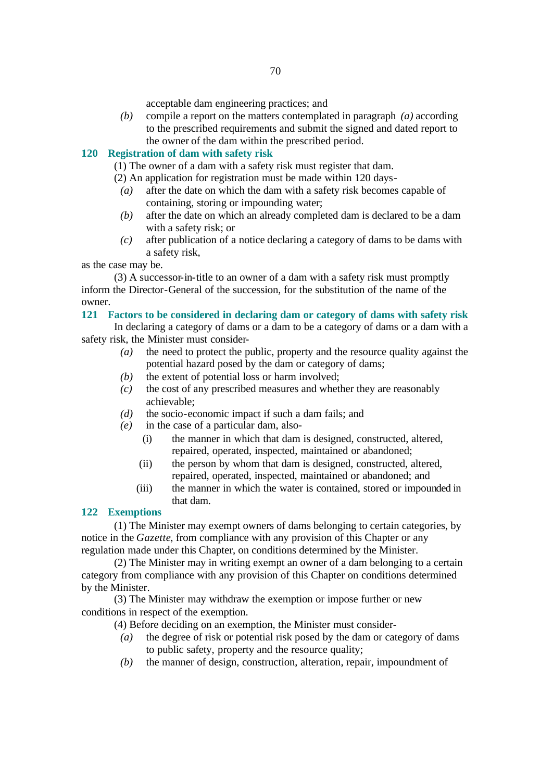acceptable dam engineering practices; and

*(b)* compile a report on the matters contemplated in paragraph *(a)* according to the prescribed requirements and submit the signed and dated report to the owner of the dam within the prescribed period.

## **120 Registration of dam with safety risk**

(1) The owner of a dam with a safety risk must register that dam.

(2) An application for registration must be made within 120 days-

- *(a)* after the date on which the dam with a safety risk becomes capable of containing, storing or impounding water;
- *(b)* after the date on which an already completed dam is declared to be a dam with a safety risk; or
- *(c)* after publication of a notice declaring a category of dams to be dams with a safety risk,

as the case may be.

(3) A successor-in-title to an owner of a dam with a safety risk must promptly inform the Director-General of the succession, for the substitution of the name of the owner.

#### **121 Factors to be considered in declaring dam or category of dams with safety risk**

In declaring a category of dams or a dam to be a category of dams or a dam with a safety risk, the Minister must consider-

- *(a)* the need to protect the public, property and the resource quality against the potential hazard posed by the dam or category of dams;
- *(b)* the extent of potential loss or harm involved;
- *(c)* the cost of any prescribed measures and whether they are reasonably achievable;
- *(d)* the socio-economic impact if such a dam fails; and
- *(e)* in the case of a particular dam, also-
	- (i) the manner in which that dam is designed, constructed, altered, repaired, operated, inspected, maintained or abandoned;
	- (ii) the person by whom that dam is designed, constructed, altered, repaired, operated, inspected, maintained or abandoned; and
	- (iii) the manner in which the water is contained, stored or impounded in that dam.

## **122 Exemptions**

(1) The Minister may exempt owners of dams belonging to certain categories, by notice in the *Gazette*, from compliance with any provision of this Chapter or any regulation made under this Chapter, on conditions determined by the Minister.

(2) The Minister may in writing exempt an owner of a dam belonging to a certain category from compliance with any provision of this Chapter on conditions determined by the Minister.

(3) The Minister may withdraw the exemption or impose further or new conditions in respect of the exemption.

(4) Before deciding on an exemption, the Minister must consider-

- *(a)* the degree of risk or potential risk posed by the dam or category of dams to public safety, property and the resource quality;
- *(b)* the manner of design, construction, alteration, repair, impoundment of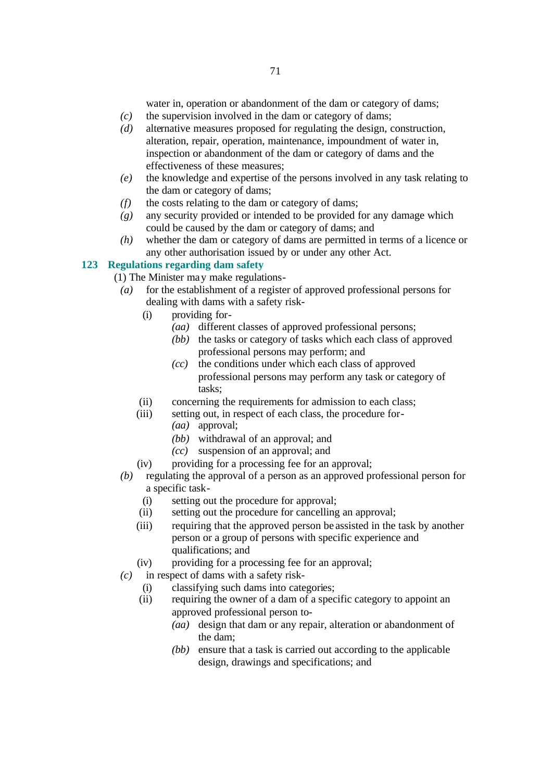water in, operation or abandonment of the dam or category of dams;

- *(c)* the supervision involved in the dam or category of dams;
- *(d)* alternative measures proposed for regulating the design, construction, alteration, repair, operation, maintenance, impoundment of water in, inspection or abandonment of the dam or category of dams and the effectiveness of these measures;
- *(e)* the knowledge and expertise of the persons involved in any task relating to the dam or category of dams;
- *(f)* the costs relating to the dam or category of dams;
- *(g)* any security provided or intended to be provided for any damage which could be caused by the dam or category of dams; and
- *(h)* whether the dam or category of dams are permitted in terms of a licence or any other authorisation issued by or under any other Act.

### **123 Regulations regarding dam safety**

(1) The Minister may make regulations-

- *(a)* for the establishment of a register of approved professional persons for dealing with dams with a safety risk-
	- (i) providing for-
		- *(aa)* different classes of approved professional persons;
		- *(bb)* the tasks or category of tasks which each class of approved professional persons may perform; and
		- *(cc)* the conditions under which each class of approved professional persons may perform any task or category of tasks;
	- (ii) concerning the requirements for admission to each class;
	- (iii) setting out, in respect of each class, the procedure for-
		- *(aa)* approval;
		- *(bb)* withdrawal of an approval; and
		- *(cc)* suspension of an approval; and
	- (iv) providing for a processing fee for an approval;
- *(b)* regulating the approval of a person as an approved professional person for a specific task-
	- (i) setting out the procedure for approval;
	- (ii) setting out the procedure for cancelling an approval;
	- (iii) requiring that the approved person be assisted in the task by another person or a group of persons with specific experience and qualifications; and
	- (iv) providing for a processing fee for an approval;
- *(c)* in respect of dams with a safety risk-
	- (i) classifying such dams into categories;
	- (ii) requiring the owner of a dam of a specific category to appoint an approved professional person to-
		- *(aa)* design that dam or any repair, alteration or abandonment of the dam;
		- *(bb)* ensure that a task is carried out according to the applicable design, drawings and specifications; and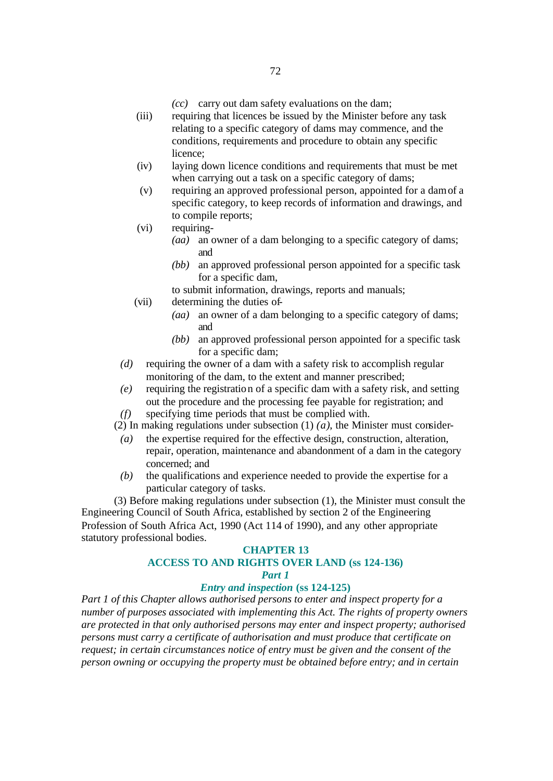- *(cc)* carry out dam safety evaluations on the dam;
- (iii) requiring that licences be issued by the Minister before any task relating to a specific category of dams may commence, and the conditions, requirements and procedure to obtain any specific licence;
- (iv) laying down licence conditions and requirements that must be met when carrying out a task on a specific category of dams;
- (v) requiring an approved professional person, appointed for a dam of a specific category, to keep records of information and drawings, and to compile reports;
- (vi) requiring-
	- *(aa)* an owner of a dam belonging to a specific category of dams; and
	- *(bb)* an approved professional person appointed for a specific task for a specific dam,
	- to submit information, drawings, reports and manuals;
- (vii) determining the duties of-
	- *(aa)* an owner of a dam belonging to a specific category of dams; and
	- *(bb)* an approved professional person appointed for a specific task for a specific dam;
- *(d)* requiring the owner of a dam with a safety risk to accomplish regular monitoring of the dam, to the extent and manner prescribed;
- *(e)* requiring the registration of a specific dam with a safety risk, and setting out the procedure and the processing fee payable for registration; and
- *(f)* specifying time periods that must be complied with.
- (2) In making regulations under subsection  $(1)$   $(a)$ , the Minister must consider-
- *(a)* the expertise required for the effective design, construction, alteration, repair, operation, maintenance and abandonment of a dam in the category concerned; and
- *(b)* the qualifications and experience needed to provide the expertise for a particular category of tasks.

(3) Before making regulations under subsection (1), the Minister must consult the Engineering Council of South Africa, established by section 2 of the Engineering Profession of South Africa Act, 1990 (Act 114 of 1990), and any other appropriate statutory professional bodies.

#### **CHAPTER 13**

#### **ACCESS TO AND RIGHTS OVER LAND (ss 124-136)** *Part 1*

## *Entry and inspection* **(ss 124-125)**

*Part 1 of this Chapter allows authorised persons to enter and inspect property for a number of purposes associated with implementing this Act. The rights of property owners are protected in that only authorised persons may enter and inspect property; authorised persons must carry a certificate of authorisation and must produce that certificate on request; in certain circumstances notice of entry must be given and the consent of the person owning or occupying the property must be obtained before entry; and in certain*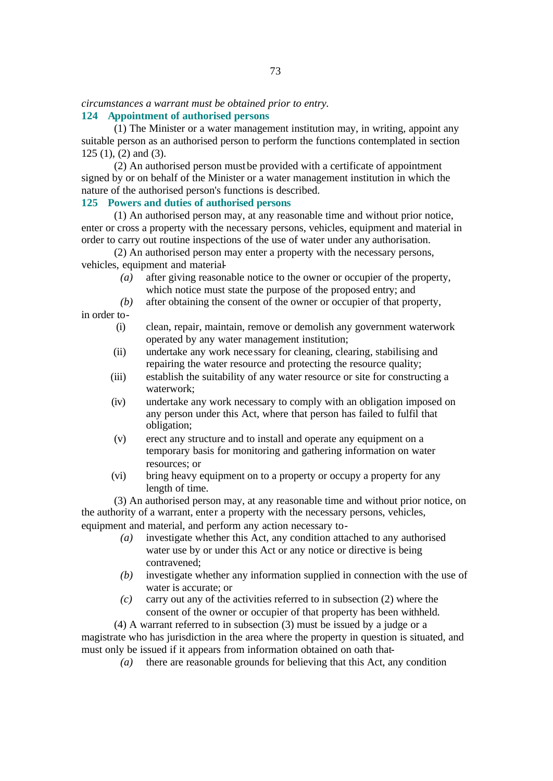### **124 Appointment of authorised persons**

(1) The Minister or a water management institution may, in writing, appoint any suitable person as an authorised person to perform the functions contemplated in section 125 (1), (2) and (3).

(2) An authorised person must be provided with a certificate of appointment signed by or on behalf of the Minister or a water management institution in which the nature of the authorised person's functions is described.

#### **125 Powers and duties of authorised persons**

(1) An authorised person may, at any reasonable time and without prior notice, enter or cross a property with the necessary persons, vehicles, equipment and material in order to carry out routine inspections of the use of water under any authorisation.

(2) An authorised person may enter a property with the necessary persons, vehicles, equipment and material-

- *(a)* after giving reasonable notice to the owner or occupier of the property, which notice must state the purpose of the proposed entry; and
- *(b)* after obtaining the consent of the owner or occupier of that property,

in order to-

- (i) clean, repair, maintain, remove or demolish any government waterwork operated by any water management institution;
- (ii) undertake any work nece ssary for cleaning, clearing, stabilising and repairing the water resource and protecting the resource quality;
- (iii) establish the suitability of any water resource or site for constructing a waterwork;
- (iv) undertake any work necessary to comply with an obligation imposed on any person under this Act, where that person has failed to fulfil that obligation;
- (v) erect any structure and to install and operate any equipment on a temporary basis for monitoring and gathering information on water resources; or
- (vi) bring heavy equipment on to a property or occupy a property for any length of time.

(3) An authorised person may, at any reasonable time and without prior notice, on the authority of a warrant, enter a property with the necessary persons, vehicles, equipment and material, and perform any action necessary to-

- *(a)* investigate whether this Act, any condition attached to any authorised water use by or under this Act or any notice or directive is being contravened;
- *(b)* investigate whether any information supplied in connection with the use of water is accurate; or
- *(c)* carry out any of the activities referred to in subsection (2) where the consent of the owner or occupier of that property has been withheld.

(4) A warrant referred to in subsection (3) must be issued by a judge or a magistrate who has jurisdiction in the area where the property in question is situated, and must only be issued if it appears from information obtained on oath that-

*(a)* there are reasonable grounds for believing that this Act, any condition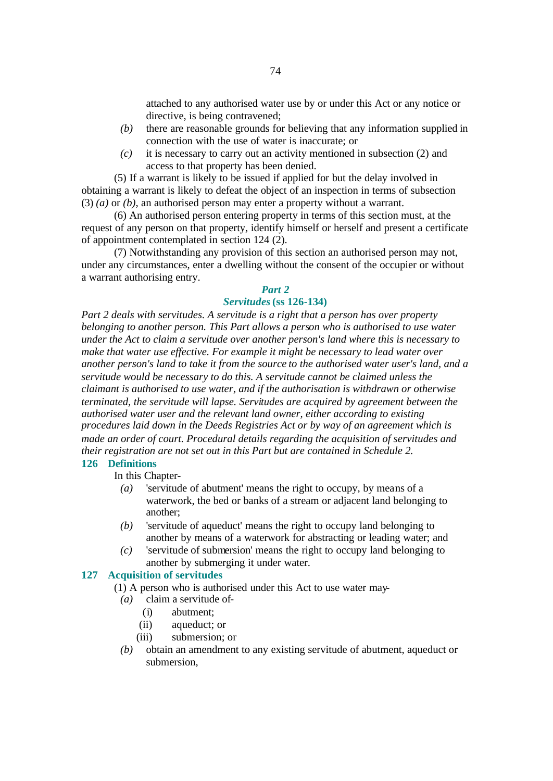attached to any authorised water use by or under this Act or any notice or directive, is being contravened;

- *(b)* there are reasonable grounds for believing that any information supplied in connection with the use of water is inaccurate; or
- *(c)* it is necessary to carry out an activity mentioned in subsection (2) and access to that property has been denied.

(5) If a warrant is likely to be issued if applied for but the delay involved in obtaining a warrant is likely to defeat the object of an inspection in terms of subsection (3) *(a)* or *(b)*, an authorised person may enter a property without a warrant.

(6) An authorised person entering property in terms of this section must, at the request of any person on that property, identify himself or herself and present a certificate of appointment contemplated in section 124 (2).

(7) Notwithstanding any provision of this section an authorised person may not, under any circumstances, enter a dwelling without the consent of the occupier or without a warrant authorising entry.

# *Part 2*

# *Servitudes* **(ss 126-134)**

*Part 2 deals with servitudes. A servitude is a right that a person has over property belonging to another person. This Part allows a person who is authorised to use water under the Act to claim a servitude over another person's land where this is necessary to make that water use effective. For example it might be necessary to lead water over another person's land to take it from the source to the authorised water user's land, and a servitude would be necessary to do this. A servitude cannot be claimed unless the claimant is authorised to use water, and if the authorisation is withdrawn or otherwise terminated, the servitude will lapse. Servitudes are acquired by agreement between the authorised water user and the relevant land owner, either according to existing procedures laid down in the Deeds Registries Act or by way of an agreement which is made an order of court. Procedural details regarding the acquisition of servitudes and their registration are not set out in this Part but are contained in Schedule 2.* 

#### **126 Definitions**

In this Chapter-

- *(a)* 'servitude of abutment' means the right to occupy, by means of a waterwork, the bed or banks of a stream or adjacent land belonging to another;
- *(b)* 'servitude of aqueduct' means the right to occupy land belonging to another by means of a waterwork for abstracting or leading water; and
- *(c)* 'servitude of submersion' means the right to occupy land belonging to another by submerging it under water.

# **127 Acquisition of servitudes**

(1) A person who is authorised under this Act to use water may-

- *(a)* claim a servitude of-
	- (i) abutment;
	- (ii) aqueduct; or
	- (iii) submersion; or
- *(b)* obtain an amendment to any existing servitude of abutment, aqueduct or submersion,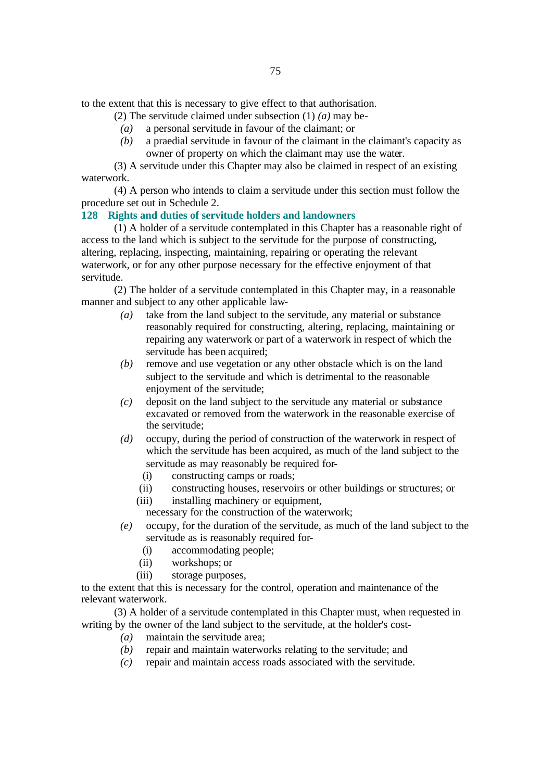to the extent that this is necessary to give effect to that authorisation.

- (2) The servitude claimed under subsection (1) *(a)* may be-
	- *(a)* a personal servitude in favour of the claimant; or
	- *(b)* a praedial servitude in favour of the claimant in the claimant's capacity as owner of property on which the claimant may use the water.

(3) A servitude under this Chapter may also be claimed in respect of an existing waterwork.

(4) A person who intends to claim a servitude under this section must follow the procedure set out in Schedule 2.

### **128 Rights and duties of servitude holders and landowners**

(1) A holder of a servitude contemplated in this Chapter has a reasonable right of access to the land which is subject to the servitude for the purpose of constructing, altering, replacing, inspecting, maintaining, repairing or operating the relevant waterwork, or for any other purpose necessary for the effective enjoyment of that servitude.

(2) The holder of a servitude contemplated in this Chapter may, in a reasonable manner and subject to any other applicable law-

- *(a)* take from the land subject to the servitude, any material or substance reasonably required for constructing, altering, replacing, maintaining or repairing any waterwork or part of a waterwork in respect of which the servitude has been acquired:
- *(b)* remove and use vegetation or any other obstacle which is on the land subject to the servitude and which is detrimental to the reasonable enjoyment of the servitude;
- *(c)* deposit on the land subject to the servitude any material or substance excavated or removed from the waterwork in the reasonable exercise of the servitude;
- *(d)* occupy, during the period of construction of the waterwork in respect of which the servitude has been acquired, as much of the land subject to the servitude as may reasonably be required for-
	- (i) constructing camps or roads;
	- (ii) constructing houses, reservoirs or other buildings or structures; or

(iii) installing machinery or equipment, necessary for the construction of the waterwork;

- *(e)* occupy, for the duration of the servitude, as much of the land subject to the servitude as is reasonably required for-
	- (i) accommodating people;
	- (ii) workshops; or
	- (iii) storage purposes,

to the extent that this is necessary for the control, operation and maintenance of the relevant waterwork.

(3) A holder of a servitude contemplated in this Chapter must, when requested in writing by the owner of the land subject to the servitude, at the holder's cost-

- *(a)* maintain the servitude area;
- *(b)* repair and maintain waterworks relating to the servitude; and
- *(c)* repair and maintain access roads associated with the servitude.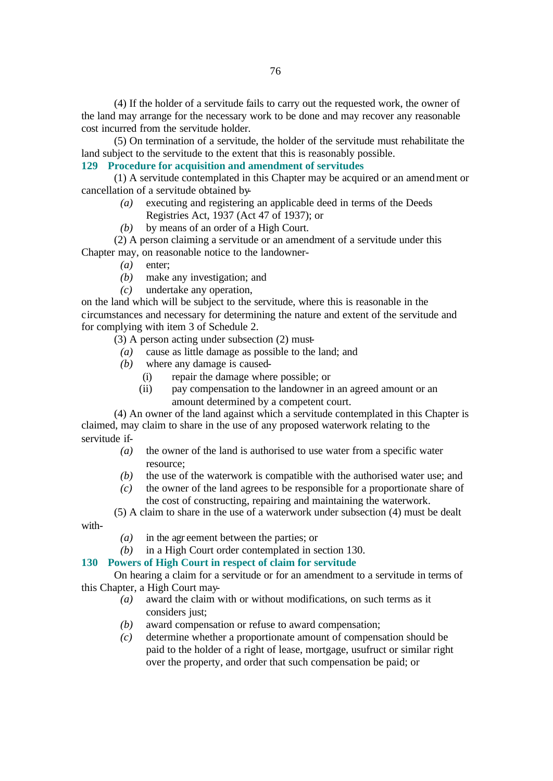(4) If the holder of a servitude fails to carry out the requested work, the owner of the land may arrange for the necessary work to be done and may recover any reasonable cost incurred from the servitude holder.

(5) On termination of a servitude, the holder of the servitude must rehabilitate the land subject to the servitude to the extent that this is reasonably possible.

**129 Procedure for acquisition and amendment of servitudes**

(1) A servitude contemplated in this Chapter may be acquired or an amendment or cancellation of a servitude obtained by-

- *(a)* executing and registering an applicable deed in terms of the Deeds Registries Act, 1937 (Act 47 of 1937); or
- *(b)* by means of an order of a High Court.

(2) A person claiming a servitude or an amendment of a servitude under this Chapter may, on reasonable notice to the landowner-

- *(a)* enter;
- *(b)* make any investigation; and
- *(c)* undertake any operation,

on the land which will be subject to the servitude, where this is reasonable in the circumstances and necessary for determining the nature and extent of the servitude and for complying with item 3 of Schedule 2.

(3) A person acting under subsection (2) must-

- *(a)* cause as little damage as possible to the land; and
- *(b)* where any damage is caused-
	- (i) repair the damage where possible; or
	- (ii) pay compensation to the landowner in an agreed amount or an amount determined by a competent court.

(4) An owner of the land against which a servitude contemplated in this Chapter is claimed, may claim to share in the use of any proposed waterwork relating to the servitude if-

- *(a)* the owner of the land is authorised to use water from a specific water resource;
- *(b)* the use of the waterwork is compatible with the authorised water use; and
- *(c)* the owner of the land agrees to be responsible for a proportionate share of the cost of constructing, repairing and maintaining the waterwork.

(5) A claim to share in the use of a waterwork under subsection (4) must be dealt with-

- *(a)* in the agr eement between the parties; or
- *(b)* in a High Court order contemplated in section 130.

### **130 Powers of High Court in respect of claim for servitude**

On hearing a claim for a servitude or for an amendment to a servitude in terms of this Chapter, a High Court may-

- *(a)* award the claim with or without modifications, on such terms as it considers just;
- *(b)* award compensation or refuse to award compensation;
- *(c)* determine whether a proportionate amount of compensation should be paid to the holder of a right of lease, mortgage, usufruct or similar right over the property, and order that such compensation be paid; or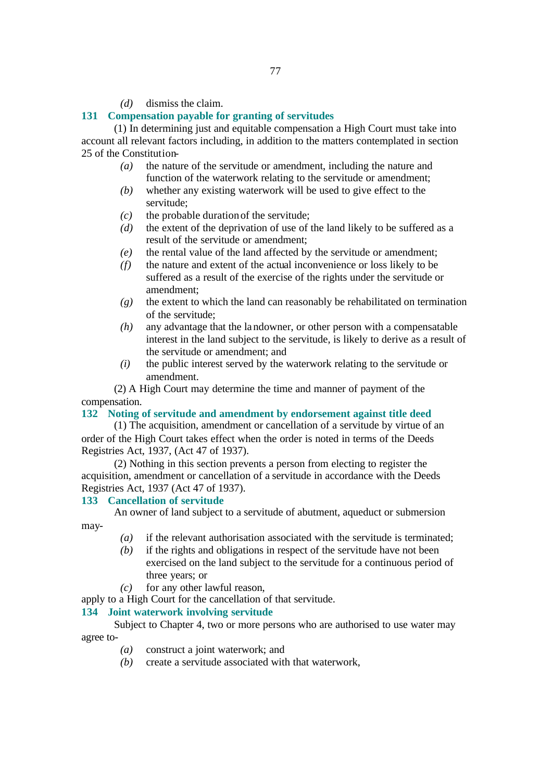## *(d)* dismiss the claim.

# **131 Compensation payable for granting of servitudes**

(1) In determining just and equitable compensation a High Court must take into account all relevant factors including, in addition to the matters contemplated in section 25 of the Constitution-

- *(a)* the nature of the servitude or amendment, including the nature and function of the waterwork relating to the servitude or amendment;
- *(b)* whether any existing waterwork will be used to give effect to the servitude;
- *(c)* the probable duration of the servitude;
- *(d)* the extent of the deprivation of use of the land likely to be suffered as a result of the servitude or amendment;
- *(e)* the rental value of the land affected by the servitude or amendment;
- *(f)* the nature and extent of the actual inconvenience or loss likely to be suffered as a result of the exercise of the rights under the servitude or amendment;
- *(g)* the extent to which the land can reasonably be rehabilitated on termination of the servitude;
- *(h)* any advantage that the landowner, or other person with a compensatable interest in the land subject to the servitude, is likely to derive as a result of the servitude or amendment; and
- *(i)* the public interest served by the waterwork relating to the servitude or amendment.

(2) A High Court may determine the time and manner of payment of the compensation.

### **132 Noting of servitude and amendment by endorsement against title deed**

(1) The acquisition, amendment or cancellation of a servitude by virtue of an order of the High Court takes effect when the order is noted in terms of the Deeds Registries Act, 1937, (Act 47 of 1937).

(2) Nothing in this section prevents a person from electing to register the acquisition, amendment or cancellation of a servitude in accordance with the Deeds Registries Act, 1937 (Act 47 of 1937).

### **133 Cancellation of servitude**

An owner of land subject to a servitude of abutment, aqueduct or submersion may-

- *(a)* if the relevant authorisation associated with the servitude is terminated;
- *(b)* if the rights and obligations in respect of the servitude have not been exercised on the land subject to the servitude for a continuous period of three years; or
- *(c)* for any other lawful reason,
- apply to a High Court for the cancellation of that servitude.

### **134 Joint waterwork involving servitude**

Subject to Chapter 4, two or more persons who are authorised to use water may agree to-

- *(a)* construct a joint waterwork; and
- *(b)* create a servitude associated with that waterwork,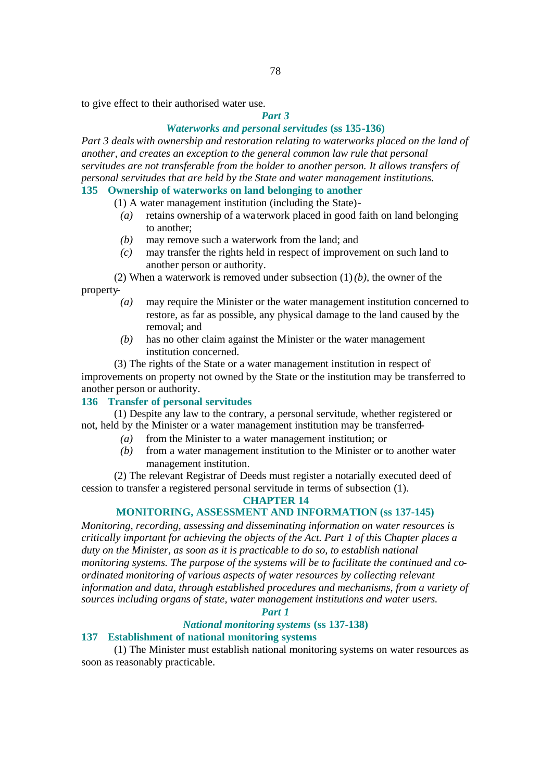to give effect to their authorised water use.

# *Part 3*

# *Waterworks and personal servitudes* **(ss 135-136)**

*Part 3 deals with ownership and restoration relating to waterworks placed on the land of another, and creates an exception to the general common law rule that personal servitudes are not transferable from the holder to another person. It allows transfers of personal servitudes that are held by the State and water management institutions.*

# **135 Ownership of waterworks on land belonging to another**

(1) A water management institution (including the State)-

- *(a)* retains ownership of a wa terwork placed in good faith on land belonging to another;
- *(b)* may remove such a waterwork from the land; and
- *(c)* may transfer the rights held in respect of improvement on such land to another person or authority.

(2) When a waterwork is removed under subsection  $(1)(b)$ , the owner of the property-

- *(a)* may require the Minister or the water management institution concerned to restore, as far as possible, any physical damage to the land caused by the removal; and
- *(b)* has no other claim against the Minister or the water management institution concerned.

(3) The rights of the State or a water management institution in respect of improvements on property not owned by the State or the institution may be transferred to another person or authority.

# **136 Transfer of personal servitudes**

(1) Despite any law to the contrary, a personal servitude, whether registered or not, held by the Minister or a water management institution may be transferred-

- *(a)* from the Minister to a water management institution; or
- *(b)* from a water management institution to the Minister or to another water management institution.

(2) The relevant Registrar of Deeds must register a notarially executed deed of cession to transfer a registered personal servitude in terms of subsection (1).

#### **CHAPTER 14**

#### **MONITORING, ASSESSMENT AND INFORMATION (ss 137-145)**

*Monitoring, recording, assessing and disseminating information on water resources is critically important for achieving the objects of the Act. Part 1 of this Chapter places a duty on the Minister, as soon as it is practicable to do so, to establish national monitoring systems. The purpose of the systems will be to facilitate the continued and coordinated monitoring of various aspects of water resources by collecting relevant information and data, through established procedures and mechanisms, from a variety of sources including organs of state, water management institutions and water users.* 

#### *Part 1*

### *National monitoring systems* **(ss 137-138)**

#### **137 Establishment of national monitoring systems**

(1) The Minister must establish national monitoring systems on water resources as soon as reasonably practicable.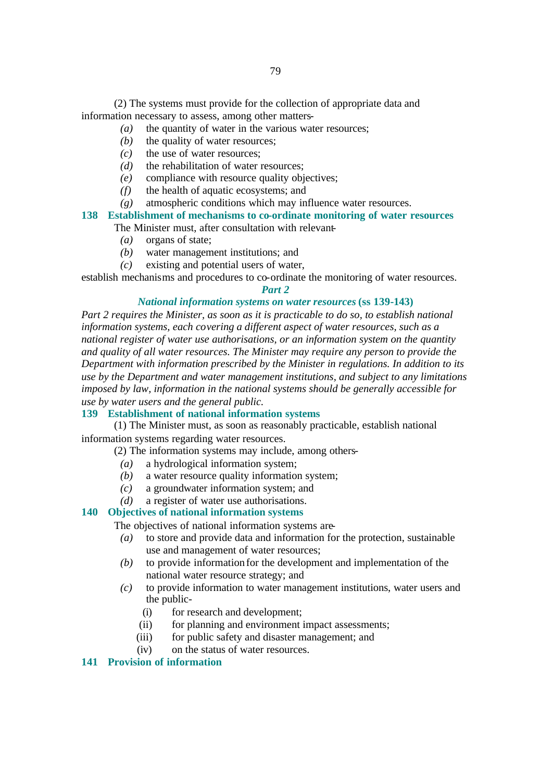(2) The systems must provide for the collection of appropriate data and information necessary to assess, among other matters-

- *(a)* the quantity of water in the various water resources;
- *(b)* the quality of water resources;
- *(c)* the use of water resources;
- *(d)* the rehabilitation of water resources;
- *(e)* compliance with resource quality objectives;
- *(f)* the health of aquatic ecosystems; and
- *(g)* atmospheric conditions which may influence water resources.
- **138 Establishment of mechanisms to co-ordinate monitoring of water resources**

# The Minister must, after consultation with relevant-

- *(a)* organs of state;
- *(b)* water management institutions; and
- *(c)* existing and potential users of water,

establish mechanisms and procedures to co-ordinate the monitoring of water resources.

# *Part 2*

## *National information systems on water resources* **(ss 139-143)**

*Part 2 requires the Minister, as soon as it is practicable to do so, to establish national information systems, each covering a different aspect of water resources, such as a national register of water use authorisations, or an information system on the quantity and quality of all water resources. The Minister may require any person to provide the Department with information prescribed by the Minister in regulations. In addition to its use by the Department and water management institutions, and subject to any limitations imposed by law, information in the national systems should be generally accessible for use by water users and the general public.* 

### **139 Establishment of national information systems**

(1) The Minister must, as soon as reasonably practicable, establish national information systems regarding water resources.

(2) The information systems may include, among others-

- *(a)* a hydrological information system;
- *(b)* a water resource quality information system;
- *(c)* a groundwater information system; and
- *(d)* a register of water use authorisations.

### **140 Objectives of national information systems**

The objectives of national information systems are-

- *(a)* to store and provide data and information for the protection, sustainable use and management of water resources;
- *(b)* to provide information for the development and implementation of the national water resource strategy; and
- *(c)* to provide information to water management institutions, water users and the public-
	- (i) for research and development;
	- (ii) for planning and environment impact assessments;
	- (iii) for public safety and disaster management; and
	- (iv) on the status of water resources.

### **141 Provision of information**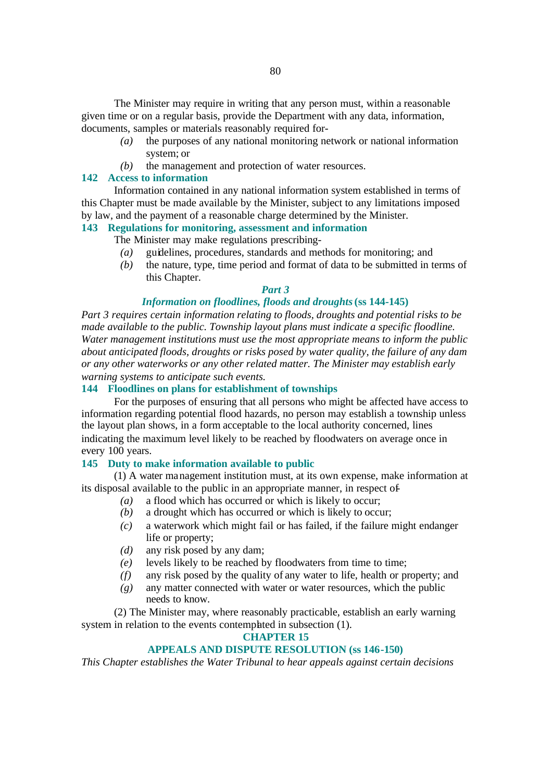The Minister may require in writing that any person must, within a reasonable given time or on a regular basis, provide the Department with any data, information, documents, samples or materials reasonably required for-

- *(a)* the purposes of any national monitoring network or national information system; or
- *(b)* the management and protection of water resources.

# **142 Access to information**

Information contained in any national information system established in terms of this Chapter must be made available by the Minister, subject to any limitations imposed by law, and the payment of a reasonable charge determined by the Minister.

# **143 Regulations for monitoring, assessment and information**

The Minister may make regulations prescribing-

- *(a)* guidelines, procedures, standards and methods for monitoring; and
- *(b)* the nature, type, time period and format of data to be submitted in terms of this Chapter.

#### *Part 3*

# *Information on floodlines, floods and droughts* **(ss 144-145)**

*Part 3 requires certain information relating to floods, droughts and potential risks to be made available to the public. Township layout plans must indicate a specific floodline. Water management institutions must use the most appropriate means to inform the public about anticipated floods, droughts or risks posed by water quality, the failure of any dam or any other waterworks or any other related matter. The Minister may establish early warning systems to anticipate such events.* 

#### **144 Floodlines on plans for establishment of townships**

For the purposes of ensuring that all persons who might be affected have access to information regarding potential flood hazards, no person may establish a township unless the layout plan shows, in a form acceptable to the local authority concerned, lines indicating the maximum level likely to be reached by floodwaters on average once in every 100 years.

### **145 Duty to make information available to public**

(1) A water management institution must, at its own expense, make information at its disposal available to the public in an appropriate manner, in respect of-

- *(a)* a flood which has occurred or which is likely to occur;
- *(b)* a drought which has occurred or which is likely to occur;
- *(c)* a waterwork which might fail or has failed, if the failure might endanger life or property;
- *(d)* any risk posed by any dam;
- *(e)* levels likely to be reached by floodwaters from time to time;
- *(f)* any risk posed by the quality of any water to life, health or property; and
- *(g)* any matter connected with water or water resources, which the public needs to know.

(2) The Minister may, where reasonably practicable, establish an early warning system in relation to the events contemplated in subsection (1).

# **CHAPTER 15**

# **APPEALS AND DISPUTE RESOLUTION (ss 146-150)**

*This Chapter establishes the Water Tribunal to hear appeals against certain decisions*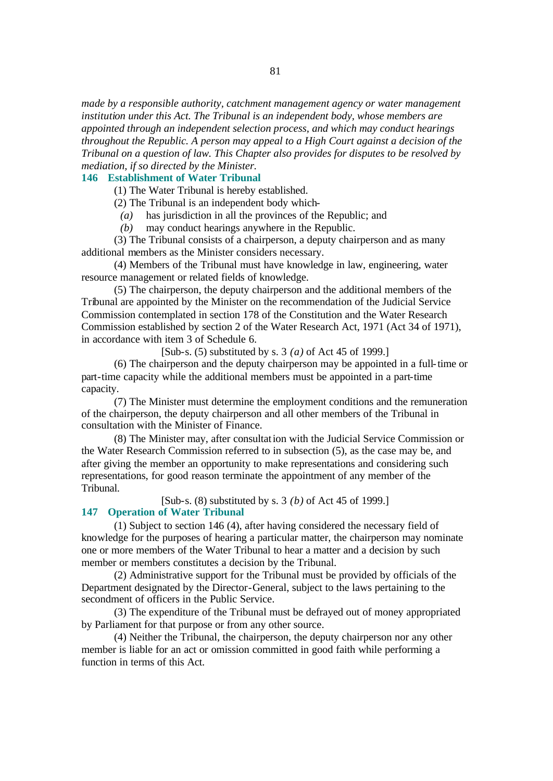*made by a responsible authority, catchment management agency or water management institution under this Act. The Tribunal is an independent body, whose members are appointed through an independent selection process, and which may conduct hearings throughout the Republic. A person may appeal to a High Court against a decision of the Tribunal on a question of law. This Chapter also provides for disputes to be resolved by mediation, if so directed by the Minister.* 

# **146 Establishment of Water Tribunal**

(1) The Water Tribunal is hereby established.

(2) The Tribunal is an independent body which-

*(a)* has jurisdiction in all the provinces of the Republic; and

*(b)* may conduct hearings anywhere in the Republic.

(3) The Tribunal consists of a chairperson, a deputy chairperson and as many additional members as the Minister considers necessary.

(4) Members of the Tribunal must have knowledge in law, engineering, water resource management or related fields of knowledge.

(5) The chairperson, the deputy chairperson and the additional members of the Tribunal are appointed by the Minister on the recommendation of the Judicial Service Commission contemplated in section 178 of the Constitution and the Water Research Commission established by section 2 of the Water Research Act, 1971 (Act 34 of 1971), in accordance with item 3 of Schedule 6.

[Sub-s. (5) substituted by s. 3 *(a)* of Act 45 of 1999.]

(6) The chairperson and the deputy chairperson may be appointed in a full-time or part-time capacity while the additional members must be appointed in a part-time capacity.

(7) The Minister must determine the employment conditions and the remuneration of the chairperson, the deputy chairperson and all other members of the Tribunal in consultation with the Minister of Finance.

(8) The Minister may, after consultation with the Judicial Service Commission or the Water Research Commission referred to in subsection (5), as the case may be, and after giving the member an opportunity to make representations and considering such representations, for good reason terminate the appointment of any member of the Tribunal.

[Sub-s. (8) substituted by s. 3 *(b)* of Act 45 of 1999.]

#### **147 Operation of Water Tribunal**

(1) Subject to section 146 (4), after having considered the necessary field of knowledge for the purposes of hearing a particular matter, the chairperson may nominate one or more members of the Water Tribunal to hear a matter and a decision by such member or members constitutes a decision by the Tribunal.

(2) Administrative support for the Tribunal must be provided by officials of the Department designated by the Director-General, subject to the laws pertaining to the secondment of officers in the Public Service.

(3) The expenditure of the Tribunal must be defrayed out of money appropriated by Parliament for that purpose or from any other source.

(4) Neither the Tribunal, the chairperson, the deputy chairperson nor any other member is liable for an act or omission committed in good faith while performing a function in terms of this Act.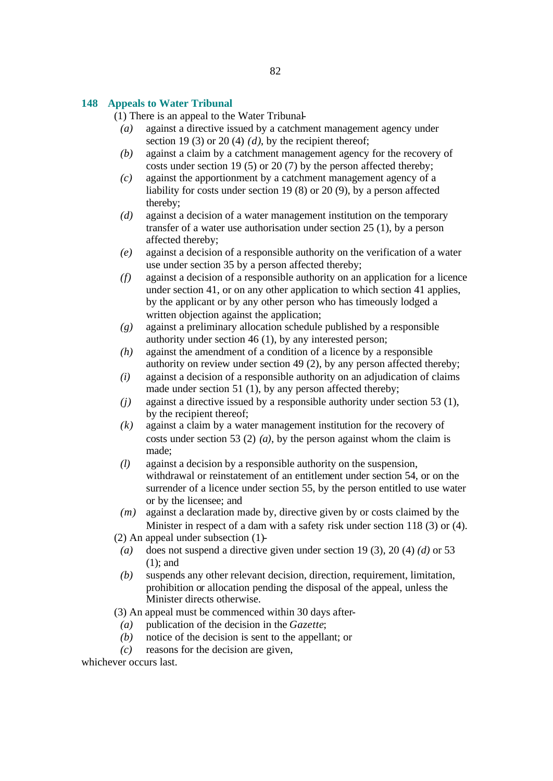#### **148 Appeals to Water Tribunal**

(1) There is an appeal to the Water Tribunal-

- *(a)* against a directive issued by a catchment management agency under section 19 (3) or 20 (4)  $(d)$ , by the recipient thereof;
- *(b)* against a claim by a catchment management agency for the recovery of costs under section 19 (5) or 20 (7) by the person affected thereby;
- *(c)* against the apportionment by a catchment management agency of a liability for costs under section 19 (8) or 20 (9), by a person affected thereby;
- *(d)* against a decision of a water management institution on the temporary transfer of a water use authorisation under section 25 (1), by a person affected thereby;
- *(e)* against a decision of a responsible authority on the verification of a water use under section 35 by a person affected thereby;
- *(f)* against a decision of a responsible authority on an application for a licence under section 41, or on any other application to which section 41 applies, by the applicant or by any other person who has timeously lodged a written objection against the application:
- *(g)* against a preliminary allocation schedule published by a responsible authority under section 46 (1), by any interested person;
- *(h)* against the amendment of a condition of a licence by a responsible authority on review under section 49 (2), by any person affected thereby;
- *(i)* against a decision of a responsible authority on an adjudication of claims made under section 51 (1), by any person affected thereby;
- *(j)* against a directive issued by a responsible authority under section 53 (1), by the recipient thereof;
- *(k)* against a claim by a water management institution for the recovery of costs under section 53 (2) *(a)*, by the person against whom the claim is made;
- *(l)* against a decision by a responsible authority on the suspension, withdrawal or reinstatement of an entitlement under section 54, or on the surrender of a licence under section 55, by the person entitled to use water or by the licensee; and
- *(m)* against a declaration made by, directive given by or costs claimed by the Minister in respect of a dam with a safety risk under section 118 (3) or (4).
- (2) An appeal under subsection (1)-
- *(a)* does not suspend a directive given under section 19 (3), 20 (4) *(d)* or 53 (1); and
- *(b)* suspends any other relevant decision, direction, requirement, limitation, prohibition or allocation pending the disposal of the appeal, unless the Minister directs otherwise.
- (3) An appeal must be commenced within 30 days after-
	- *(a)* publication of the decision in the *Gazette*;
	- *(b)* notice of the decision is sent to the appellant; or
- *(c)* reasons for the decision are given,

whichever occurs last.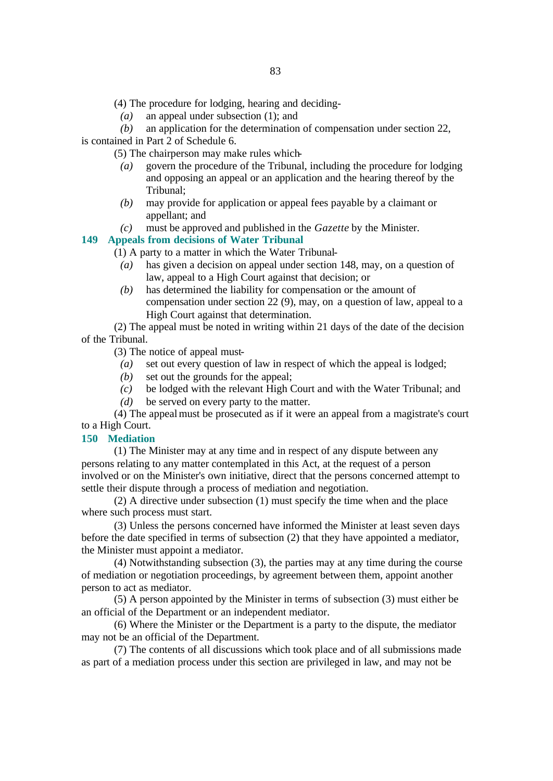- (4) The procedure for lodging, hearing and deciding-
- *(a)* an appeal under subsection (1); and
- *(b)* an application for the determination of compensation under section 22,

is contained in Part 2 of Schedule 6.

- (5) The chairperson may make rules which-
	- *(a)* govern the procedure of the Tribunal, including the procedure for lodging and opposing an appeal or an application and the hearing thereof by the Tribunal;
	- *(b)* may provide for application or appeal fees payable by a claimant or appellant; and
- *(c)* must be approved and published in the *Gazette* by the Minister.

## **149 Appeals from decisions of Water Tribunal**

(1) A party to a matter in which the Water Tribunal-

- *(a)* has given a decision on appeal under section 148, may, on a question of law, appeal to a High Court against that decision; or
- *(b)* has determined the liability for compensation or the amount of compensation under section 22 (9), may, on a question of law, appeal to a High Court against that determination.

(2) The appeal must be noted in writing within 21 days of the date of the decision of the Tribunal.

- (3) The notice of appeal must-
	- *(a)* set out every question of law in respect of which the appeal is lodged;
	- *(b)* set out the grounds for the appeal;
	- *(c)* be lodged with the relevant High Court and with the Water Tribunal; and
	- *(d)* be served on every party to the matter.

(4) The appeal must be prosecuted as if it were an appeal from a magistrate's court to a High Court.

#### **150 Mediation**

(1) The Minister may at any time and in respect of any dispute between any persons relating to any matter contemplated in this Act, at the request of a person involved or on the Minister's own initiative, direct that the persons concerned attempt to settle their dispute through a process of mediation and negotiation.

(2) A directive under subsection (1) must specify the time when and the place where such process must start.

(3) Unless the persons concerned have informed the Minister at least seven days before the date specified in terms of subsection (2) that they have appointed a mediator, the Minister must appoint a mediator.

(4) Notwithstanding subsection (3), the parties may at any time during the course of mediation or negotiation proceedings, by agreement between them, appoint another person to act as mediator.

(5) A person appointed by the Minister in terms of subsection (3) must either be an official of the Department or an independent mediator.

(6) Where the Minister or the Department is a party to the dispute, the mediator may not be an official of the Department.

(7) The contents of all discussions which took place and of all submissions made as part of a mediation process under this section are privileged in law, and may not be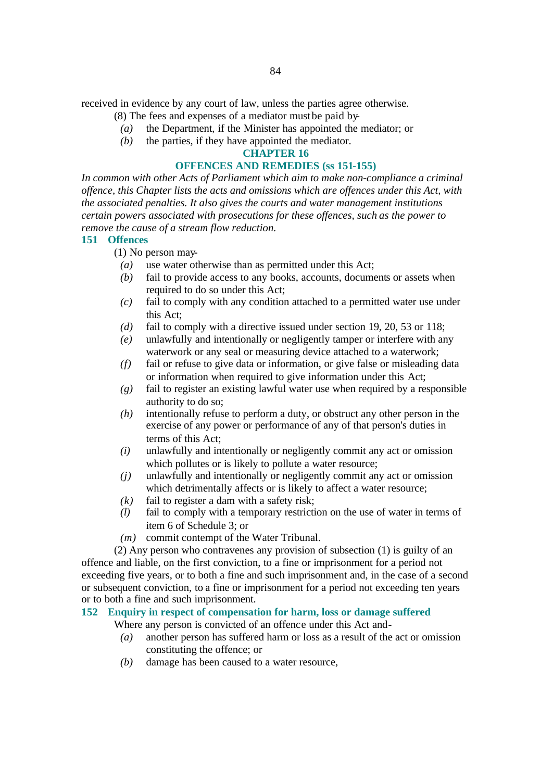received in evidence by any court of law, unless the parties agree otherwise.

- (8) The fees and expenses of a mediator must be paid by-
- *(a)* the Department, if the Minister has appointed the mediator; or
- *(b)* the parties, if they have appointed the mediator.

#### **CHAPTER 16**

# **OFFENCES AND REMEDIES (ss 151-155)**

*In common with other Acts of Parliament which aim to make non-compliance a criminal offence, this Chapter lists the acts and omissions which are offences under this Act, with the associated penalties. It also gives the courts and water management institutions certain powers associated with prosecutions for these offences, such as the power to remove the cause of a stream flow reduction.* 

## **151 Offences**

- (1) No person may-
	- *(a)* use water otherwise than as permitted under this Act;
	- *(b)* fail to provide access to any books, accounts, documents or assets when required to do so under this Act;
	- *(c)* fail to comply with any condition attached to a permitted water use under this Act;
	- *(d)* fail to comply with a directive issued under section 19, 20, 53 or 118;
	- *(e)* unlawfully and intentionally or negligently tamper or interfere with any waterwork or any seal or measuring device attached to a waterwork;
	- *(f)* fail or refuse to give data or information, or give false or misleading data or information when required to give information under this Act;
	- *(g)* fail to register an existing lawful water use when required by a responsible authority to do so;
	- *(h)* intentionally refuse to perform a duty, or obstruct any other person in the exercise of any power or performance of any of that person's duties in terms of this Act;
	- *(i)* unlawfully and intentionally or negligently commit any act or omission which pollutes or is likely to pollute a water resource:
	- *(j)* unlawfully and intentionally or negligently commit any act or omission which detrimentally affects or is likely to affect a water resource;
	- *(k)* fail to register a dam with a safety risk;
	- *(l)* fail to comply with a temporary restriction on the use of water in terms of item 6 of Schedule 3; or
- *(m)* commit contempt of the Water Tribunal.

(2) Any person who contravenes any provision of subsection (1) is guilty of an offence and liable, on the first conviction, to a fine or imprisonment for a period not exceeding five years, or to both a fine and such imprisonment and, in the case of a second or subsequent conviction, to a fine or imprisonment for a period not exceeding ten years or to both a fine and such imprisonment.

### **152 Enquiry in respect of compensation for harm, loss or damage suffered**

Where any person is convicted of an offence under this Act and-

- *(a)* another person has suffered harm or loss as a result of the act or omission constituting the offence; or
- *(b)* damage has been caused to a water resource,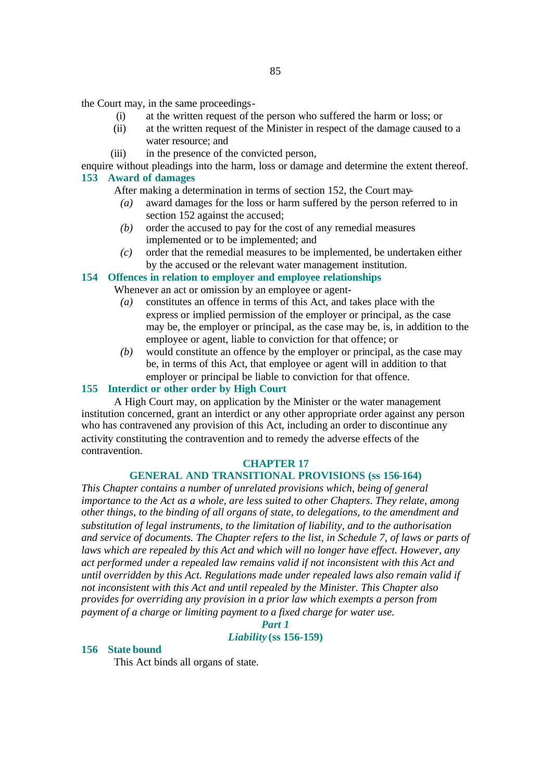the Court may, in the same proceedings-

- (i) at the written request of the person who suffered the harm or loss; or
- (ii) at the written request of the Minister in respect of the damage caused to a water resource; and
- (iii) in the presence of the convicted person,

enquire without pleadings into the harm, loss or damage and determine the extent thereof. **153 Award of damages** 

- After making a determination in terms of section 152, the Court may-
	- *(a)* award damages for the loss or harm suffered by the person referred to in section 152 against the accused;
	- *(b)* order the accused to pay for the cost of any remedial measures implemented or to be implemented; and
	- *(c)* order that the remedial measures to be implemented, be undertaken either by the accused or the relevant water management institution.

#### **154 Offences in relation to employer and employee relationships**

Whenever an act or omission by an employee or agent-

- *(a)* constitutes an offence in terms of this Act, and takes place with the express or implied permission of the employer or principal, as the case may be, the employer or principal, as the case may be, is, in addition to the employee or agent, liable to conviction for that offence; or
- *(b)* would constitute an offence by the employer or principal, as the case may be, in terms of this Act, that employee or agent will in addition to that employer or principal be liable to conviction for that offence.

# **155 Interdict or other order by High Court**

A High Court may, on application by the Minister or the water management institution concerned, grant an interdict or any other appropriate order against any person who has contravened any provision of this Act, including an order to discontinue any activity constituting the contravention and to remedy the adverse effects of the contravention.

#### **CHAPTER 17**

# **GENERAL AND TRANSITIONAL PROVISIONS (ss 156-164)**

*This Chapter contains a number of unrelated provisions which, being of general importance to the Act as a whole, are less suited to other Chapters. They relate, among other things, to the binding of all organs of state, to delegations, to the amendment and substitution of legal instruments, to the limitation of liability, and to the authorisation and service of documents. The Chapter refers to the list, in Schedule 7, of laws or parts of laws which are repealed by this Act and which will no longer have effect. However, any act performed under a repealed law remains valid if not inconsistent with this Act and until overridden by this Act. Regulations made under repealed laws also remain valid if not inconsistent with this Act and until repealed by the Minister. This Chapter also provides for overriding any provision in a prior law which exempts a person from payment of a charge or limiting payment to a fixed charge for water use.* 

## *Part 1*

## *Liability* **(ss 156-159)**

#### **156 State bound**

This Act binds all organs of state.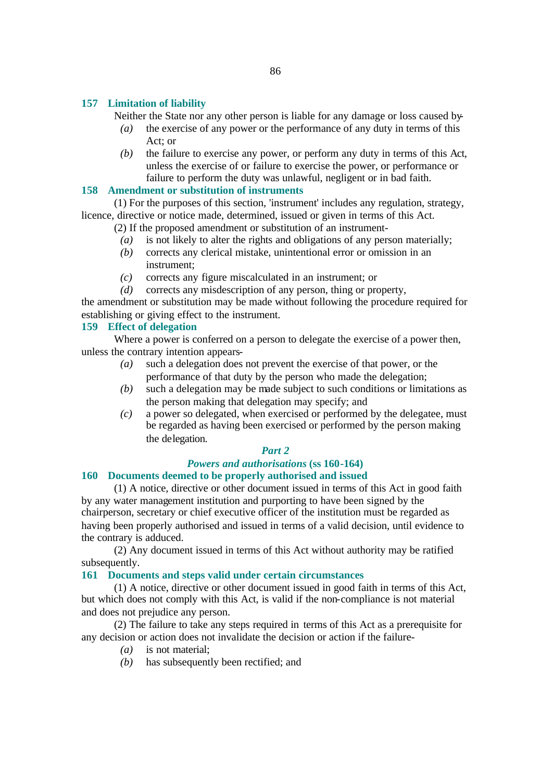### **157 Limitation of liability**

Neither the State nor any other person is liable for any damage or loss caused by-

- *(a)* the exercise of any power or the performance of any duty in terms of this Act; or
- *(b)* the failure to exercise any power, or perform any duty in terms of this Act, unless the exercise of or failure to exercise the power, or performance or failure to perform the duty was unlawful, negligent or in bad faith.

## **158 Amendment or substitution of instruments**

(1) For the purposes of this section, 'instrument' includes any regulation, strategy, licence, directive or notice made, determined, issued or given in terms of this Act.

(2) If the proposed amendment or substitution of an instrument-

- *(a)* is not likely to alter the rights and obligations of any person materially;
- *(b)* corrects any clerical mistake, unintentional error or omission in an instrument;
- *(c)* corrects any figure miscalculated in an instrument; or
- *(d)* corrects any misdescription of any person, thing or property,

the amendment or substitution may be made without following the procedure required for establishing or giving effect to the instrument.

### **159 Effect of delegation**

Where a power is conferred on a person to delegate the exercise of a power then, unless the contrary intention appears-

- *(a)* such a delegation does not prevent the exercise of that power, or the performance of that duty by the person who made the delegation;
- *(b)* such a delegation may be made subject to such conditions or limitations as the person making that delegation may specify; and
- *(c)* a power so delegated, when exercised or performed by the delegatee, must be regarded as having been exercised or performed by the person making the delegation.

### *Part 2*

# *Powers and authorisations* **(ss 160-164)**

### **160 Documents deemed to be properly authorised and issued**

(1) A notice, directive or other document issued in terms of this Act in good faith by any water management institution and purporting to have been signed by the chairperson, secretary or chief executive officer of the institution must be regarded as having been properly authorised and issued in terms of a valid decision, until evidence to the contrary is adduced.

(2) Any document issued in terms of this Act without authority may be ratified subsequently.

### **161 Documents and steps valid under certain circumstances**

(1) A notice, directive or other document issued in good faith in terms of this Act, but which does not comply with this Act, is valid if the non-compliance is not material and does not prejudice any person.

(2) The failure to take any steps required in terms of this Act as a prerequisite for any decision or action does not invalidate the decision or action if the failure-

- *(a)* is not material;
- *(b)* has subsequently been rectified; and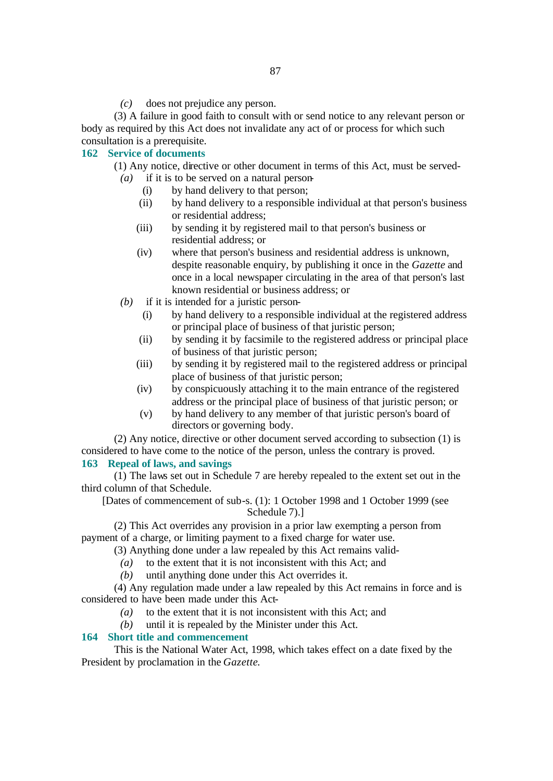*(c)* does not prejudice any person.

(3) A failure in good faith to consult with or send notice to any relevant person or body as required by this Act does not invalidate any act of or process for which such consultation is a prerequisite.

### **162 Service of documents**

(1) Any notice, directive or other document in terms of this Act, must be served-

- *(a)* if it is to be served on a natural person-
	- (i) by hand delivery to that person;
	- (ii) by hand delivery to a responsible individual at that person's business or residential address;
	- (iii) by sending it by registered mail to that person's business or residential address; or
	- (iv) where that person's business and residential address is unknown, despite reasonable enquiry, by publishing it once in the *Gazette* and once in a local newspaper circulating in the area of that person's last known residential or business address; or
- *(b)* if it is intended for a juristic person-
	- (i) by hand delivery to a responsible individual at the registered address or principal place of business of that juristic person;
	- (ii) by sending it by facsimile to the registered address or principal place of business of that juristic person;
	- (iii) by sending it by registered mail to the registered address or principal place of business of that juristic person;
	- (iv) by conspicuously attaching it to the main entrance of the registered address or the principal place of business of that juristic person; or
	- (v) by hand delivery to any member of that juristic person's board of directors or governing body.

(2) Any notice, directive or other document served according to subsection (1) is considered to have come to the notice of the person, unless the contrary is proved.

# **163 Repeal of laws, and savings**

(1) The laws set out in Schedule 7 are hereby repealed to the extent set out in the third column of that Schedule.

[Dates of commencement of sub-s. (1): 1 October 1998 and 1 October 1999 (see Schedule 7).]

(2) This Act overrides any provision in a prior law exempting a person from payment of a charge, or limiting payment to a fixed charge for water use.

(3) Anything done under a law repealed by this Act remains valid-

*(a)* to the extent that it is not inconsistent with this Act; and

*(b)* until anything done under this Act overrides it.

(4) Any regulation made under a law repealed by this Act remains in force and is considered to have been made under this Act-

*(a)* to the extent that it is not inconsistent with this Act; and

*(b)* until it is repealed by the Minister under this Act.

## **164 Short title and commencement**

This is the National Water Act, 1998, which takes effect on a date fixed by the President by proclamation in the *Gazette*.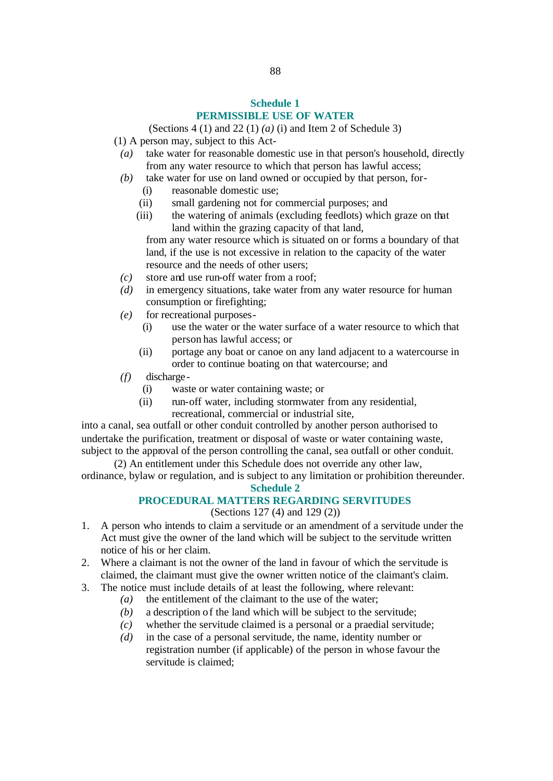# **Schedule 1 PERMISSIBLE USE OF WATER**

(Sections 4 (1) and 22 (1) *(a)* (i) and Item 2 of Schedule 3)

- (1) A person may, subject to this Act-
- *(a)* take water for reasonable domestic use in that person's household, directly from any water resource to which that person has lawful access;
- *(b)* take water for use on land owned or occupied by that person, for-
	- (i) reasonable domestic use;
	- (ii) small gardening not for commercial purposes; and
	- (iii) the watering of animals (excluding feedlots) which graze on that land within the grazing capacity of that land,

from any water resource which is situated on or forms a boundary of that land, if the use is not excessive in relation to the capacity of the water resource and the needs of other users;

- *(c)* store and use run-off water from a roof;
- *(d)* in emergency situations, take water from any water resource for human consumption or firefighting;
- *(e)* for recreational purposes-
	- (i) use the water or the water surface of a water resource to which that person has lawful access; or
	- (ii) portage any boat or canoe on any land adjacent to a watercourse in order to continue boating on that watercourse; and
- *(f)* discharge-
	- (i) waste or water containing waste; or
	- (ii) run-off water, including stormwater from any residential, recreational, commercial or industrial site,

into a canal, sea outfall or other conduit controlled by another person authorised to undertake the purification, treatment or disposal of waste or water containing waste, subject to the approval of the person controlling the canal, sea outfall or other conduit.

(2) An entitlement under this Schedule does not override any other law, ordinance, bylaw or regulation, and is subject to any limitation or prohibition thereunder.

# **Schedule 2**

# **PROCEDURAL MATTERS REGARDING SERVITUDES**

(Sections 127 (4) and 129 (2))

- 1. A person who intends to claim a servitude or an amendment of a servitude under the Act must give the owner of the land which will be subject to the servitude written notice of his or her claim.
- 2. Where a claimant is not the owner of the land in favour of which the servitude is claimed, the claimant must give the owner written notice of the claimant's claim.
- 3. The notice must include details of at least the following, where relevant:
	- *(a)* the entitlement of the claimant to the use of the water;
	- *(b)* a description of the land which will be subject to the servitude;
	- *(c)* whether the servitude claimed is a personal or a praedial servitude;
	- *(d)* in the case of a personal servitude, the name, identity number or registration number (if applicable) of the person in whose favour the servitude is claimed;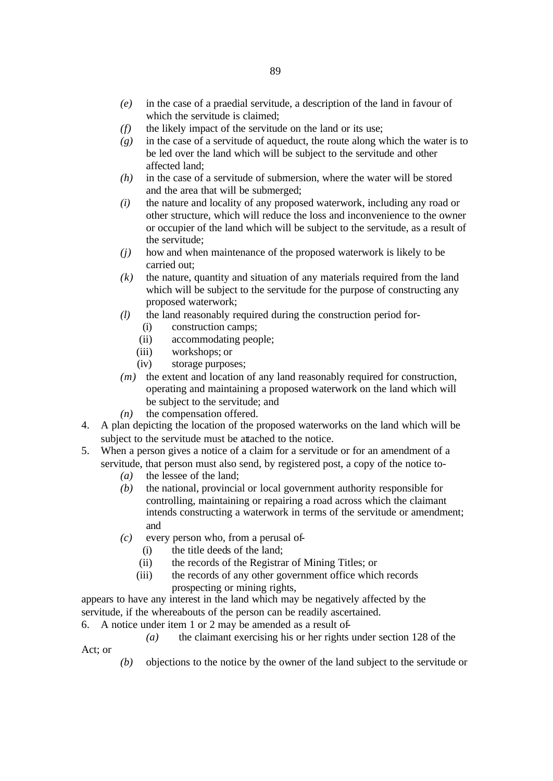- *(e)* in the case of a praedial servitude, a description of the land in favour of which the servitude is claimed;
- *(f)* the likely impact of the servitude on the land or its use;
- *(g)* in the case of a servitude of aqueduct, the route along which the water is to be led over the land which will be subject to the servitude and other affected land;
- *(h)* in the case of a servitude of submersion, where the water will be stored and the area that will be submerged;
- *(i)* the nature and locality of any proposed waterwork, including any road or other structure, which will reduce the loss and inconvenience to the owner or occupier of the land which will be subject to the servitude, as a result of the servitude;
- *(j)* how and when maintenance of the proposed waterwork is likely to be carried out;
- *(k)* the nature, quantity and situation of any materials required from the land which will be subject to the servitude for the purpose of constructing any proposed waterwork;
- *(l)* the land reasonably required during the construction period for-
	- (i) construction camps;
	- (ii) accommodating people;
	- (iii) workshops; or
	- (iv) storage purposes;
- *(m)* the extent and location of any land reasonably required for construction, operating and maintaining a proposed waterwork on the land which will be subject to the servitude; and
- *(n)* the compensation offered.
- 4. A plan depicting the location of the proposed waterworks on the land which will be subject to the servitude must be attached to the notice.
- 5. When a person gives a notice of a claim for a servitude or for an amendment of a servitude, that person must also send, by registered post, a copy of the notice to-
	- *(a)* the lessee of the land;

Act; or

- *(b)* the national, provincial or local government authority responsible for controlling, maintaining or repairing a road across which the claimant intends constructing a waterwork in terms of the servitude or amendment; and
- *(c)* every person who, from a perusal of-
	- (i) the title deeds of the land;
	- (ii) the records of the Registrar of Mining Titles; or
	- (iii) the records of any other government office which records prospecting or mining rights,

appears to have any interest in the land which may be negatively affected by the servitude, if the whereabouts of the person can be readily ascertained.

- 6. A notice under item 1 or 2 may be amended as a result of-
	- *(a)* the claimant exercising his or her rights under section 128 of the
	- *(b)* objections to the notice by the owner of the land subject to the servitude or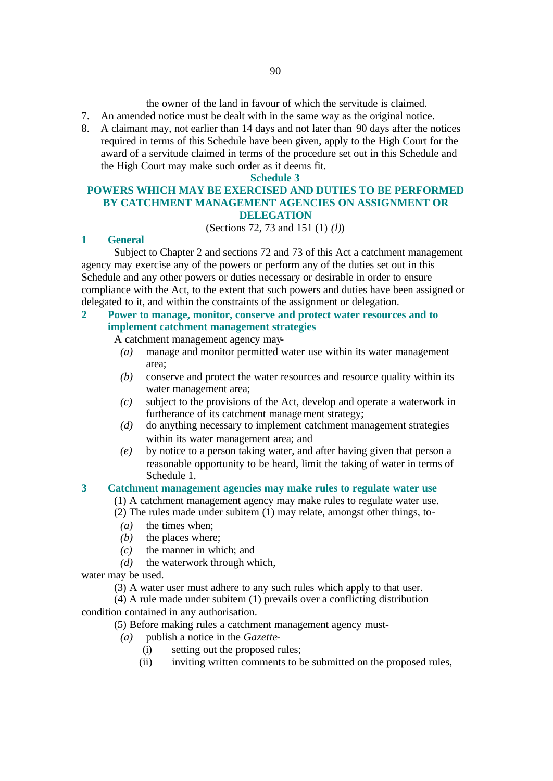the owner of the land in favour of which the servitude is claimed.

- 7. An amended notice must be dealt with in the same way as the original notice.
- 8. A claimant may, not earlier than 14 days and not later than 90 days after the notices required in terms of this Schedule have been given, apply to the High Court for the award of a servitude claimed in terms of the procedure set out in this Schedule and the High Court may make such order as it deems fit.

#### **Schedule 3**

# **POWERS WHICH MAY BE EXERCISED AND DUTIES TO BE PERFORMED BY CATCHMENT MANAGEMENT AGENCIES ON ASSIGNMENT OR DELEGATION**

(Sections 72, 73 and 151 (1) *(l)*)

# **1 General**

Subject to Chapter 2 and sections 72 and 73 of this Act a catchment management agency may exercise any of the powers or perform any of the duties set out in this Schedule and any other powers or duties necessary or desirable in order to ensure compliance with the Act, to the extent that such powers and duties have been assigned or delegated to it, and within the constraints of the assignment or delegation.

# **2 Power to manage, monitor, conserve and protect water resources and to implement catchment management strategies**

A catchment management agency may-

- *(a)* manage and monitor permitted water use within its water management area;
- *(b)* conserve and protect the water resources and resource quality within its water management area;
- *(c)* subject to the provisions of the Act, develop and operate a waterwork in furtherance of its catchment management strategy;
- *(d)* do anything necessary to implement catchment management strategies within its water management area; and
- *(e)* by notice to a person taking water, and after having given that person a reasonable opportunity to be heard, limit the taking of water in terms of Schedule 1.

# **3 Catchment management agencies may make rules to regulate water use**

(1) A catchment management agency may make rules to regulate water use.

- (2) The rules made under subitem (1) may relate, amongst other things, to-
	- *(a)* the times when;
	- *(b)* the places where;
- *(c)* the manner in which; and
- *(d)* the waterwork through which,

water may be used.

(3) A water user must adhere to any such rules which apply to that user.

(4) A rule made under subitem (1) prevails over a conflicting distribution condition contained in any authorisation.

(5) Before making rules a catchment management agency must-

- *(a)* publish a notice in the *Gazette*
	- (i) setting out the proposed rules;
	- (ii) inviting written comments to be submitted on the proposed rules,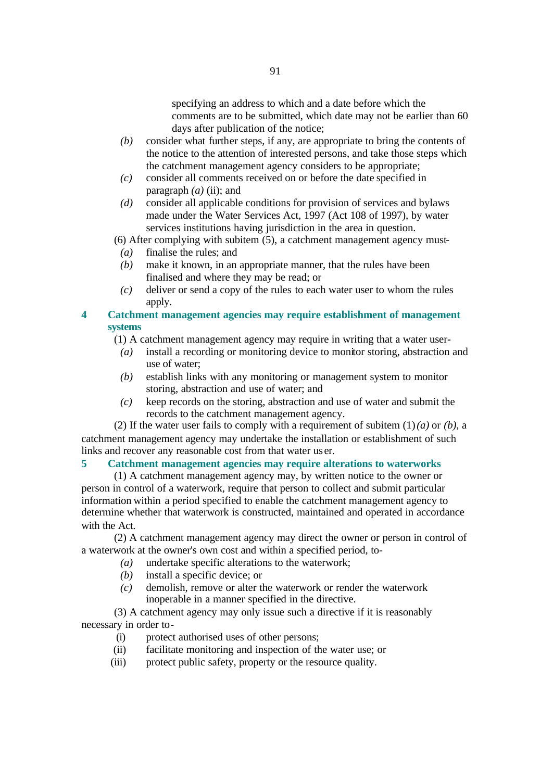specifying an address to which and a date before which the comments are to be submitted, which date may not be earlier than 60 days after publication of the notice;

- *(b)* consider what further steps, if any, are appropriate to bring the contents of the notice to the attention of interested persons, and take those steps which the catchment management agency considers to be appropriate;
- *(c)* consider all comments received on or before the date specified in paragraph  $(a)$  (ii); and
- *(d)* consider all applicable conditions for provision of services and bylaws made under the Water Services Act, 1997 (Act 108 of 1997), by water services institutions having jurisdiction in the area in question.

(6) After complying with subitem (5), a catchment management agency must-

- *(a)* finalise the rules; and
- *(b)* make it known, in an appropriate manner, that the rules have been finalised and where they may be read; or
- *(c)* deliver or send a copy of the rules to each water user to whom the rules apply.

## **4 Catchment management agencies may require establishment of management systems**

(1) A catchment management agency may require in writing that a water user-

- *(a)* install a recording or monitoring device to monitor storing, abstraction and use of water;
- *(b)* establish links with any monitoring or management system to monitor storing, abstraction and use of water; and
- *(c)* keep records on the storing, abstraction and use of water and submit the records to the catchment management agency.

(2) If the water user fails to comply with a requirement of subitem  $(1)(a)$  or  $(b)$ , a catchment management agency may undertake the installation or establishment of such links and recover any reasonable cost from that water us er.

# **5 Catchment management agencies may require alterations to waterworks**

(1) A catchment management agency may, by written notice to the owner or person in control of a waterwork, require that person to collect and submit particular information within a period specified to enable the catchment management agency to determine whether that waterwork is constructed, maintained and operated in accordance with the Act.

(2) A catchment management agency may direct the owner or person in control of a waterwork at the owner's own cost and within a specified period, to-

- *(a)* undertake specific alterations to the waterwork;
- *(b)* install a specific device; or
- *(c)* demolish, remove or alter the waterwork or render the waterwork inoperable in a manner specified in the directive.

(3) A catchment agency may only issue such a directive if it is reasonably necessary in order to-

- (i) protect authorised uses of other persons;
- (ii) facilitate monitoring and inspection of the water use; or
- (iii) protect public safety, property or the resource quality.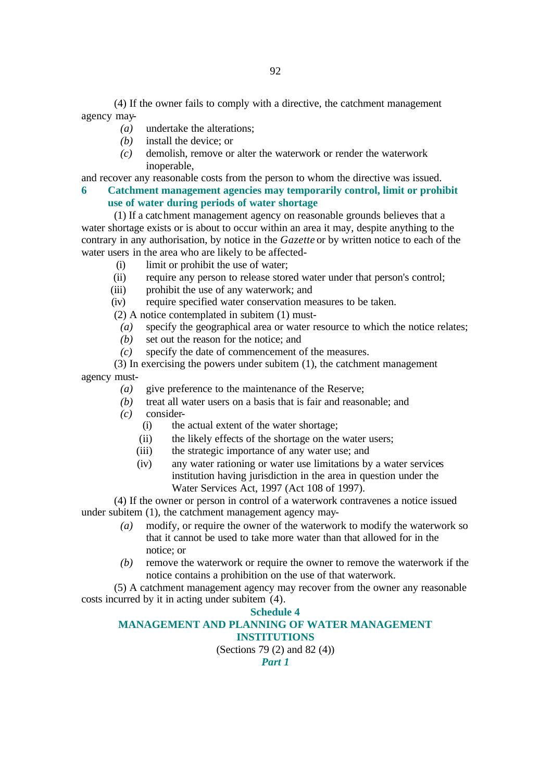(4) If the owner fails to comply with a directive, the catchment management agency may-

- *(a)* undertake the alterations;
- *(b)* install the device; or
- *(c)* demolish, remove or alter the waterwork or render the waterwork inoperable,

and recover any reasonable costs from the person to whom the directive was issued.

# **6 Catchment management agencies may temporarily control, limit or prohibit use of water during periods of water shortage**

(1) If a catchment management agency on reasonable grounds believes that a water shortage exists or is about to occur within an area it may, despite anything to the contrary in any authorisation, by notice in the *Gazette* or by written notice to each of the water users in the area who are likely to be affected-

- (i) limit or prohibit the use of water;
- (ii) require any person to release stored water under that person's control;
- (iii) prohibit the use of any waterwork; and
- (iv) require specified water conservation measures to be taken.

(2) A notice contemplated in subitem (1) must-

- *(a)* specify the geographical area or water resource to which the notice relates;
- *(b)* set out the reason for the notice; and
- *(c)* specify the date of commencement of the measures.

(3) In exercising the powers under subitem (1), the catchment management agency must-

- *(a)* give preference to the maintenance of the Reserve;
- *(b)* treat all water users on a basis that is fair and reasonable; and
- *(c)* consider-
	- (i) the actual extent of the water shortage;
	- (ii) the likely effects of the shortage on the water users;
	- (iii) the strategic importance of any water use; and
	- (iv) any water rationing or water use limitations by a water services institution having jurisdiction in the area in question under the Water Services Act, 1997 (Act 108 of 1997).

(4) If the owner or person in control of a waterwork contravenes a notice issued under subitem (1), the catchment management agency may-

- *(a)* modify, or require the owner of the waterwork to modify the waterwork so that it cannot be used to take more water than that allowed for in the notice; or
- *(b)* remove the waterwork or require the owner to remove the waterwork if the notice contains a prohibition on the use of that waterwork.

(5) A catchment management agency may recover from the owner any reasonable costs incurred by it in acting under subitem (4).

#### **Schedule 4**

# **MANAGEMENT AND PLANNING OF WATER MANAGEMENT**

**INSTITUTIONS**

(Sections 79 (2) and 82 (4))

*Part 1*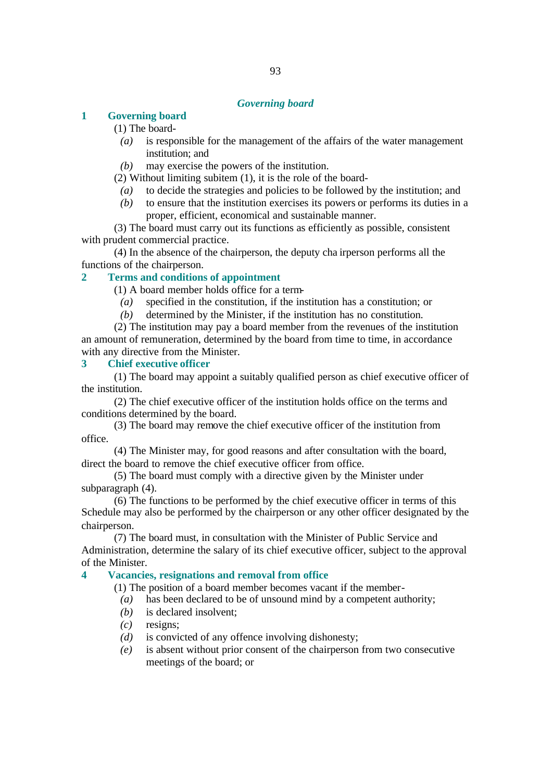### *Governing board*

# **1 Governing board**

(1) The board-

- *(a)* is responsible for the management of the affairs of the water management institution; and
- *(b)* may exercise the powers of the institution.

(2) Without limiting subitem (1), it is the role of the board-

- *(a)* to decide the strategies and policies to be followed by the institution; and
- *(b)* to ensure that the institution exercises its powers or performs its duties in a proper, efficient, economical and sustainable manner.

(3) The board must carry out its functions as efficiently as possible, consistent with prudent commercial practice.

(4) In the absence of the chairperson, the deputy cha irperson performs all the functions of the chairperson.

## **2 Terms and conditions of appointment**

(1) A board member holds office for a term-

- *(a)* specified in the constitution, if the institution has a constitution; or
- *(b)* determined by the Minister, if the institution has no constitution.

(2) The institution may pay a board member from the revenues of the institution an amount of remuneration, determined by the board from time to time, in accordance with any directive from the Minister.

### **3 Chief executive officer**

(1) The board may appoint a suitably qualified person as chief executive officer of the institution.

(2) The chief executive officer of the institution holds office on the terms and conditions determined by the board.

(3) The board may remove the chief executive officer of the institution from office.

(4) The Minister may, for good reasons and after consultation with the board, direct the board to remove the chief executive officer from office.

(5) The board must comply with a directive given by the Minister under subparagraph (4).

(6) The functions to be performed by the chief executive officer in terms of this Schedule may also be performed by the chairperson or any other officer designated by the chairperson.

(7) The board must, in consultation with the Minister of Public Service and Administration, determine the salary of its chief executive officer, subject to the approval of the Minister.

#### **4 Vacancies, resignations and removal from office**

(1) The position of a board member becomes vacant if the member-

- *(a)* has been declared to be of unsound mind by a competent authority;
- *(b)* is declared insolvent;
- *(c)* resigns;
- *(d)* is convicted of any offence involving dishonesty;
- *(e)* is absent without prior consent of the chairperson from two consecutive meetings of the board; or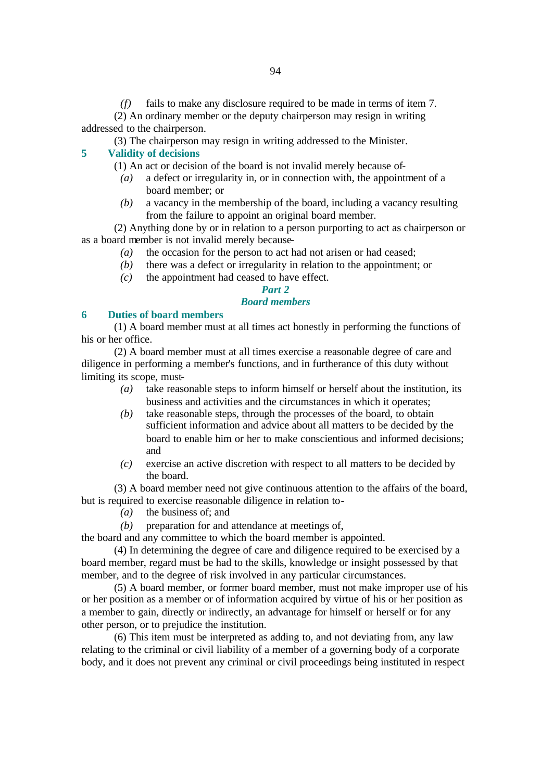*(f)* fails to make any disclosure required to be made in terms of item 7.

(2) An ordinary member or the deputy chairperson may resign in writing addressed to the chairperson.

(3) The chairperson may resign in writing addressed to the Minister.

## **5 Validity of decisions**

(1) An act or decision of the board is not invalid merely because of-

- *(a)* a defect or irregularity in, or in connection with, the appointment of a board member; or
- *(b)* a vacancy in the membership of the board, including a vacancy resulting from the failure to appoint an original board member.

(2) Anything done by or in relation to a person purporting to act as chairperson or as a board member is not invalid merely because-

- *(a)* the occasion for the person to act had not arisen or had ceased;
- *(b)* there was a defect or irregularity in relation to the appointment; or
- *(c)* the appointment had ceased to have effect.

# *Part 2 Board members*

#### **6 Duties of board members**

(1) A board member must at all times act honestly in performing the functions of his or her office.

(2) A board member must at all times exercise a reasonable degree of care and diligence in performing a member's functions, and in furtherance of this duty without limiting its scope, must-

- *(a)* take reasonable steps to inform himself or herself about the institution, its business and activities and the circumstances in which it operates;
- *(b)* take reasonable steps, through the processes of the board, to obtain sufficient information and advice about all matters to be decided by the board to enable him or her to make conscientious and informed decisions; and
- *(c)* exercise an active discretion with respect to all matters to be decided by the board.

(3) A board member need not give continuous attention to the affairs of the board, but is required to exercise reasonable diligence in relation to-

- *(a)* the business of; and
- *(b)* preparation for and attendance at meetings of,

the board and any committee to which the board member is appointed.

(4) In determining the degree of care and diligence required to be exercised by a board member, regard must be had to the skills, knowledge or insight possessed by that member, and to the degree of risk involved in any particular circumstances.

(5) A board member, or former board member, must not make improper use of his or her position as a member or of information acquired by virtue of his or her position as a member to gain, directly or indirectly, an advantage for himself or herself or for any other person, or to prejudice the institution.

(6) This item must be interpreted as adding to, and not deviating from, any law relating to the criminal or civil liability of a member of a governing body of a corporate body, and it does not prevent any criminal or civil proceedings being instituted in respect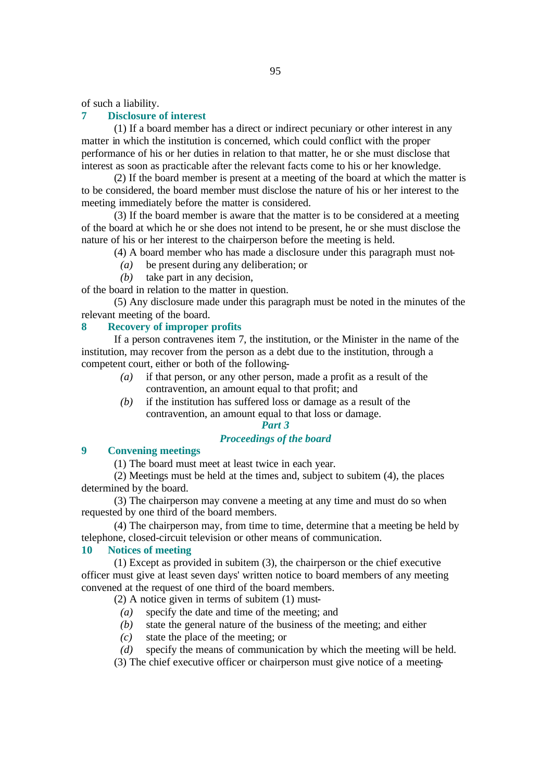of such a liability.

# **7 Disclosure of interest**

(1) If a board member has a direct or indirect pecuniary or other interest in any matter in which the institution is concerned, which could conflict with the proper performance of his or her duties in relation to that matter, he or she must disclose that interest as soon as practicable after the relevant facts come to his or her knowledge.

(2) If the board member is present at a meeting of the board at which the matter is to be considered, the board member must disclose the nature of his or her interest to the meeting immediately before the matter is considered.

(3) If the board member is aware that the matter is to be considered at a meeting of the board at which he or she does not intend to be present, he or she must disclose the nature of his or her interest to the chairperson before the meeting is held.

(4) A board member who has made a disclosure under this paragraph must not-

- *(a)* be present during any deliberation; or
- *(b)* take part in any decision,

of the board in relation to the matter in question.

(5) Any disclosure made under this paragraph must be noted in the minutes of the relevant meeting of the board.

## **8 Recovery of improper profits**

If a person contravenes item 7, the institution, or the Minister in the name of the institution, may recover from the person as a debt due to the institution, through a competent court, either or both of the following-

- *(a)* if that person, or any other person, made a profit as a result of the contravention, an amount equal to that profit; and
- *(b)* if the institution has suffered loss or damage as a result of the contravention, an amount equal to that loss or damage.

#### *Part 3*

### *Proceedings of the board*

## **9 Convening meetings**

(1) The board must meet at least twice in each year.

(2) Meetings must be held at the times and, subject to subitem (4), the places determined by the board.

(3) The chairperson may convene a meeting at any time and must do so when requested by one third of the board members.

(4) The chairperson may, from time to time, determine that a meeting be held by telephone, closed-circuit television or other means of communication.

#### **10 Notices of meeting**

(1) Except as provided in subitem (3), the chairperson or the chief executive officer must give at least seven days' written notice to board members of any meeting convened at the request of one third of the board members.

(2) A notice given in terms of subitem (1) must-

- *(a)* specify the date and time of the meeting; and
- *(b)* state the general nature of the business of the meeting; and either
- *(c)* state the place of the meeting; or
- *(d)* specify the means of communication by which the meeting will be held.

(3) The chief executive officer or chairperson must give notice of a meeting-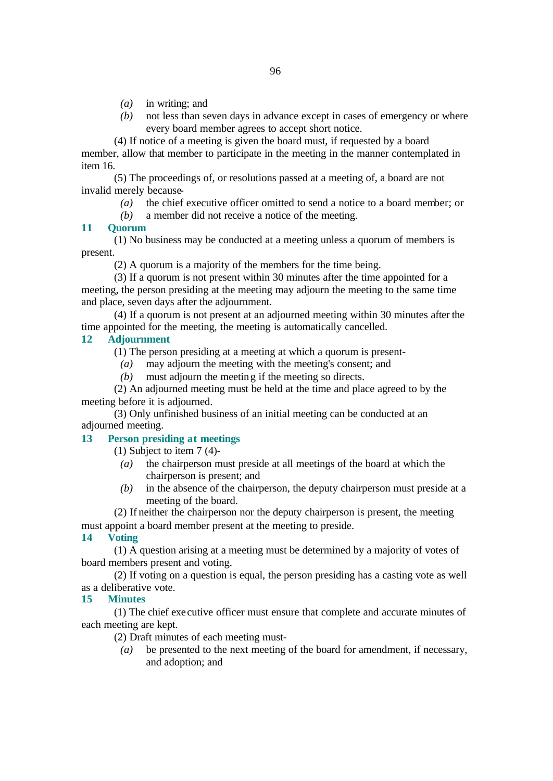- *(a)* in writing; and
- *(b)* not less than seven days in advance except in cases of emergency or where every board member agrees to accept short notice.

(4) If notice of a meeting is given the board must, if requested by a board member, allow that member to participate in the meeting in the manner contemplated in item 16.

(5) The proceedings of, or resolutions passed at a meeting of, a board are not invalid merely because-

*(a)* the chief executive officer omitted to send a notice to a board member; or

*(b)* a member did not receive a notice of the meeting.

### **11 Quorum**

(1) No business may be conducted at a meeting unless a quorum of members is present.

(2) A quorum is a majority of the members for the time being.

(3) If a quorum is not present within 30 minutes after the time appointed for a meeting, the person presiding at the meeting may adjourn the meeting to the same time and place, seven days after the adjournment.

(4) If a quorum is not present at an adjourned meeting within 30 minutes after the time appointed for the meeting, the meeting is automatically cancelled.

## **12 Adjournment**

(1) The person presiding at a meeting at which a quorum is present-

*(a)* may adjourn the meeting with the meeting's consent; and

*(b)* must adjourn the meeting if the meeting so directs.

(2) An adjourned meeting must be held at the time and place agreed to by the meeting before it is adjourned.

(3) Only unfinished business of an initial meeting can be conducted at an adjourned meeting.

### **13 Person presiding at meetings**

(1) Subject to item 7 (4)-

- *(a)* the chairperson must preside at all meetings of the board at which the chairperson is present; and
- *(b)* in the absence of the chairperson, the deputy chairperson must preside at a meeting of the board.

(2) If neither the chairperson nor the deputy chairperson is present, the meeting must appoint a board member present at the meeting to preside.

### **14 Voting**

(1) A question arising at a meeting must be determined by a majority of votes of board members present and voting.

(2) If voting on a question is equal, the person presiding has a casting vote as well as a deliberative vote.

### **15 Minutes**

(1) The chief exe cutive officer must ensure that complete and accurate minutes of each meeting are kept.

(2) Draft minutes of each meeting must-

*(a)* be presented to the next meeting of the board for amendment, if necessary, and adoption; and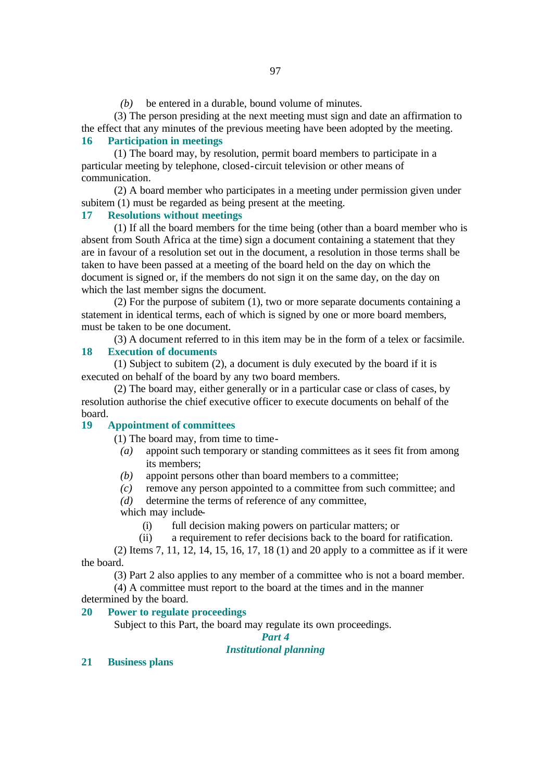*(b)* be entered in a durable, bound volume of minutes.

(3) The person presiding at the next meeting must sign and date an affirmation to the effect that any minutes of the previous meeting have been adopted by the meeting.

# **16 Participation in meetings**

(1) The board may, by resolution, permit board members to participate in a particular meeting by telephone, closed-circuit television or other means of communication.

(2) A board member who participates in a meeting under permission given under subitem (1) must be regarded as being present at the meeting.

#### **17 Resolutions without meetings**

(1) If all the board members for the time being (other than a board member who is absent from South Africa at the time) sign a document containing a statement that they are in favour of a resolution set out in the document, a resolution in those terms shall be taken to have been passed at a meeting of the board held on the day on which the document is signed or, if the members do not sign it on the same day, on the day on which the last member signs the document.

(2) For the purpose of subitem (1), two or more separate documents containing a statement in identical terms, each of which is signed by one or more board members, must be taken to be one document.

(3) A document referred to in this item may be in the form of a telex or facsimile. **18 Execution of documents**

(1) Subject to subitem (2), a document is duly executed by the board if it is executed on behalf of the board by any two board members.

(2) The board may, either generally or in a particular case or class of cases, by resolution authorise the chief executive officer to execute documents on behalf of the board.

### **19 Appointment of committees**

 $(1)$  The board may, from time to time-

- *(a)* appoint such temporary or standing committees as it sees fit from among its members;
- *(b)* appoint persons other than board members to a committee;
- *(c)* remove any person appointed to a committee from such committee; and

*(d)* determine the terms of reference of any committee,

which may include-

- (i) full decision making powers on particular matters; or
- (ii) a requirement to refer decisions back to the board for ratification.

(2) Items 7, 11, 12, 14, 15, 16, 17, 18 (1) and 20 apply to a committee as if it were the board.

(3) Part 2 also applies to any member of a committee who is not a board member.

(4) A committee must report to the board at the times and in the manner determined by the board.

### **20 Power to regulate proceedings**

Subject to this Part, the board may regulate its own proceedings.

*Part 4 Institutional planning*

**21 Business plans**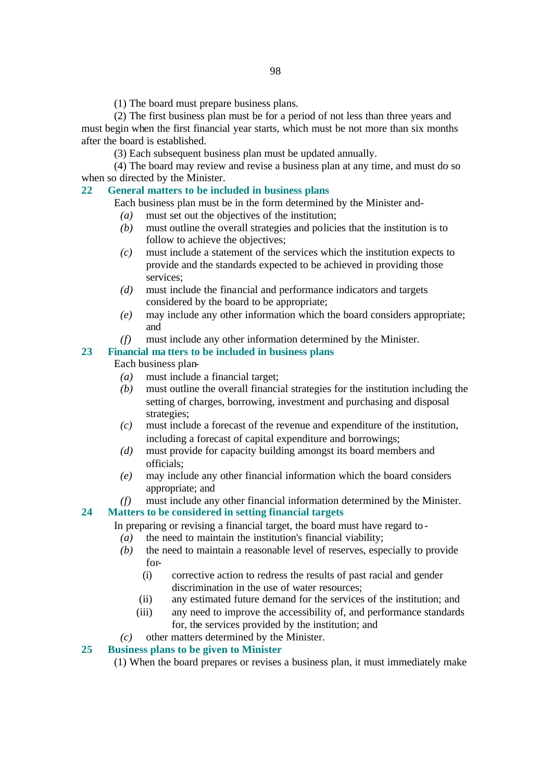(1) The board must prepare business plans.

(2) The first business plan must be for a period of not less than three years and must begin when the first financial year starts, which must be not more than six months after the board is established.

(3) Each subsequent business plan must be updated annually.

(4) The board may review and revise a business plan at any time, and must do so when so directed by the Minister.

#### **22 General matters to be included in business plans**

Each business plan must be in the form determined by the Minister and-

- *(a)* must set out the objectives of the institution;
- *(b)* must outline the overall strategies and policies that the institution is to follow to achieve the objectives;
- *(c)* must include a statement of the services which the institution expects to provide and the standards expected to be achieved in providing those services;
- *(d)* must include the financial and performance indicators and targets considered by the board to be appropriate;
- *(e)* may include any other information which the board considers appropriate; and
- *(f)* must include any other information determined by the Minister.

### **23 Financial ma tters to be included in business plans**

Each business plan-

- *(a)* must include a financial target;
- *(b)* must outline the overall financial strategies for the institution including the setting of charges, borrowing, investment and purchasing and disposal strategies;
- *(c)* must include a forecast of the revenue and expenditure of the institution, including a forecast of capital expenditure and borrowings;
- *(d)* must provide for capacity building amongst its board members and officials;
- *(e)* may include any other financial information which the board considers appropriate; and
- *(f)* must include any other financial information determined by the Minister.

#### **24 Matters to be considered in setting financial targets**

In preparing or revising a financial target, the board must have regard to-

- *(a)* the need to maintain the institution's financial viability;
- *(b)* the need to maintain a reasonable level of reserves, especially to provide for-
	- (i) corrective action to redress the results of past racial and gender discrimination in the use of water resources;
	- (ii) any estimated future demand for the services of the institution; and
	- (iii) any need to improve the accessibility of, and performance standards for, the services provided by the institution; and
- *(c)* other matters determined by the Minister.

# **25 Business plans to be given to Minister**

(1) When the board prepares or revises a business plan, it must immediately make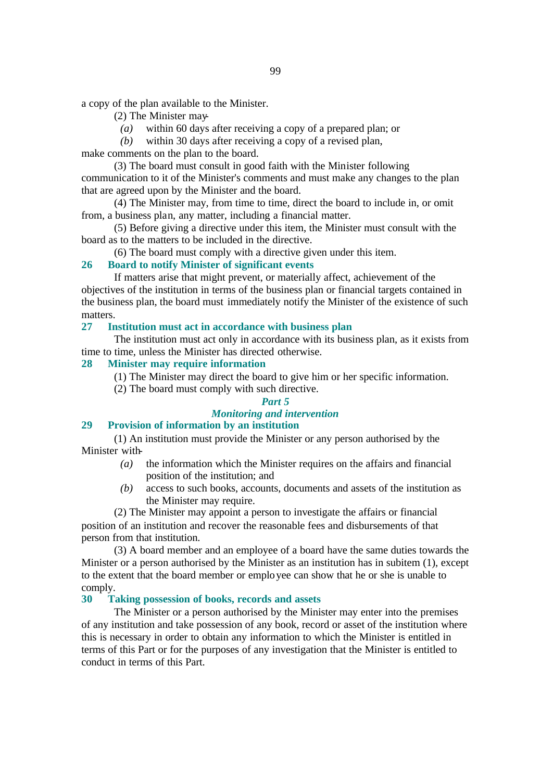a copy of the plan available to the Minister.

- (2) The Minister may-
	- *(a)* within 60 days after receiving a copy of a prepared plan; or
- *(b)* within 30 days after receiving a copy of a revised plan,

make comments on the plan to the board.

(3) The board must consult in good faith with the Minister following communication to it of the Minister's comments and must make any changes to the plan that are agreed upon by the Minister and the board.

(4) The Minister may, from time to time, direct the board to include in, or omit from, a business plan, any matter, including a financial matter.

(5) Before giving a directive under this item, the Minister must consult with the board as to the matters to be included in the directive.

(6) The board must comply with a directive given under this item.

### **26 Board to notify Minister of significant events**

If matters arise that might prevent, or materially affect, achievement of the objectives of the institution in terms of the business plan or financial targets contained in the business plan, the board must immediately notify the Minister of the existence of such matters.

# **27 Institution must act in accordance with business plan**

The institution must act only in accordance with its business plan, as it exists from time to time, unless the Minister has directed otherwise.

#### **28 Minister may require information**

(1) The Minister may direct the board to give him or her specific information.

(2) The board must comply with such directive.

#### *Part 5*

# *Monitoring and intervention*

### **29 Provision of information by an institution**

(1) An institution must provide the Minister or any person authorised by the Minister with-

- *(a)* the information which the Minister requires on the affairs and financial position of the institution; and
- *(b)* access to such books, accounts, documents and assets of the institution as the Minister may require.

(2) The Minister may appoint a person to investigate the affairs or financial position of an institution and recover the reasonable fees and disbursements of that person from that institution.

(3) A board member and an employee of a board have the same duties towards the Minister or a person authorised by the Minister as an institution has in subitem (1), except to the extent that the board member or employee can show that he or she is unable to comply.

#### **30 Taking possession of books, records and assets**

The Minister or a person authorised by the Minister may enter into the premises of any institution and take possession of any book, record or asset of the institution where this is necessary in order to obtain any information to which the Minister is entitled in terms of this Part or for the purposes of any investigation that the Minister is entitled to conduct in terms of this Part.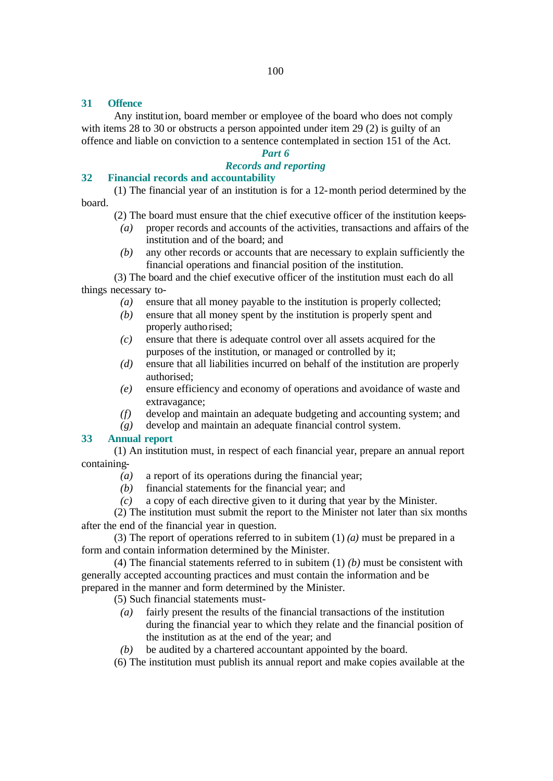#### **31 Offence**

Any institution, board member or employee of the board who does not comply with items 28 to 30 or obstructs a person appointed under item 29 (2) is guilty of an offence and liable on conviction to a sentence contemplated in section 151 of the Act.

### *Part 6*

# *Records and reporting*

# **32 Financial records and accountability**

(1) The financial year of an institution is for a 12-month period determined by the board.

- (2) The board must ensure that the chief executive officer of the institution keeps-
	- *(a)* proper records and accounts of the activities, transactions and affairs of the institution and of the board; and
	- *(b)* any other records or accounts that are necessary to explain sufficiently the financial operations and financial position of the institution.

(3) The board and the chief executive officer of the institution must each do all things necessary to-

- *(a)* ensure that all money payable to the institution is properly collected;
- *(b)* ensure that all money spent by the institution is properly spent and properly authorised;
- *(c)* ensure that there is adequate control over all assets acquired for the purposes of the institution, or managed or controlled by it;
- *(d)* ensure that all liabilities incurred on behalf of the institution are properly authorised;
- *(e)* ensure efficiency and economy of operations and avoidance of waste and extravagance;
- *(f)* develop and maintain an adequate budgeting and accounting system; and
- *(g)* develop and maintain an adequate financial control system.

## **33 Annual report**

(1) An institution must, in respect of each financial year, prepare an annual report containing-

- *(a)* a report of its operations during the financial year;
- *(b)* financial statements for the financial year; and
- *(c)* a copy of each directive given to it during that year by the Minister.

(2) The institution must submit the report to the Minister not later than six months after the end of the financial year in question.

(3) The report of operations referred to in subitem (1) *(a)* must be prepared in a form and contain information determined by the Minister.

(4) The financial statements referred to in subitem (1) *(b)* must be consistent with generally accepted accounting practices and must contain the information and be prepared in the manner and form determined by the Minister.

(5) Such financial statements must-

- *(a)* fairly present the results of the financial transactions of the institution during the financial year to which they relate and the financial position of the institution as at the end of the year; and
- *(b)* be audited by a chartered accountant appointed by the board.
- (6) The institution must publish its annual report and make copies available at the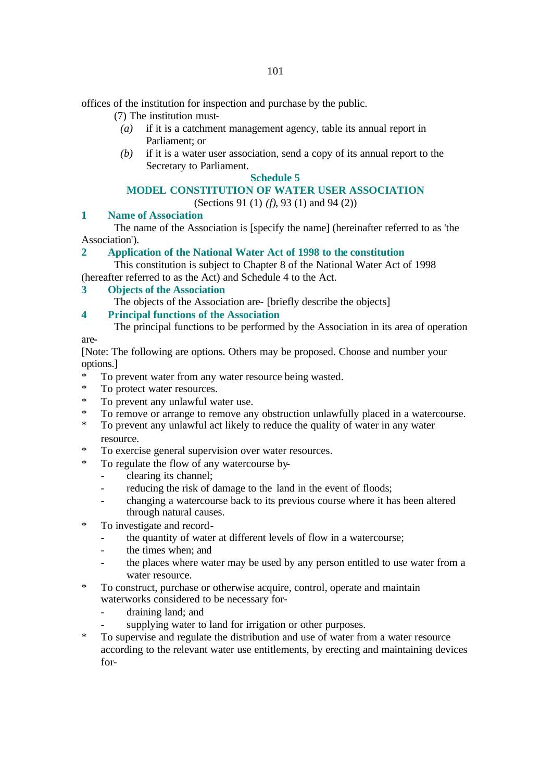offices of the institution for inspection and purchase by the public.

(7) The institution must-

- *(a)* if it is a catchment management agency, table its annual report in Parliament; or
- *(b)* if it is a water user association, send a copy of its annual report to the Secretary to Parliament.

# **Schedule 5**

# **MODEL CONSTITUTION OF WATER USER ASSOCIATION**

(Sections 91 (1) *(f)*, 93 (1) and 94 (2))

#### **1 Name of Association**

The name of the Association is [specify the name] (hereinafter referred to as 'the Association').

#### **2 Application of the National Water Act of 1998 to the constitution**

This constitution is subject to Chapter 8 of the National Water Act of 1998 (hereafter referred to as the Act) and Schedule 4 to the Act.

**3 Objects of the Association** 

The objects of the Association are- [briefly describe the objects]

### **4 Principal functions of the Association**

The principal functions to be performed by the Association in its area of operation

are-

[Note: The following are options. Others may be proposed. Choose and number your options.]

- \* To prevent water from any water resource being wasted.
- \* To protect water resources.
- \* To prevent any unlawful water use.
- \* To remove or arrange to remove any obstruction unlawfully placed in a watercourse.
- \* To prevent any unlawful act likely to reduce the quality of water in any water resource.
- \* To exercise general supervision over water resources.
- \* To regulate the flow of any watercourse by
	- clearing its channel;
	- reducing the risk of damage to the land in the event of floods;
	- changing a watercourse back to its previous course where it has been altered through natural causes.
- \* To investigate and record
	- the quantity of water at different levels of flow in a watercourse;
	- the times when; and
	- the places where water may be used by any person entitled to use water from a water resource.
- \* To construct, purchase or otherwise acquire, control, operate and maintain waterworks considered to be necessary for
	- draining land; and
	- supplying water to land for irrigation or other purposes.
- \* To supervise and regulate the distribution and use of water from a water resource according to the relevant water use entitlements, by erecting and maintaining devices for-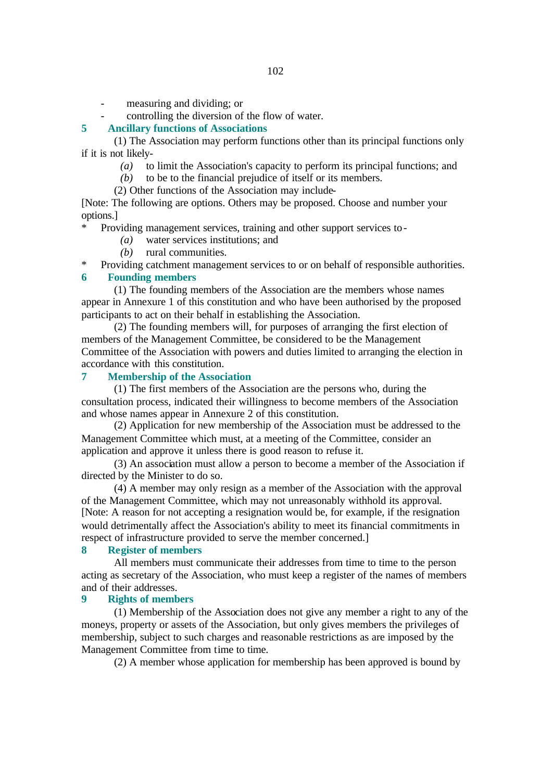controlling the diversion of the flow of water.

# **5 Ancillary functions of Associations**

(1) The Association may perform functions other than its principal functions only if it is not likely-

- *(a)* to limit the Association's capacity to perform its principal functions; and
- *(b)* to be to the financial prejudice of itself or its members.
- (2) Other functions of the Association may include-

[Note: The following are options. Others may be proposed. Choose and number your options.]

Providing management services, training and other support services to-

- *(a)* water services institutions; and
- *(b)* rural communities.

\* Providing catchment management services to or on behalf of responsible authorities.

### **6 Founding members**

(1) The founding members of the Association are the members whose names appear in Annexure 1 of this constitution and who have been authorised by the proposed participants to act on their behalf in establishing the Association.

(2) The founding members will, for purposes of arranging the first election of members of the Management Committee, be considered to be the Management Committee of the Association with powers and duties limited to arranging the election in accordance with this constitution.

#### **7 Membership of the Association**

(1) The first members of the Association are the persons who, during the consultation process, indicated their willingness to become members of the Association and whose names appear in Annexure 2 of this constitution.

(2) Application for new membership of the Association must be addressed to the Management Committee which must, at a meeting of the Committee, consider an application and approve it unless there is good reason to refuse it.

(3) An association must allow a person to become a member of the Association if directed by the Minister to do so.

(4) A member may only resign as a member of the Association with the approval of the Management Committee, which may not unreasonably withhold its approval. [Note: A reason for not accepting a resignation would be, for example, if the resignation would detrimentally affect the Association's ability to meet its financial commitments in respect of infrastructure provided to serve the member concerned.]

#### **8 Register of members**

All members must communicate their addresses from time to time to the person acting as secretary of the Association, who must keep a register of the names of members and of their addresses.

# **9 Rights of members**

(1) Membership of the Association does not give any member a right to any of the moneys, property or assets of the Association, but only gives members the privileges of membership, subject to such charges and reasonable restrictions as are imposed by the Management Committee from time to time.

(2) A member whose application for membership has been approved is bound by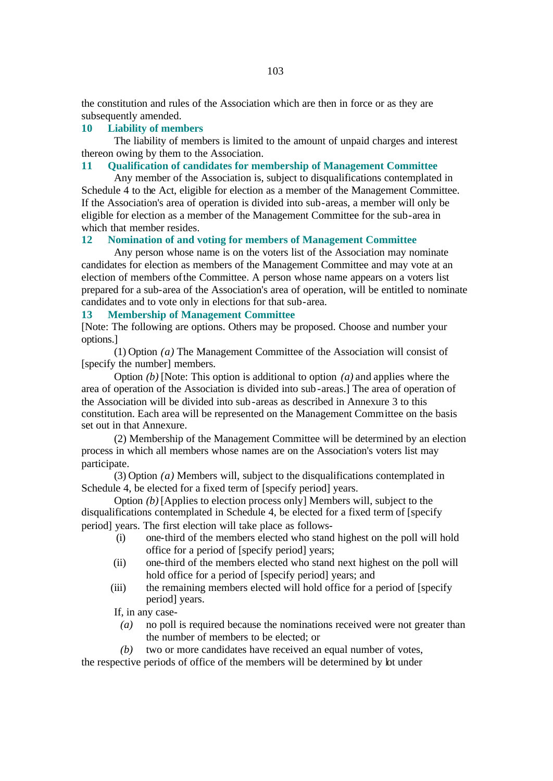the constitution and rules of the Association which are then in force or as they are subsequently amended.

#### **10 Liability of members**

The liability of members is limited to the amount of unpaid charges and interest thereon owing by them to the Association.

#### **11 Qualification of candidates for membership of Management Committee**

Any member of the Association is, subject to disqualifications contemplated in Schedule 4 to the Act, eligible for election as a member of the Management Committee. If the Association's area of operation is divided into sub-areas, a member will only be eligible for election as a member of the Management Committee for the sub-area in which that member resides.

#### **12 Nomination of and voting for members of Management Committee**

Any person whose name is on the voters list of the Association may nominate candidates for election as members of the Management Committee and may vote at an election of members of the Committee. A person whose name appears on a voters list prepared for a sub-area of the Association's area of operation, will be entitled to nominate candidates and to vote only in elections for that sub-area.

# **13 Membership of Management Committee**

[Note: The following are options. Others may be proposed. Choose and number your options.]

(1) Option *(a)* The Management Committee of the Association will consist of [specify the number] members.

Option *(b)* [Note: This option is additional to option *(a)* and applies where the area of operation of the Association is divided into sub-areas.] The area of operation of the Association will be divided into sub-areas as described in Annexure 3 to this constitution. Each area will be represented on the Management Committee on the basis set out in that Annexure.

(2) Membership of the Management Committee will be determined by an election process in which all members whose names are on the Association's voters list may participate.

(3) Option *(a)* Members will, subject to the disqualifications contemplated in Schedule 4, be elected for a fixed term of [specify period] years.

Option *(b)* [Applies to election process only] Members will, subject to the disqualifications contemplated in Schedule 4, be elected for a fixed term of [specify period] years. The first election will take place as follows-

- (i) one-third of the members elected who stand highest on the poll will hold office for a period of [specify period] years;
- (ii) one-third of the members elected who stand next highest on the poll will hold office for a period of [specify period] years; and
- (iii) the remaining members elected will hold office for a period of [specify period] years.

If, in any case-

*(a)* no poll is required because the nominations received were not greater than the number of members to be elected; or

*(b)* two or more candidates have received an equal number of votes,

the respective periods of office of the members will be determined by lot under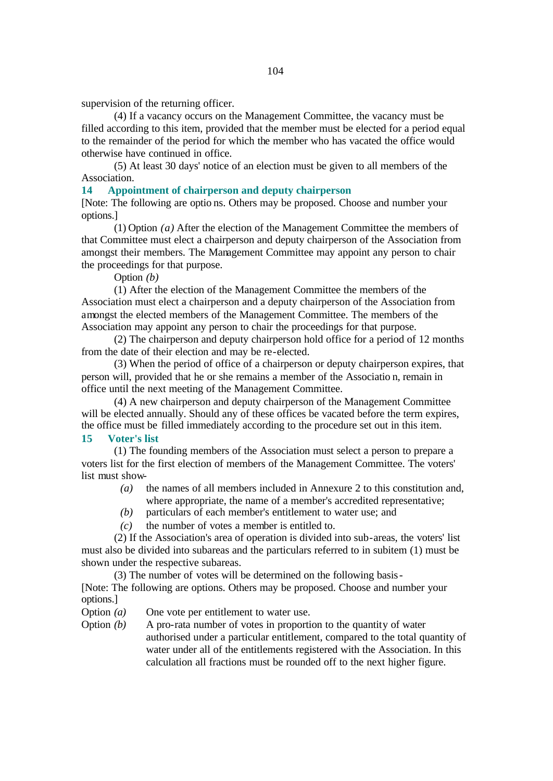supervision of the returning officer.

(4) If a vacancy occurs on the Management Committee, the vacancy must be filled according to this item, provided that the member must be elected for a period equal to the remainder of the period for which the member who has vacated the office would otherwise have continued in office.

(5) At least 30 days' notice of an election must be given to all members of the Association.

#### **14 Appointment of chairperson and deputy chairperson**

[Note: The following are optio ns. Others may be proposed. Choose and number your options.]

(1) Option *(a)* After the election of the Management Committee the members of that Committee must elect a chairperson and deputy chairperson of the Association from amongst their members. The Management Committee may appoint any person to chair the proceedings for that purpose.

Option *(b)*

(1) After the election of the Management Committee the members of the Association must elect a chairperson and a deputy chairperson of the Association from amongst the elected members of the Management Committee. The members of the Association may appoint any person to chair the proceedings for that purpose.

(2) The chairperson and deputy chairperson hold office for a period of 12 months from the date of their election and may be re-elected.

(3) When the period of office of a chairperson or deputy chairperson expires, that person will, provided that he or she remains a member of the Associatio n, remain in office until the next meeting of the Management Committee.

(4) A new chairperson and deputy chairperson of the Management Committee will be elected annually. Should any of these offices be vacated before the term expires, the office must be filled immediately according to the procedure set out in this item.

### **15 Voter's list**

(1) The founding members of the Association must select a person to prepare a voters list for the first election of members of the Management Committee. The voters' list must show-

- *(a)* the names of all members included in Annexure 2 to this constitution and, where appropriate, the name of a member's accredited representative;
- *(b)* particulars of each member's entitlement to water use; and
- *(c)* the number of votes a member is entitled to.

(2) If the Association's area of operation is divided into sub-areas, the voters' list must also be divided into subareas and the particulars referred to in subitem (1) must be shown under the respective subareas.

(3) The number of votes will be determined on the following basis- [Note: The following are options. Others may be proposed. Choose and number your options.]

Option *(a)* One vote per entitlement to water use.

Option *(b)* A pro-rata number of votes in proportion to the quantity of water authorised under a particular entitlement, compared to the total quantity of water under all of the entitlements registered with the Association. In this calculation all fractions must be rounded off to the next higher figure.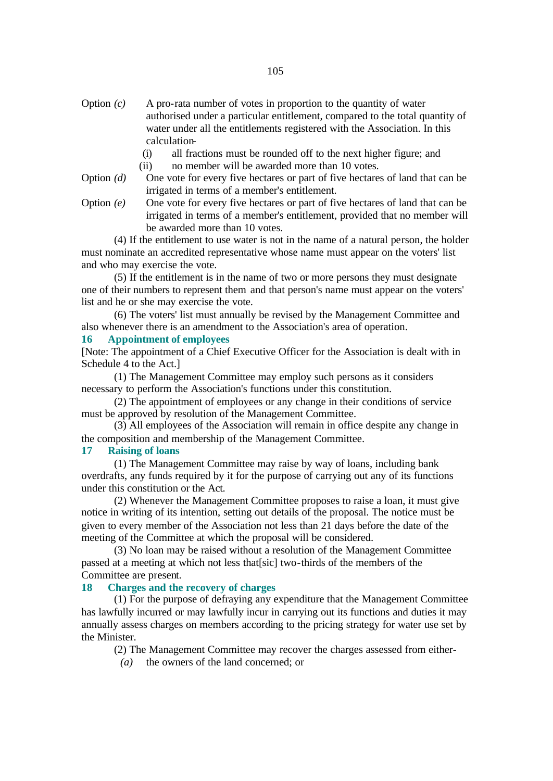- Option *(c)* A pro-rata number of votes in proportion to the quantity of water authorised under a particular entitlement, compared to the total quantity of water under all the entitlements registered with the Association. In this calculation-
	- (i) all fractions must be rounded off to the next higher figure; and
	- (ii) no member will be awarded more than 10 votes.
- Option *(d)* One vote for every five hectares or part of five hectares of land that can be irrigated in terms of a member's entitlement.
- Option *(e)* One vote for every five hectares or part of five hectares of land that can be irrigated in terms of a member's entitlement, provided that no member will be awarded more than 10 votes.

(4) If the entitlement to use water is not in the name of a natural person, the holder must nominate an accredited representative whose name must appear on the voters' list and who may exercise the vote.

(5) If the entitlement is in the name of two or more persons they must designate one of their numbers to represent them and that person's name must appear on the voters' list and he or she may exercise the vote.

(6) The voters' list must annually be revised by the Management Committee and also whenever there is an amendment to the Association's area of operation.

# **16 Appointment of employees**

[Note: The appointment of a Chief Executive Officer for the Association is dealt with in Schedule 4 to the Act.]

(1) The Management Committee may employ such persons as it considers necessary to perform the Association's functions under this constitution.

(2) The appointment of employees or any change in their conditions of service must be approved by resolution of the Management Committee.

(3) All employees of the Association will remain in office despite any change in the composition and membership of the Management Committee.

#### **17 Raising of loans**

(1) The Management Committee may raise by way of loans, including bank overdrafts, any funds required by it for the purpose of carrying out any of its functions under this constitution or the Act.

(2) Whenever the Management Committee proposes to raise a loan, it must give notice in writing of its intention, setting out details of the proposal. The notice must be given to every member of the Association not less than 21 days before the date of the meeting of the Committee at which the proposal will be considered.

(3) No loan may be raised without a resolution of the Management Committee passed at a meeting at which not less that[sic] two-thirds of the members of the Committee are present.

#### **18 Charges and the recovery of charges**

(1) For the purpose of defraying any expenditure that the Management Committee has lawfully incurred or may lawfully incur in carrying out its functions and duties it may annually assess charges on members according to the pricing strategy for water use set by the Minister.

(2) The Management Committee may recover the charges assessed from either-

*(a)* the owners of the land concerned; or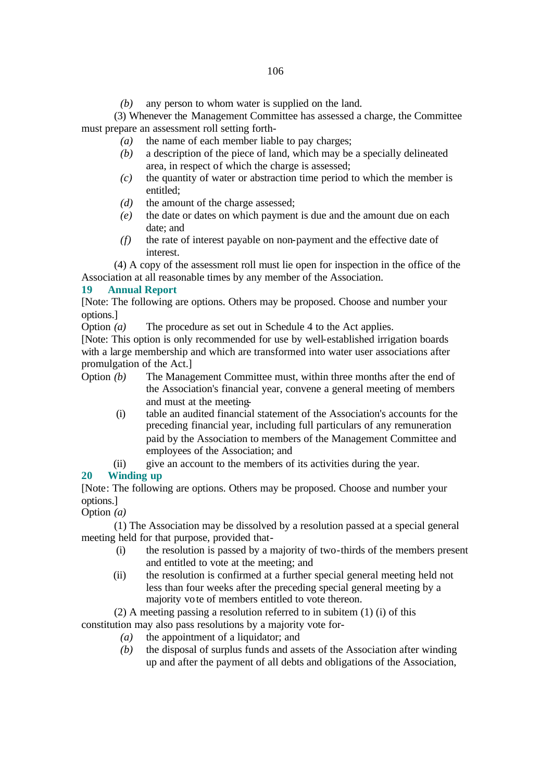*(b)* any person to whom water is supplied on the land.

(3) Whenever the Management Committee has assessed a charge, the Committee must prepare an assessment roll setting forth-

- *(a)* the name of each member liable to pay charges;
- *(b)* a description of the piece of land, which may be a specially delineated area, in respect of which the charge is assessed;
- *(c)* the quantity of water or abstraction time period to which the member is entitled;
- *(d)* the amount of the charge assessed;
- *(e)* the date or dates on which payment is due and the amount due on each date; and
- *(f)* the rate of interest payable on non-payment and the effective date of interest.

(4) A copy of the assessment roll must lie open for inspection in the office of the Association at all reasonable times by any member of the Association.

## **19 Annual Report**

[Note: The following are options. Others may be proposed. Choose and number your options.]

Option *(a)* The procedure as set out in Schedule 4 to the Act applies.

[Note: This option is only recommended for use by well-established irrigation boards with a large membership and which are transformed into water user associations after promulgation of the Act.]

- Option *(b)* The Management Committee must, within three months after the end of the Association's financial year, convene a general meeting of members and must at the meeting-
	- (i) table an audited financial statement of the Association's accounts for the preceding financial year, including full particulars of any remuneration paid by the Association to members of the Management Committee and employees of the Association; and
	- (ii) give an account to the members of its activities during the year.

# **20 Winding up**

[Note: The following are options. Others may be proposed. Choose and number your options.]

# Option *(a)*

(1) The Association may be dissolved by a resolution passed at a special general meeting held for that purpose, provided that-

- (i) the resolution is passed by a majority of two-thirds of the members present and entitled to vote at the meeting; and
- (ii) the resolution is confirmed at a further special general meeting held not less than four weeks after the preceding special general meeting by a majority vote of members entitled to vote thereon.

(2) A meeting passing a resolution referred to in subitem (1) (i) of this constitution may also pass resolutions by a majority vote for-

- *(a)* the appointment of a liquidator; and
- *(b)* the disposal of surplus funds and assets of the Association after winding up and after the payment of all debts and obligations of the Association,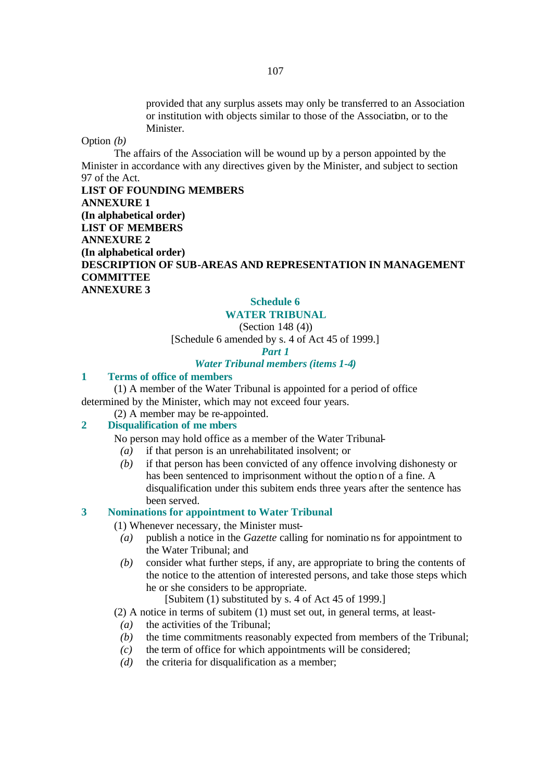provided that any surplus assets may only be transferred to an Association or institution with objects similar to those of the Association, or to the Minister.

Option *(b)*

The affairs of the Association will be wound up by a person appointed by the Minister in accordance with any directives given by the Minister, and subject to section 97 of the Act.

**LIST OF FOUNDING MEMBERS ANNEXURE 1 (In alphabetical order) LIST OF MEMBERS ANNEXURE 2 (In alphabetical order) DESCRIPTION OF SUB-AREAS AND REPRESENTATION IN MANAGEMENT COMMITTEE ANNEXURE 3**

# **Schedule 6**

# **WATER TRIBUNAL**

(Section 148 (4)) [Schedule 6 amended by s. 4 of Act 45 of 1999.]

*Part 1*

# *Water Tribunal members (items 1-4)*

#### **1 Terms of office of members**

(1) A member of the Water Tribunal is appointed for a period of office determined by the Minister, which may not exceed four years.

(2) A member may be re-appointed.

# **2 Disqualification of me mbers**

No person may hold office as a member of the Water Tribunal-

- *(a)* if that person is an unrehabilitated insolvent; or
- *(b)* if that person has been convicted of any offence involving dishonesty or has been sentenced to imprisonment without the option of a fine. A disqualification under this subitem ends three years after the sentence has been served.

### **3 Nominations for appointment to Water Tribunal**

(1) Whenever necessary, the Minister must-

- *(a)* publish a notice in the *Gazette* calling for nominatio ns for appointment to the Water Tribunal; and
- *(b)* consider what further steps, if any, are appropriate to bring the contents of the notice to the attention of interested persons, and take those steps which he or she considers to be appropriate.

[Subitem (1) substituted by s. 4 of Act 45 of 1999.]

(2) A notice in terms of subitem (1) must set out, in general terms, at least-

- *(a)* the activities of the Tribunal;
- *(b)* the time commitments reasonably expected from members of the Tribunal;
- *(c)* the term of office for which appointments will be considered;
- *(d)* the criteria for disqualification as a member;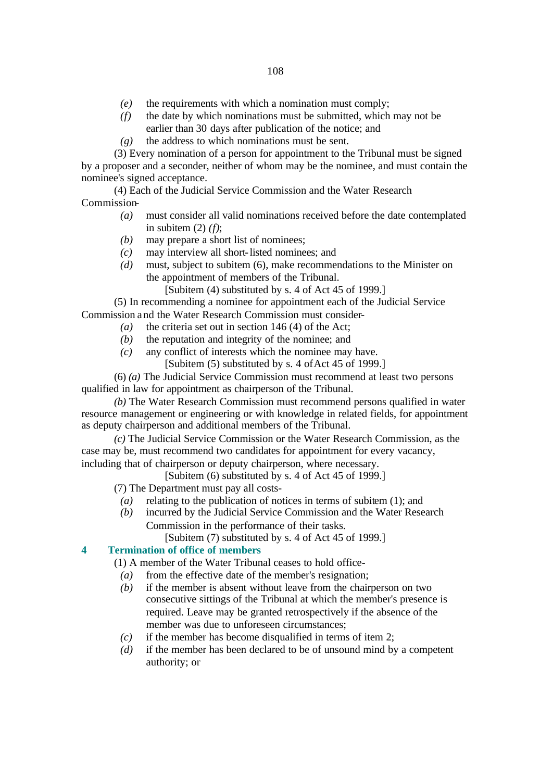- *(e)* the requirements with which a nomination must comply;
- *(f)* the date by which nominations must be submitted, which may not be earlier than 30 days after publication of the notice; and
- *(g)* the address to which nominations must be sent.

(3) Every nomination of a person for appointment to the Tribunal must be signed by a proposer and a seconder, neither of whom may be the nominee, and must contain the nominee's signed acceptance.

(4) Each of the Judicial Service Commission and the Water Research Commission-

- *(a)* must consider all valid nominations received before the date contemplated in subitem (2) *(f)*;
- *(b)* may prepare a short list of nominees;
- *(c)* may interview all short-listed nominees; and
- *(d)* must, subject to subitem (6), make recommendations to the Minister on the appointment of members of the Tribunal.
	- [Subitem (4) substituted by s. 4 of Act 45 of 1999.]

(5) In recommending a nominee for appointment each of the Judicial Service Commission and the Water Research Commission must consider-

- *(a)* the criteria set out in section 146 (4) of the Act;
- *(b)* the reputation and integrity of the nominee; and
- *(c)* any conflict of interests which the nominee may have. [Subitem (5) substituted by s. 4 of Act 45 of 1999.]

(6) *(a)* The Judicial Service Commission must recommend at least two persons qualified in law for appointment as chairperson of the Tribunal.

*(b)* The Water Research Commission must recommend persons qualified in water resource management or engineering or with knowledge in related fields, for appointment as deputy chairperson and additional members of the Tribunal.

*(c)* The Judicial Service Commission or the Water Research Commission, as the case may be, must recommend two candidates for appointment for every vacancy, including that of chairperson or deputy chairperson, where necessary.

[Subitem (6) substituted by s. 4 of Act 45 of 1999.]

(7) The Department must pay all costs-

- *(a)* relating to the publication of notices in terms of subitem (1); and
- *(b)* incurred by the Judicial Service Commission and the Water Research Commission in the performance of their tasks.
	- [Subitem (7) substituted by s. 4 of Act 45 of 1999.]

# **4 Termination of office of members**

- (1) A member of the Water Tribunal ceases to hold office-
- *(a)* from the effective date of the member's resignation;
- *(b)* if the member is absent without leave from the chairperson on two consecutive sittings of the Tribunal at which the member's presence is required. Leave may be granted retrospectively if the absence of the member was due to unforeseen circumstances;
- *(c)* if the member has become disqualified in terms of item 2;
- *(d)* if the member has been declared to be of unsound mind by a competent authority; or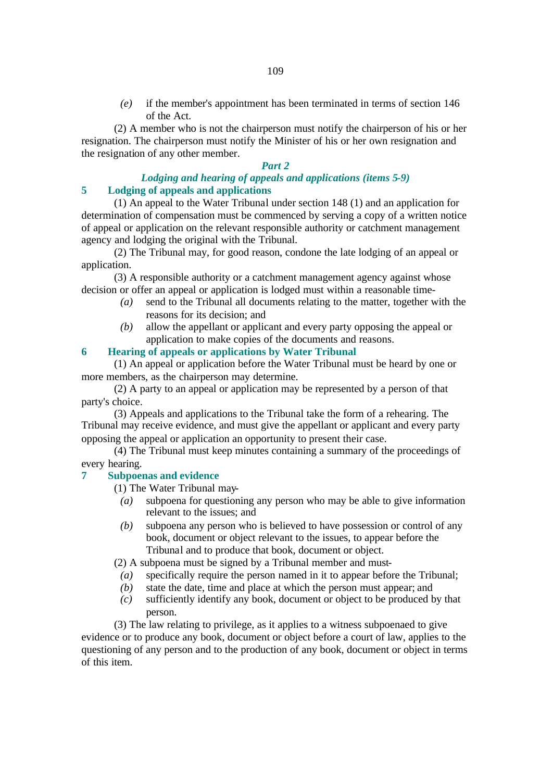*(e)* if the member's appointment has been terminated in terms of section 146 of the Act.

(2) A member who is not the chairperson must notify the chairperson of his or her resignation. The chairperson must notify the Minister of his or her own resignation and the resignation of any other member.

## *Part 2*

# *Lodging and hearing of appeals and applications (items 5-9)* **5 Lodging of appeals and applications**

(1) An appeal to the Water Tribunal under section 148 (1) and an application for determination of compensation must be commenced by serving a copy of a written notice of appeal or application on the relevant responsible authority or catchment management agency and lodging the original with the Tribunal.

(2) The Tribunal may, for good reason, condone the late lodging of an appeal or application.

(3) A responsible authority or a catchment management agency against whose decision or offer an appeal or application is lodged must within a reasonable time-

- *(a)* send to the Tribunal all documents relating to the matter, together with the reasons for its decision; and
- *(b)* allow the appellant or applicant and every party opposing the appeal or application to make copies of the documents and reasons.

## **6 Hearing of appeals or applications by Water Tribunal**

(1) An appeal or application before the Water Tribunal must be heard by one or more members, as the chairperson may determine.

(2) A party to an appeal or application may be represented by a person of that party's choice.

(3) Appeals and applications to the Tribunal take the form of a rehearing. The Tribunal may receive evidence, and must give the appellant or applicant and every party opposing the appeal or application an opportunity to present their case.

(4) The Tribunal must keep minutes containing a summary of the proceedings of every hearing.

## **7 Subpoenas and evidence**

(1) The Water Tribunal may-

- *(a)* subpoena for questioning any person who may be able to give information relevant to the issues; and
- *(b)* subpoena any person who is believed to have possession or control of any book, document or object relevant to the issues, to appear before the Tribunal and to produce that book, document or object.

(2) A subpoena must be signed by a Tribunal member and must-

- *(a)* specifically require the person named in it to appear before the Tribunal;
- *(b)* state the date, time and place at which the person must appear; and
- *(c)* sufficiently identify any book, document or object to be produced by that person.

(3) The law relating to privilege, as it applies to a witness subpoenaed to give evidence or to produce any book, document or object before a court of law, applies to the questioning of any person and to the production of any book, document or object in terms of this item.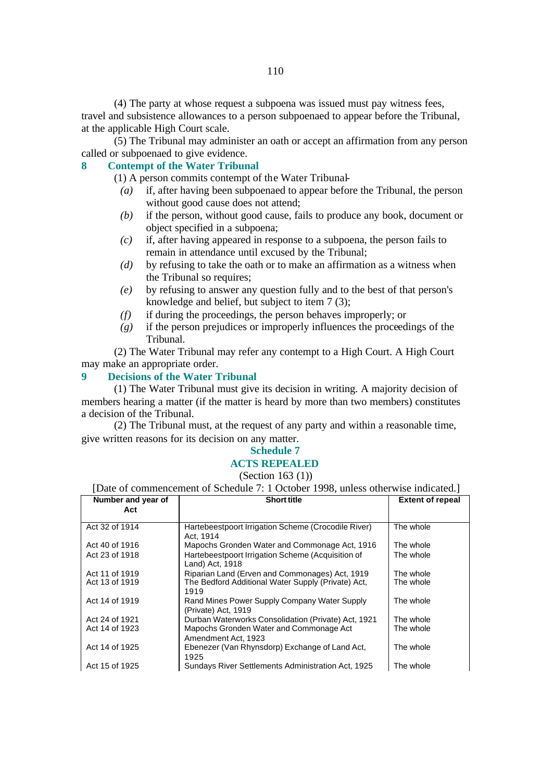(4) The party at whose request a subpoena was issued must pay witness fees, travel and subsistence allowances to a person subpoenaed to appear before the Tribunal, at the applicable High Court scale.

(5) The Tribunal may administer an oath or accept an affirmation from any person called or subpoenaed to give evidence.

## **8 Contempt of the Water Tribunal**

(1) A person commits contempt of the Water Tribunal-

- *(a)* if, after having been subpoenaed to appear before the Tribunal, the person without good cause does not attend;
- *(b)* if the person, without good cause, fails to produce any book, document or object specified in a subpoena;
- *(c)* if, after having appeared in response to a subpoena, the person fails to remain in attendance until excused by the Tribunal;
- *(d)* by refusing to take the oath or to make an affirmation as a witness when the Tribunal so requires;
- *(e)* by refusing to answer any question fully and to the best of that person's knowledge and belief, but subject to item 7 (3);
- *(f)* if during the proceedings, the person behaves improperly; or
- *(g)* if the person prejudices or improperly influences the proceedings of the Tribunal.

(2) The Water Tribunal may refer any contempt to a High Court. A High Court may make an appropriate order.

### **9 Decisions of the Water Tribunal**

(1) The Water Tribunal must give its decision in writing. A majority decision of members hearing a matter (if the matter is heard by more than two members) constitutes a decision of the Tribunal.

(2) The Tribunal must, at the request of any party and within a reasonable time, give written reasons for its decision on any matter.

#### **Schedule 7**

#### **ACTS REPEALED**

#### (Section 163 (1))

[Date of commencement of Schedule 7: 1 October 1998, unless otherwise indicated.]

| Number and year of<br>Act        | <b>Short title</b>                                                                                   | <b>Extent of repeal</b> |
|----------------------------------|------------------------------------------------------------------------------------------------------|-------------------------|
|                                  |                                                                                                      |                         |
| Act 32 of 1914                   | Hartebeestpoort Irrigation Scheme (Crocodile River)<br>Act. 1914                                     | The whole               |
| Act 40 of 1916                   | Mapochs Gronden Water and Commonage Act, 1916                                                        | The whole               |
| Act 23 of 1918                   | Hartebeestpoort Irrigation Scheme (Acquisition of<br>Land) Act, 1918                                 | The whole               |
| Act 11 of 1919<br>Act 13 of 1919 | Riparian Land (Erven and Commonages) Act, 1919<br>The Bedford Additional Water Supply (Private) Act, | The whole<br>The whole  |
|                                  | 1919                                                                                                 |                         |
| Act 14 of 1919                   | Rand Mines Power Supply Company Water Supply<br>(Private) Act, 1919                                  | The whole               |
| Act 24 of 1921                   | Durban Waterworks Consolidation (Private) Act, 1921                                                  | The whole               |
| Act 14 of 1923                   | Mapochs Gronden Water and Commonage Act<br>Amendment Act. 1923                                       | The whole               |
| Act 14 of 1925                   | Ebenezer (Van Rhynsdorp) Exchange of Land Act,<br>1925                                               | The whole               |
| Act 15 of 1925                   | Sundays River Settlements Administration Act, 1925                                                   | The whole               |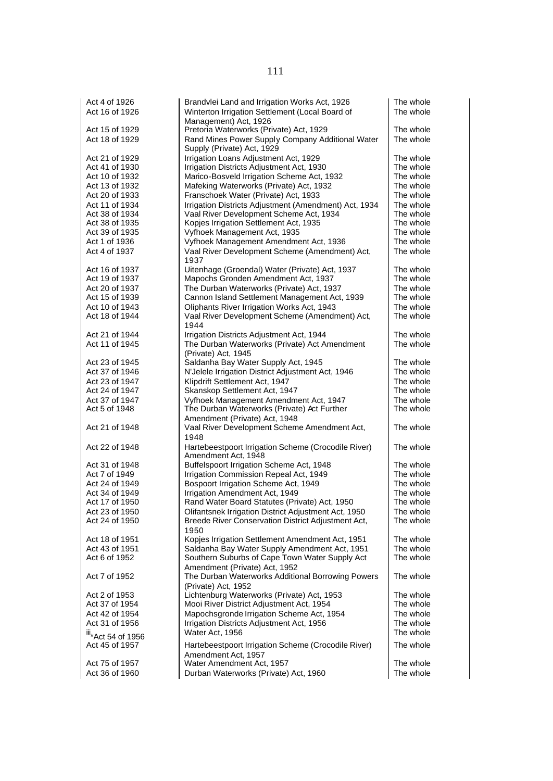| Act 4 of 1926                   | Brandvlei Land and Irrigation Works Act, 1926         | The whole |
|---------------------------------|-------------------------------------------------------|-----------|
| Act 16 of 1926                  | Winterton Irrigation Settlement (Local Board of       | The whole |
|                                 |                                                       |           |
|                                 | Management) Act, 1926                                 |           |
| Act 15 of 1929                  | Pretoria Waterworks (Private) Act, 1929               | The whole |
| Act 18 of 1929                  | Rand Mines Power Supply Company Additional Water      | The whole |
|                                 |                                                       |           |
|                                 | Supply (Private) Act, 1929                            |           |
| Act 21 of 1929                  | Irrigation Loans Adjustment Act, 1929                 | The whole |
| Act 41 of 1930                  | Irrigation Districts Adjustment Act, 1930             | The whole |
| Act 10 of 1932                  | Marico-Bosveld Irrigation Scheme Act, 1932            | The whole |
|                                 |                                                       | The whole |
| Act 13 of 1932                  | Mafeking Waterworks (Private) Act, 1932               |           |
| Act 20 of 1933                  | Franschoek Water (Private) Act, 1933                  | The whole |
| Act 11 of 1934                  | Irrigation Districts Adjustment (Amendment) Act, 1934 | The whole |
| Act 38 of 1934                  | Vaal River Development Scheme Act, 1934               | The whole |
|                                 |                                                       |           |
| Act 38 of 1935                  | Kopjes Irrigation Settlement Act, 1935                | The whole |
| Act 39 of 1935                  | Vyfhoek Management Act, 1935                          | The whole |
| Act 1 of 1936                   | Vyfhoek Management Amendment Act, 1936                | The whole |
| Act 4 of 1937                   | Vaal River Development Scheme (Amendment) Act,        | The whole |
|                                 |                                                       |           |
|                                 | 1937                                                  |           |
| Act 16 of 1937                  | Uitenhage (Groendal) Water (Private) Act, 1937        | The whole |
| Act 19 of 1937                  | Mapochs Gronden Amendment Act, 1937                   | The whole |
| Act 20 of 1937                  | The Durban Waterworks (Private) Act, 1937             | The whole |
|                                 |                                                       |           |
| Act 15 of 1939                  | Cannon Island Settlement Management Act, 1939         | The whole |
| Act 10 of 1943                  | Oliphants River Irrigation Works Act, 1943            | The whole |
| Act 18 of 1944                  | Vaal River Development Scheme (Amendment) Act,        | The whole |
|                                 | 1944                                                  |           |
| Act 21 of 1944                  | Irrigation Districts Adjustment Act, 1944             | The whole |
|                                 |                                                       |           |
| Act 11 of 1945                  | The Durban Waterworks (Private) Act Amendment         | The whole |
|                                 | (Private) Act, 1945                                   |           |
| Act 23 of 1945                  | Saldanha Bay Water Supply Act, 1945                   | The whole |
| Act 37 of 1946                  | N'Jelele Irrigation District Adjustment Act, 1946     | The whole |
| Act 23 of 1947                  |                                                       | The whole |
|                                 | Klipdrift Settlement Act, 1947                        |           |
| Act 24 of 1947                  | Skanskop Settlement Act, 1947                         | The whole |
| Act 37 of 1947                  | Vyfhoek Management Amendment Act, 1947                | The whole |
| Act 5 of 1948                   | The Durban Waterworks (Private) Act Further           | The whole |
|                                 | Amendment (Private) Act, 1948                         |           |
| Act 21 of 1948                  | Vaal River Development Scheme Amendment Act,          | The whole |
|                                 |                                                       |           |
|                                 | 1948                                                  |           |
| Act 22 of 1948                  | Hartebeestpoort Irrigation Scheme (Crocodile River)   | The whole |
|                                 | Amendment Act, 1948                                   |           |
| Act 31 of 1948                  | Buffelspoort Irrigation Scheme Act, 1948              | The whole |
|                                 |                                                       | The whole |
| Act 7 of 1949                   | Irrigation Commission Repeal Act, 1949                |           |
| Act 24 of 1949                  | Bospoort Irrigation Scheme Act, 1949                  | The whole |
| Act 34 of 1949                  | Irrigation Amendment Act, 1949                        | The whole |
| Act 17 of 1950                  | Rand Water Board Statutes (Private) Act, 1950         | The whole |
| Act 23 of 1950                  | Olifantsnek Irrigation District Adjustment Act, 1950  | The whole |
|                                 |                                                       |           |
| Act 24 of 1950                  | Breede River Conservation District Adjustment Act,    | The whole |
|                                 | 1950                                                  |           |
| Act 18 of 1951                  | Kopjes Irrigation Settlement Amendment Act, 1951      | The whole |
| Act 43 of 1951                  | Saldanha Bay Water Supply Amendment Act, 1951         | The whole |
| Act 6 of 1952                   | Southern Suburbs of Cape Town Water Supply Act        | The whole |
|                                 |                                                       |           |
|                                 | Amendment (Private) Act, 1952                         |           |
| Act 7 of 1952                   | The Durban Waterworks Additional Borrowing Powers     | The whole |
|                                 | (Private) Act, 1952                                   |           |
| Act 2 of 1953                   | Lichtenburg Waterworks (Private) Act, 1953            | The whole |
| Act 37 of 1954                  | Mooi River District Adjustment Act, 1954              | The whole |
|                                 |                                                       |           |
| Act 42 of 1954                  | Mapochsgronde Irrigation Scheme Act, 1954             | The whole |
| Act 31 of 1956                  | Irrigation Districts Adjustment Act, 1956             | The whole |
|                                 | Water Act, 1956                                       | The whole |
| iii <sub>*</sub> Act 54 of 1956 |                                                       |           |
| Act 45 of 1957                  | Hartebeestpoort Irrigation Scheme (Crocodile River)   | The whole |
|                                 | Amendment Act, 1957                                   |           |
| Act 75 of 1957                  | Water Amendment Act, 1957                             | The whole |
| Act 36 of 1960                  | Durban Waterworks (Private) Act, 1960                 | The whole |
|                                 |                                                       |           |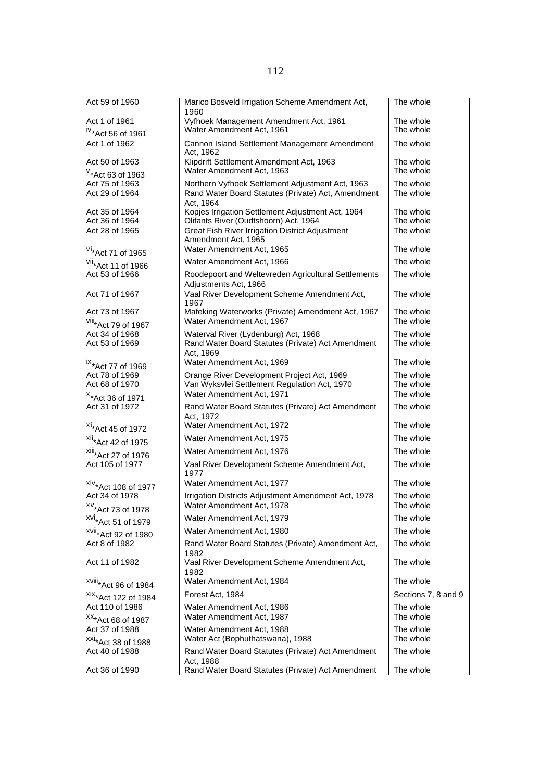| Act 59 of 1960                                     | Marico Bosveld Irrigation Scheme Amendment Act,<br>1960                                                                                                                                  | The whole                           |
|----------------------------------------------------|------------------------------------------------------------------------------------------------------------------------------------------------------------------------------------------|-------------------------------------|
| Act 1 of 1961<br>iv <sub>*</sub> Act 56 of 1961    | Vyfhoek Management Amendment Act, 1961<br>Water Amendment Act, 1961                                                                                                                      | The whole<br>The whole              |
| Act 1 of 1962                                      | Cannon Island Settlement Management Amendment<br>Act, 1962                                                                                                                               | The whole                           |
| Act 50 of 1963<br>$v_{*}$ Act 63 of 1963           | Klipdrift Settlement Amendment Act, 1963<br>Water Amendment Act, 1963                                                                                                                    | The whole<br>The whole              |
| Act 75 of 1963<br>Act 29 of 1964                   | Northern Vyfhoek Settlement Adjustment Act, 1963<br>Rand Water Board Statutes (Private) Act, Amendment                                                                                   | The whole<br>The whole              |
| Act 35 of 1964<br>Act 36 of 1964<br>Act 28 of 1965 | Act, 1964<br>Kopjes Irrigation Settlement Adjustment Act, 1964<br>Olifants River (Oudtshoorn) Act, 1964<br><b>Great Fish River Irrigation District Adjustment</b><br>Amendment Act, 1965 | The whole<br>The whole<br>The whole |
| <sup>Vi</sup> *Act 71 of 1965                      | Water Amendment Act, 1965                                                                                                                                                                | The whole                           |
| <sup>VII</sup> *Act 11 of 1966                     | Water Amendment Act, 1966                                                                                                                                                                | The whole                           |
| Act 53 of 1966                                     | Roodepoort and Weltevreden Agricultural Settlements<br>Adjustments Act, 1966                                                                                                             | The whole                           |
| Act 71 of 1967                                     | Vaal River Development Scheme Amendment Act,<br>1967                                                                                                                                     | The whole                           |
| Act 73 of 1967<br>viii <sub>*</sub> Act 79 of 1967 | Mafeking Waterworks (Private) Amendment Act, 1967<br>Water Amendment Act, 1967                                                                                                           | The whole<br>The whole              |
| Act 34 of 1968<br>Act 53 of 1969                   | Waterval River (Lydenburg) Act, 1968<br>Rand Water Board Statutes (Private) Act Amendment                                                                                                | The whole<br>The whole              |
|                                                    | Act, 1969<br>Water Amendment Act, 1969                                                                                                                                                   | The whole                           |
| ix <sub>*</sub> Act 77 of 1969                     |                                                                                                                                                                                          |                                     |
| Act 78 of 1969<br>Act 68 of 1970                   | Orange River Development Project Act, 1969<br>Van Wyksvlei Settlement Regulation Act, 1970                                                                                               | The whole<br>The whole              |
| <sup>X</sup> *Act 36 of 1971                       | Water Amendment Act, 1971                                                                                                                                                                | The whole                           |
| Act 31 of 1972                                     | Rand Water Board Statutes (Private) Act Amendment<br>Act, 1972                                                                                                                           | The whole                           |
| <sup>Xi</sup> *Act 45 of 1972                      | Water Amendment Act, 1972                                                                                                                                                                | The whole                           |
| $xii*$ Act 42 of 1975                              | Water Amendment Act, 1975                                                                                                                                                                | The whole                           |
| <sup>XIII</sup> * Act 27 of 1976                   | Water Amendment Act, 1976                                                                                                                                                                | The whole                           |
| Act 105 of 1977                                    | Vaal River Development Scheme Amendment Act,<br>1977                                                                                                                                     | The whole                           |
| xiv <sub>*</sub> Act 108 of 1977                   | Water Amendment Act, 1977                                                                                                                                                                | The whole                           |
| Act 34 of 1978<br>$xv_{*}$ Act 73 of 1978          | Irrigation Districts Adjustment Amendment Act, 1978<br>Water Amendment Act. 1978                                                                                                         | The whole<br>The whole              |
|                                                    | Water Amendment Act, 1979                                                                                                                                                                | The whole                           |
| <sup>XVI</sup> *Act 51 of 1979                     | Water Amendment Act, 1980                                                                                                                                                                | The whole                           |
| <sup>XVII</sup> *Act 92 of 1980<br>Act 8 of 1982   | Rand Water Board Statutes (Private) Amendment Act,                                                                                                                                       | The whole                           |
| Act 11 of 1982                                     | 1982<br>Vaal River Development Scheme Amendment Act,<br>1982                                                                                                                             | The whole                           |
| xviii <sub>*</sub> Act 96 of 1984                  | Water Amendment Act, 1984                                                                                                                                                                | The whole                           |
| <sup>XIX</sup> *Act 122 of 1984                    | Forest Act, 1984                                                                                                                                                                         | Sections 7, 8 and 9                 |
| Act 110 of 1986                                    | Water Amendment Act, 1986<br>Water Amendment Act, 1987                                                                                                                                   | The whole<br>The whole              |
| <sup>XX</sup> *Act 68 of 1987                      |                                                                                                                                                                                          |                                     |
| Act 37 of 1988                                     | Water Amendment Act, 1988<br>Water Act (Bophuthatswana), 1988                                                                                                                            | The whole<br>The whole              |
| <sup>XXI</sup> *Act 38 of 1988<br>Act 40 of 1988   | Rand Water Board Statutes (Private) Act Amendment                                                                                                                                        | The whole                           |
| Act 36 of 1990                                     | Act, 1988<br>Rand Water Board Statutes (Private) Act Amendment                                                                                                                           | The whole                           |